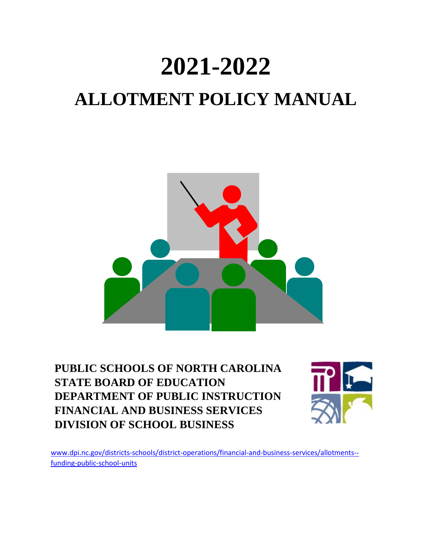# **2021-2022 ALLOTMENT POLICY MANUAL**



**PUBLIC SCHOOLS OF NORTH CAROLINA STATE BOARD OF EDUCATION DEPARTMENT OF PUBLIC INSTRUCTION FINANCIAL AND BUSINESS SERVICES DIVISION OF SCHOOL BUSINESS**



[www.dpi.nc.gov/districts-schools/district-operations/financial-and-business-services/allotments-](https://www.dpi.nc.gov/districts-schools/district-operations/financial-and-business-services/allotments-%E2%80%94-funding-public-school-units) [funding-public-school-units](https://www.dpi.nc.gov/districts-schools/district-operations/financial-and-business-services/allotments-%E2%80%94-funding-public-school-units)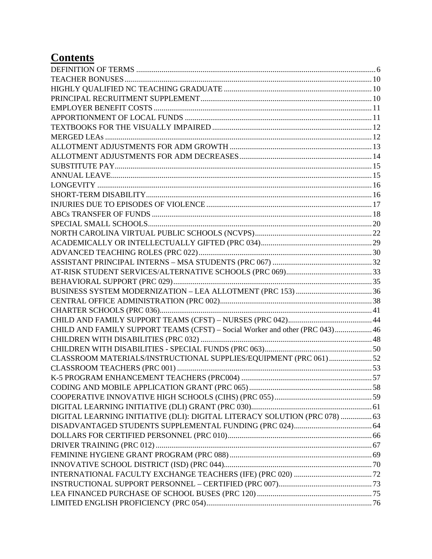## **Contents**

| CHILD AND FAMILY SUPPORT TEAMS (CFST) - Social Worker and other (PRC 043) 46 |  |
|------------------------------------------------------------------------------|--|
|                                                                              |  |
|                                                                              |  |
| CLASSROOM MATERIALS/INSTRUCTIONAL SUPPLIES/EQUIPMENT (PRC 061)52             |  |
|                                                                              |  |
|                                                                              |  |
|                                                                              |  |
|                                                                              |  |
|                                                                              |  |
| DIGITAL LEARNING INITIATIVE (DLI): DIGITAL LITERACY SOLUTION (PRC 078)  63   |  |
|                                                                              |  |
|                                                                              |  |
|                                                                              |  |
|                                                                              |  |
|                                                                              |  |
|                                                                              |  |
|                                                                              |  |
|                                                                              |  |
|                                                                              |  |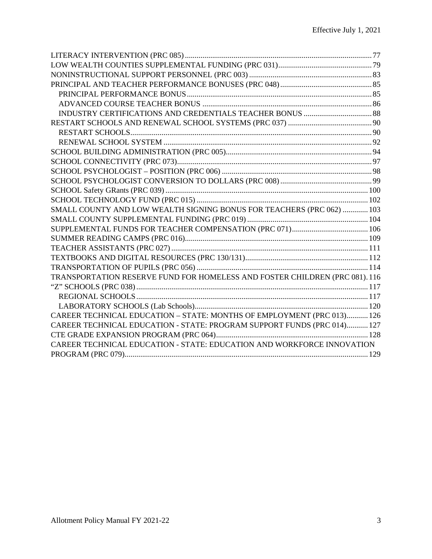| SMALL COUNTY AND LOW WEALTH SIGNING BONUS FOR TEACHERS (PRC 062)  103      |  |
|----------------------------------------------------------------------------|--|
|                                                                            |  |
|                                                                            |  |
|                                                                            |  |
|                                                                            |  |
|                                                                            |  |
|                                                                            |  |
| TRANSPORTATION RESERVE FUND FOR HOMELESS AND FOSTER CHILDREN (PRC 081).116 |  |
|                                                                            |  |
|                                                                            |  |
|                                                                            |  |
| CAREER TECHNICAL EDUCATION - STATE: MONTHS OF EMPLOYMENT (PRC 013) 126     |  |
| CAREER TECHNICAL EDUCATION - STATE: PROGRAM SUPPORT FUNDS (PRC 014) 127    |  |
|                                                                            |  |
| CAREER TECHNICAL EDUCATION - STATE: EDUCATION AND WORKFORCE INNOVATION     |  |
|                                                                            |  |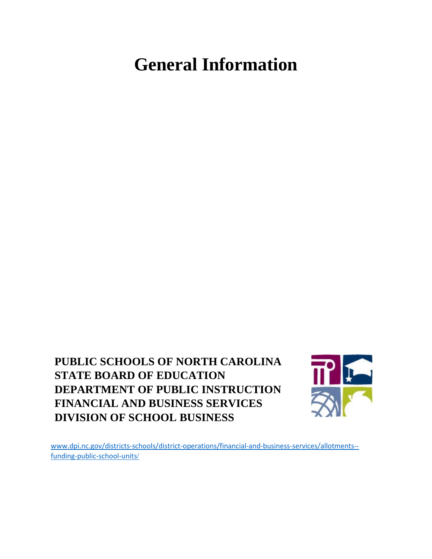# **General Information**

**PUBLIC SCHOOLS OF NORTH CAROLINA STATE BOARD OF EDUCATION DEPARTMENT OF PUBLIC INSTRUCTION FINANCIAL AND BUSINESS SERVICES DIVISION OF SCHOOL BUSINESS**



[www.dpi.nc.gov/districts-schools/district-operations/financial-and-business-services/allotments-](https://www.dpi.nc.gov/districts-schools/district-operations/financial-and-business-services/allotments-%E2%80%94-funding-public-school-units) [funding-public-school-units](https://www.dpi.nc.gov/districts-schools/district-operations/financial-and-business-services/allotments-%E2%80%94-funding-public-school-units)/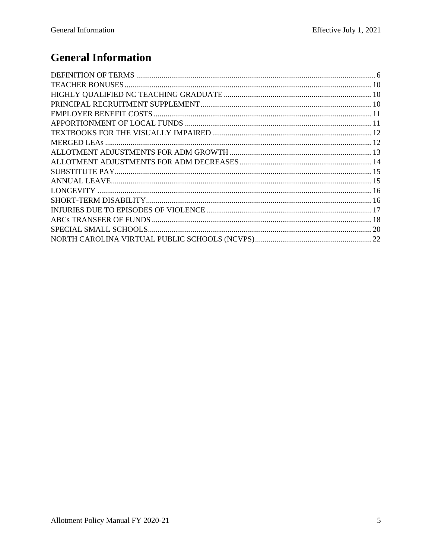# **General Information**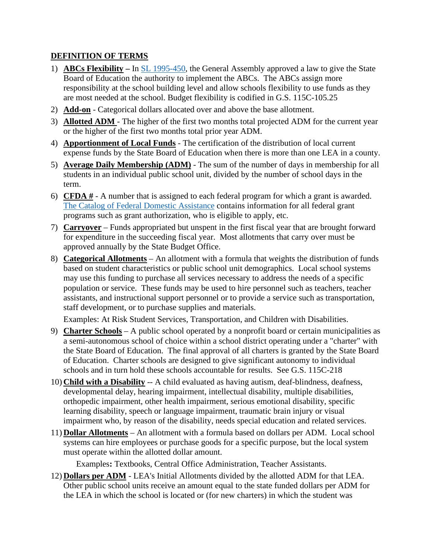#### <span id="page-5-0"></span>**DEFINITION OF TERMS**

- 1) **ABCs Flexibility** In [SL 1995-450,](https://www.ncleg.gov/EnactedLegislation/SessionLaws/HTML/1995-1996/SL1995-450.html) the General Assembly approved a law to give the State Board of Education the authority to implement the ABCs. The ABCs assign more responsibility at the school building level and allow schools flexibility to use funds as they are most needed at the school. Budget flexibility is codified in G.S. 115C-105.25
- 2) **Add-on** Categorical dollars allocated over and above the base allotment.
- 3) **Allotted ADM**  The higher of the first two months total projected ADM for the current year or the higher of the first two months total prior year ADM.
- 4) **Apportionment of Local Funds** The certification of the distribution of local current expense funds by the State Board of Education when there is more than one LEA in a county.
- 5) **Average Daily Membership (ADM)** The sum of the number of days in membership for all students in an individual public school unit, divided by the number of school days in the term.
- 6) **CFDA #** A number that is assigned to each federal program for which a grant is awarded. [The Catalog of Federal Domestic Assistance](http://www.cfda.gov/) contains information for all federal grant programs such as grant authorization, who is eligible to apply, etc.
- 7) **Carryover** Funds appropriated but unspent in the first fiscal year that are brought forward for expenditure in the succeeding fiscal year. Most allotments that carry over must be approved annually by the State Budget Office.
- 8) **Categorical Allotments** An allotment with a formula that weights the distribution of funds based on student characteristics or public school unit demographics. Local school systems may use this funding to purchase all services necessary to address the needs of a specific population or service. These funds may be used to hire personnel such as teachers, teacher assistants, and instructional support personnel or to provide a service such as transportation, staff development, or to purchase supplies and materials.

Examples: At Risk Student Services, Transportation, and Children with Disabilities.

- 9) **Charter Schools** A public school operated by a nonprofit board or certain municipalities as a semi-autonomous school of choice within a school district operating under a "charter" with the State Board of Education. The final approval of all charters is granted by the State Board of Education. Charter schools are designed to give significant autonomy to individual schools and in turn hold these schools accountable for results. See G.S. 115C-218
- 10) **Child with a Disability** -- A child evaluated as having autism, deaf-blindness, deafness, developmental delay, hearing impairment, intellectual disability, multiple disabilities, orthopedic impairment, other health impairment, serious emotional disability, specific learning disability, speech or language impairment, traumatic brain injury or visual impairment who, by reason of the disability, needs special education and related services.
- 11) **Dollar Allotments** An allotment with a formula based on dollars per ADM. Local school systems can hire employees or purchase goods for a specific purpose, but the local system must operate within the allotted dollar amount.

Examples**:** Textbooks, Central Office Administration, Teacher Assistants.

12) **Dollars per ADM** - LEA's Initial Allotments divided by the allotted ADM for that LEA. Other public school units receive an amount equal to the state funded dollars per ADM for the LEA in which the school is located or (for new charters) in which the student was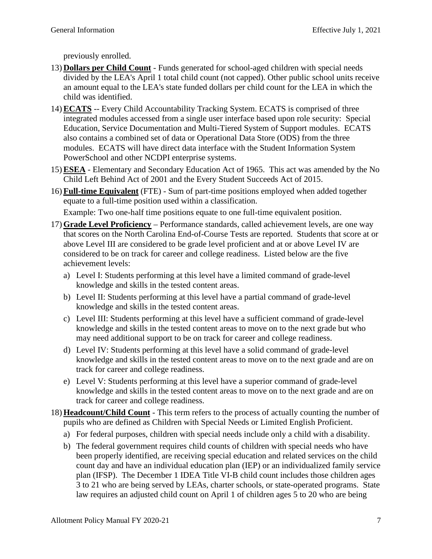previously enrolled.

- 13) **Dollars per Child Count** Funds generated for school-aged children with special needs divided by the LEA's April 1 total child count (not capped). Other public school units receive an amount equal to the LEA's state funded dollars per child count for the LEA in which the child was identified.
- 14) **ECATS** -- Every Child Accountability Tracking System. ECATS is comprised of three integrated modules accessed from a single user interface based upon role security: Special Education, Service Documentation and Multi-Tiered System of Support modules. ECATS also contains a combined set of data or Operational Data Store (ODS) from the three modules. ECATS will have direct data interface with the Student Information System PowerSchool and other NCDPI enterprise systems.
- 15) **ESEA** Elementary and Secondary Education Act of 1965. This act was amended by the No Child Left Behind Act of 2001 and the Every Student Succeeds Act of 2015.
- 16) **Full-time Equivalent** (FTE) Sum of part-time positions employed when added together equate to a full-time position used within a classification.

Example: Two one-half time positions equate to one full-time equivalent position.

- 17) **Grade Level Proficiency** Performance standards, called achievement levels, are one way that scores on the North Carolina End-of-Course Tests are reported. Students that score at or above Level III are considered to be grade level proficient and at or above Level IV are considered to be on track for career and college readiness. Listed below are the five achievement levels:
	- a) Level I: Students performing at this level have a limited command of grade-level knowledge and skills in the tested content areas.
	- b) Level II: Students performing at this level have a partial command of grade-level knowledge and skills in the tested content areas.
	- c) Level III: Students performing at this level have a sufficient command of grade-level knowledge and skills in the tested content areas to move on to the next grade but who may need additional support to be on track for career and college readiness.
	- d) Level IV: Students performing at this level have a solid command of grade-level knowledge and skills in the tested content areas to move on to the next grade and are on track for career and college readiness.
	- e) Level V: Students performing at this level have a superior command of grade-level knowledge and skills in the tested content areas to move on to the next grade and are on track for career and college readiness.
- 18) **Headcount/Child Count** This term refers to the process of actually counting the number of pupils who are defined as Children with Special Needs or Limited English Proficient.
	- a) For federal purposes, children with special needs include only a child with a disability.
	- b) The federal government requires child counts of children with special needs who have been properly identified, are receiving special education and related services on the child count day and have an individual education plan (IEP) or an individualized family service plan (IFSP). The December 1 IDEA Title VI-B child count includes those children ages 3 to 21 who are being served by LEAs, charter schools, or state-operated programs. State law requires an adjusted child count on April 1 of children ages 5 to 20 who are being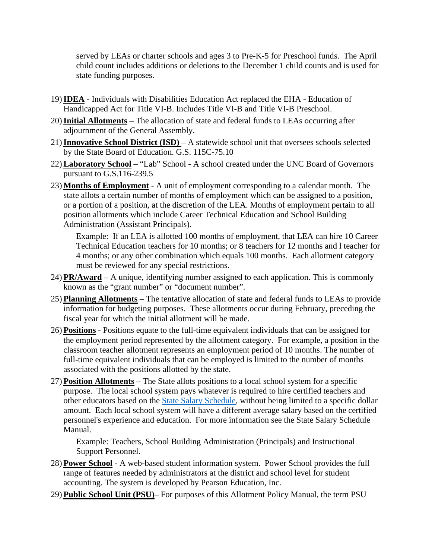served by LEAs or charter schools and ages 3 to Pre-K-5 for Preschool funds. The April child count includes additions or deletions to the December 1 child counts and is used for state funding purposes.

- 19)**IDEA** Individuals with Disabilities Education Act replaced the EHA Education of Handicapped Act for Title VI-B. Includes Title VI-B and Title VI-B Preschool.
- 20)**Initial Allotments** The allocation of state and federal funds to LEAs occurring after adjournment of the General Assembly.
- 21)**Innovative School District (ISD)**  A statewide school unit that oversees schools selected by the State Board of Education. G.S. 115C-75.10
- 22) **Laboratory School** "Lab" School A school created under the UNC Board of Governors pursuant to G.S.116-239.5
- 23) **Months of Employment** A unit of employment corresponding to a calendar month. The state allots a certain number of months of employment which can be assigned to a position, or a portion of a position, at the discretion of the LEA. Months of employment pertain to all position allotments which include Career Technical Education and School Building Administration (Assistant Principals).

Example: If an LEA is allotted 100 months of employment, that LEA can hire 10 Career Technical Education teachers for 10 months; or 8 teachers for 12 months and l teacher for 4 months; or any other combination which equals 100 months. Each allotment category must be reviewed for any special restrictions.

- 24) **PR/Award** A unique, identifying number assigned to each application. This is commonly known as the "grant number" or "document number".
- 25) **Planning Allotments** The tentative allocation of state and federal funds to LEAs to provide information for budgeting purposes. These allotments occur during February, preceding the fiscal year for which the initial allotment will be made.
- 26) **Positions** Positions equate to the full-time equivalent individuals that can be assigned for the employment period represented by the allotment category. For example, a position in the classroom teacher allotment represents an employment period of 10 months. The number of full-time equivalent individuals that can be employed is limited to the number of months associated with the positions allotted by the state.
- 27) **Position Allotments** The State allots positions to a local school system for a specific purpose. The local school system pays whatever is required to hire certified teachers and other educators based on the [State Salary Schedule,](https://www.dpi.nc.gov/districts-schools/district-operations/financial-and-business-services/compensation-public-school-employees) without being limited to a specific dollar amount. Each local school system will have a different average salary based on the certified personnel's experience and education. For more information see the State Salary Schedule Manual.

Example: Teachers, School Building Administration (Principals) and Instructional Support Personnel.

- 28) **Power School** A web-based student information system. Power School provides the full range of features needed by administrators at the district and school level for student accounting. The system is developed by Pearson Education, Inc.
- 29) **Public School Unit (PSU)** For purposes of this Allotment Policy Manual, the term PSU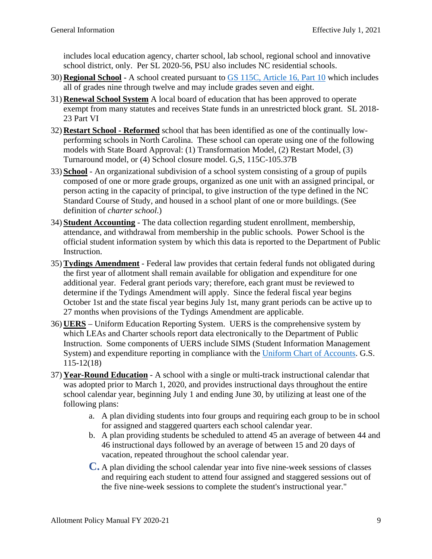includes local education agency, charter school, lab school, regional school and innovative school district, only. Per SL 2020-56, PSU also includes NC residential schools.

- 30) **Regional School** A school created pursuant to [GS 115C, Article 16, Part 10](https://www.ncleg.gov/EnactedLegislation/Statutes/PDF/ByArticle/Chapter_115C/Article_16.pdf#page=10) which includes all of grades nine through twelve and may include grades seven and eight.
- 31) **Renewal School System** A local board of education that has been approved to operate exempt from many statutes and receives State funds in an unrestricted block grant. SL 2018- 23 Part VI
- 32) **Restart School Reformed** school that has been identified as one of the continually lowperforming schools in North Carolina. These school can operate using one of the following models with State Board Approval: (1) Transformation Model, (2) Restart Model, (3) Turnaround model, or (4) School closure model. G,S, 115C-105.37B
- 33) **School** An organizational subdivision of a school system consisting of a group of pupils composed of one or more grade groups, organized as one unit with an assigned principal, or person acting in the capacity of principal, to give instruction of the type defined in the NC Standard Course of Study, and housed in a school plant of one or more buildings. (See definition of *charter school*.)
- 34) **Student Accounting** The data collection regarding student enrollment, membership, attendance, and withdrawal from membership in the public schools. Power School is the official student information system by which this data is reported to the Department of Public Instruction.
- 35) **Tydings Amendment** Federal law provides that certain federal funds not obligated during the first year of allotment shall remain available for obligation and expenditure for one additional year. Federal grant periods vary; therefore, each grant must be reviewed to determine if the Tydings Amendment will apply. Since the federal fiscal year begins October 1st and the state fiscal year begins July 1st, many grant periods can be active up to 27 months when provisions of the Tydings Amendment are applicable.
- 36) **UERS** Uniform Education Reporting System. UERS is the comprehensive system by which LEAs and Charter schools report data electronically to the Department of Public Instruction. Some components of UERS include SIMS (Student Information Management System) and expenditure reporting in compliance with the [Uniform Chart of Accounts.](http://www.ncpublicschools.org/fbs/finance/reporting/) G.S. 115-12(18)
- 37) **Year-Round Education** A school with a single or multi-track instructional calendar that was adopted prior to March 1, 2020, and provides instructional days throughout the entire school calendar year, beginning July 1 and ending June 30, by utilizing at least one of the following plans:
	- a. A plan dividing students into four groups and requiring each group to be in school for assigned and staggered quarters each school calendar year.
	- b. A plan providing students be scheduled to attend 45 an average of between 44 and 46 instructional days followed by an average of between 15 and 20 days of vacation, repeated throughout the school calendar year.
	- **C.** A plan dividing the school calendar year into five nine-week sessions of classes and requiring each student to attend four assigned and staggered sessions out of the five nine-week sessions to complete the student's instructional year."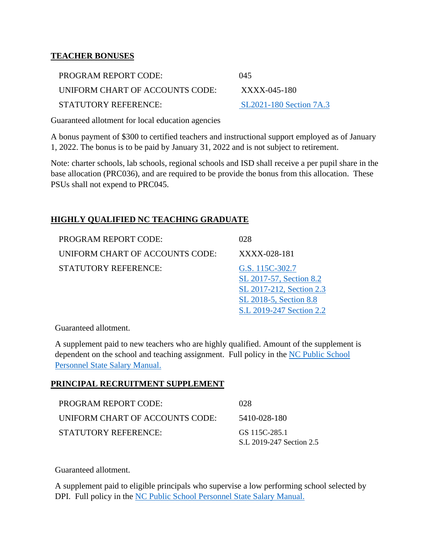#### <span id="page-9-0"></span>**TEACHER BONUSES**

| PROGRAM REPORT CODE:            | 045                            |
|---------------------------------|--------------------------------|
| UNIFORM CHART OF ACCOUNTS CODE: | XXXX-045-180                   |
| <b>STATUTORY REFERENCE:</b>     | <b>SL2021-180 Section 7A.3</b> |

Guaranteed allotment for local education agencies

A bonus payment of \$300 to certified teachers and instructional support employed as of January 1, 2022. The bonus is to be paid by January 31, 2022 and is not subject to retirement.

Note: charter schools, lab schools, regional schools and ISD shall receive a per pupil share in the base allocation (PRC036), and are required to be provide the bonus from this allocation. These PSUs shall not expend to PRC045.

#### <span id="page-9-1"></span>**HIGHLY QUALIFIED NC TEACHING GRADUATE**

| <b>PROGRAM REPORT CODE:</b>     | 028                                                                                                                          |
|---------------------------------|------------------------------------------------------------------------------------------------------------------------------|
| UNIFORM CHART OF ACCOUNTS CODE: | XXXX-028-181                                                                                                                 |
| <b>STATUTORY REFERENCE:</b>     | G.S. 115C-302.7<br>SL 2017-57, Section 8.2<br>SL 2017-212, Section 2.3<br>SL 2018-5, Section 8.8<br>S.L 2019-247 Section 2.2 |

Guaranteed allotment.

A supplement paid to new teachers who are highly qualified. Amount of the supplement is dependent on the school and teaching assignment. Full policy in the [NC Public School](https://www.dpi.nc.gov/districts-schools/district-operations/financial-and-business-services/compensation-public-school-employees#state-salary-manual-and-forms)  [Personnel State Salary Manual.](https://www.dpi.nc.gov/districts-schools/district-operations/financial-and-business-services/compensation-public-school-employees#state-salary-manual-and-forms) 

#### <span id="page-9-2"></span>**PRINCIPAL RECRUITMENT SUPPLEMENT**

| PROGRAM REPORT CODE:            | 028                                       |
|---------------------------------|-------------------------------------------|
| UNIFORM CHART OF ACCOUNTS CODE: | 5410-028-180                              |
| STATUTORY REFERENCE:            | GS 115C-285.1<br>S.L 2019-247 Section 2.5 |

Guaranteed allotment.

A supplement paid to eligible principals who supervise a low performing school selected by DPI. Full policy in the NC Public School Personnel State Salary Manual.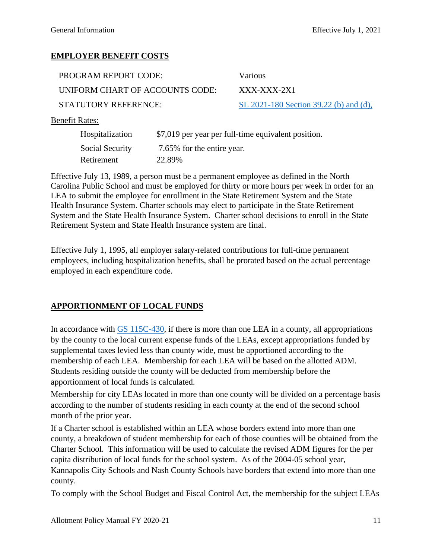#### <span id="page-10-0"></span>**EMPLOYER BENEFIT COSTS**

| PROGRAM REPORT CODE:            | Various                                |
|---------------------------------|----------------------------------------|
| UNIFORM CHART OF ACCOUNTS CODE: | XXX-XXX-2X1                            |
| STATUTORY REFERENCE:            | SL 2021-180 Section 39.22 (b) and (d), |

#### Benefit Rates:

| Hospitalization | \$7,019 per year per full-time equivalent position. |
|-----------------|-----------------------------------------------------|
| Social Security | 7.65% for the entire year.                          |
| Retirement      | 22.89%                                              |

Effective July 13, 1989, a person must be a permanent employee as defined in the North Carolina Public School and must be employed for thirty or more hours per week in order for an LEA to submit the employee for enrollment in the State Retirement System and the State Health Insurance System. Charter schools may elect to participate in the State Retirement System and the State Health Insurance System. Charter school decisions to enroll in the State Retirement System and State Health Insurance system are final.

Effective July 1, 1995, all employer salary-related contributions for full-time permanent employees, including hospitalization benefits, shall be prorated based on the actual percentage employed in each expenditure code.

#### <span id="page-10-1"></span>**APPORTIONMENT OF LOCAL FUNDS**

In accordance with [GS 115C-430,](https://www.ncleg.net/EnactedLegislation/Statutes/HTML/BySection/Chapter_115C/GS_115C-430.html) if there is more than one LEA in a county, all appropriations by the county to the local current expense funds of the LEAs, except appropriations funded by supplemental taxes levied less than county wide, must be apportioned according to the membership of each LEA. Membership for each LEA will be based on the allotted ADM. Students residing outside the county will be deducted from membership before the apportionment of local funds is calculated.

Membership for city LEAs located in more than one county will be divided on a percentage basis according to the number of students residing in each county at the end of the second school month of the prior year.

If a Charter school is established within an LEA whose borders extend into more than one county, a breakdown of student membership for each of those counties will be obtained from the Charter School. This information will be used to calculate the revised ADM figures for the per capita distribution of local funds for the school system. As of the 2004-05 school year, Kannapolis City Schools and Nash County Schools have borders that extend into more than one county.

To comply with the School Budget and Fiscal Control Act, the membership for the subject LEAs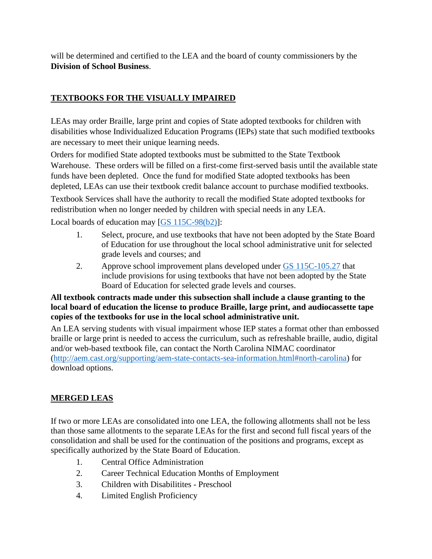will be determined and certified to the LEA and the board of county commissioners by the **Division of School Business**.

#### <span id="page-11-0"></span>**TEXTBOOKS FOR THE VISUALLY IMPAIRED**

LEAs may order Braille, large print and copies of State adopted textbooks for children with disabilities whose Individualized Education Programs (IEPs) state that such modified textbooks are necessary to meet their unique learning needs.

Orders for modified State adopted textbooks must be submitted to the State Textbook Warehouse. These orders will be filled on a first-come first-served basis until the available state funds have been depleted. Once the fund for modified State adopted textbooks has been depleted, LEAs can use their textbook credit balance account to purchase modified textbooks.

Textbook Services shall have the authority to recall the modified State adopted textbooks for redistribution when no longer needed by children with special needs in any LEA.

Local boards of education may [\[GS 115C-98\(b2\)\]](https://www.ncleg.net/EnactedLegislation/Statutes/HTML/BySection/Chapter_115C/GS_115C-98.html):

- 1. Select, procure, and use textbooks that have not been adopted by the State Board of Education for use throughout the local school administrative unit for selected grade levels and courses; and
- 2. Approve school improvement plans developed under [GS 115C-105.27](https://www.ncleg.gov/enactedlegislation/statutes/pdf/bysection/chapter_115c/gs_115c-105.27.pdf) that include provisions for using textbooks that have not been adopted by the State Board of Education for selected grade levels and courses.

#### **All textbook contracts made under this subsection shall include a clause granting to the local board of education the license to produce Braille, large print, and audiocassette tape copies of the textbooks for use in the local school administrative unit.**

An LEA serving students with visual impairment whose IEP states a format other than embossed braille or large print is needed to access the curriculum, such as refreshable braille, audio, digital and/or web-based textbook file, can contact the North Carolina NIMAC coordinator [\(http://aem.cast.org/supporting/aem-state-contacts-sea-information.html#north-carolina\)](http://aem.cast.org/supporting/aem-state-contacts-sea-information.html#north-carolina) for download options.

#### <span id="page-11-1"></span>**MERGED LEAS**

If two or more LEAs are consolidated into one LEA, the following allotments shall not be less than those same allotments to the separate LEAs for the first and second full fiscal years of the consolidation and shall be used for the continuation of the positions and programs, except as specifically authorized by the State Board of Education.

- 1. Central Office Administration
- 2. Career Technical Education Months of Employment
- 3. Children with Disabilitites Preschool
- 4. Limited English Proficiency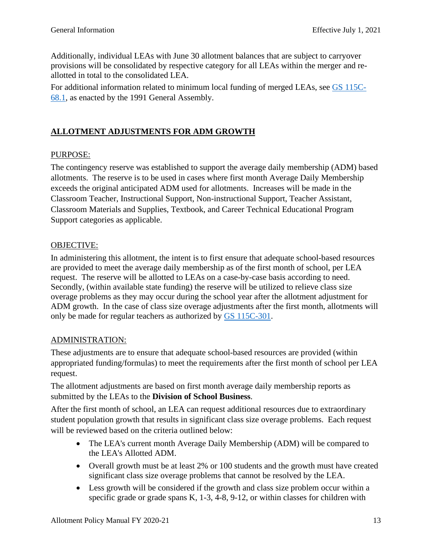Additionally, individual LEAs with June 30 allotment balances that are subject to carryover provisions will be consolidated by respective category for all LEAs within the merger and reallotted in total to the consolidated LEA.

For additional information related to minimum local funding of merged LEAs, see [GS 115C-](https://www.ncleg.gov/EnactedLegislation/Statutes/PDF/BySection/Chapter_115C/GS_115C-68.1.pdf)[68.1,](https://www.ncleg.gov/EnactedLegislation/Statutes/PDF/BySection/Chapter_115C/GS_115C-68.1.pdf) as enacted by the 1991 General Assembly.

#### <span id="page-12-0"></span>**ALLOTMENT ADJUSTMENTS FOR ADM GROWTH**

#### PURPOSE:

The contingency reserve was established to support the average daily membership (ADM) based allotments. The reserve is to be used in cases where first month Average Daily Membership exceeds the original anticipated ADM used for allotments. Increases will be made in the Classroom Teacher, Instructional Support, Non-instructional Support, Teacher Assistant, Classroom Materials and Supplies, Textbook, and Career Technical Educational Program Support categories as applicable.

#### OBJECTIVE:

In administering this allotment, the intent is to first ensure that adequate school-based resources are provided to meet the average daily membership as of the first month of school, per LEA request. The reserve will be allotted to LEAs on a case-by-case basis according to need. Secondly, (within available state funding) the reserve will be utilized to relieve class size overage problems as they may occur during the school year after the allotment adjustment for ADM growth. In the case of class size overage adjustments after the first month, allotments will only be made for regular teachers as authorized by [GS 115C-301.](https://www.ncleg.net/EnactedLegislation/Statutes/PDF/BySection/Chapter_115c/GS_115C-301.pdf)

#### ADMINISTRATION:

These adjustments are to ensure that adequate school-based resources are provided (within appropriated funding/formulas) to meet the requirements after the first month of school per LEA request.

The allotment adjustments are based on first month average daily membership reports as submitted by the LEAs to the **Division of School Business**.

After the first month of school, an LEA can request additional resources due to extraordinary student population growth that results in significant class size overage problems. Each request will be reviewed based on the criteria outlined below:

- The LEA's current month Average Daily Membership (ADM) will be compared to the LEA's Allotted ADM.
- Overall growth must be at least 2% or 100 students and the growth must have created significant class size overage problems that cannot be resolved by the LEA.
- Less growth will be considered if the growth and class size problem occur within a specific grade or grade spans K, 1-3, 4-8, 9-12, or within classes for children with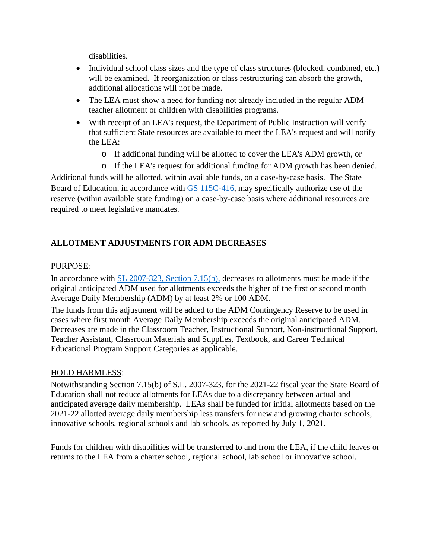disabilities.

- Individual school class sizes and the type of class structures (blocked, combined, etc.) will be examined. If reorganization or class restructuring can absorb the growth, additional allocations will not be made.
- The LEA must show a need for funding not already included in the regular ADM teacher allotment or children with disabilities programs.
- With receipt of an LEA's request, the Department of Public Instruction will verify that sufficient State resources are available to meet the LEA's request and will notify the LEA:
	- o If additional funding will be allotted to cover the LEA's ADM growth, or
	- o If the LEA's request for additional funding for ADM growth has been denied.

Additional funds will be allotted, within available funds, on a case-by-case basis. The State Board of Education, in accordance with [GS 115C-416,](https://www.ncleg.gov/EnactedLegislation/Statutes/PDF/BySection/Chapter_115C/GS_115C-416.pdf) may specifically authorize use of the reserve (within available state funding) on a case-by-case basis where additional resources are required to meet legislative mandates.

#### <span id="page-13-0"></span>**ALLOTMENT ADJUSTMENTS FOR ADM DECREASES**

#### PURPOSE:

In accordance with [SL 2007-323, Section 7.15\(b\),](https://www.ncleg.gov/Sessions/2007/Bills/House/PDF/H1473v10.pdf#page=36) decreases to allotments must be made if the original anticipated ADM used for allotments exceeds the higher of the first or second month Average Daily Membership (ADM) by at least 2% or 100 ADM.

The funds from this adjustment will be added to the ADM Contingency Reserve to be used in cases where first month Average Daily Membership exceeds the original anticipated ADM. Decreases are made in the Classroom Teacher, Instructional Support, Non-instructional Support, Teacher Assistant, Classroom Materials and Supplies, Textbook, and Career Technical Educational Program Support Categories as applicable.

#### HOLD HARMLESS:

Notwithstanding Section 7.15(b) of S.L. 2007-323, for the 2021-22 fiscal year the State Board of Education shall not reduce allotments for LEAs due to a discrepancy between actual and anticipated average daily membership. LEAs shall be funded for initial allotments based on the 2021-22 allotted average daily membership less transfers for new and growing charter schools, innovative schools, regional schools and lab schools, as reported by July 1, 2021.

Funds for children with disabilities will be transferred to and from the LEA, if the child leaves or returns to the LEA from a charter school, regional school, lab school or innovative school.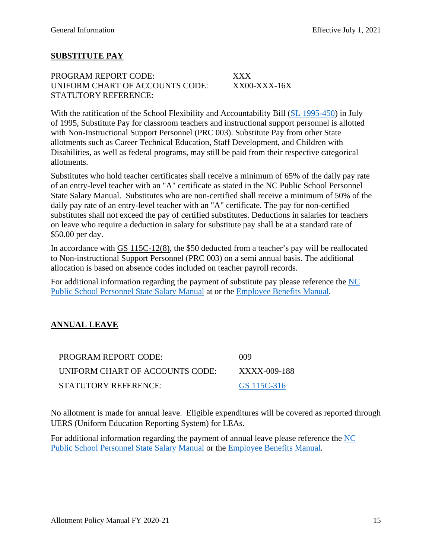#### <span id="page-14-0"></span>**SUBSTITUTE PAY**

PROGRAM REPORT CODE: XXX UNIFORM CHART OF ACCOUNTS CODE: XX00-XXX-16X STATUTORY REFERENCE:

With the ratification of the School Flexibility and Accountability Bill [\(SL 1995-450\)](https://www.ncleg.gov/EnactedLegislation/SessionLaws/HTML/1995-1996/SL1995-450.html) in July of 1995, Substitute Pay for classroom teachers and instructional support personnel is allotted with Non-Instructional Support Personnel (PRC 003). Substitute Pay from other State allotments such as Career Technical Education, Staff Development, and Children with Disabilities, as well as federal programs, may still be paid from their respective categorical allotments.

Substitutes who hold teacher certificates shall receive a minimum of 65% of the daily pay rate of an entry-level teacher with an "A" certificate as stated in the NC Public School Personnel State Salary Manual. Substitutes who are non-certified shall receive a minimum of 50% of the daily pay rate of an entry-level teacher with an "A" certificate. The pay for non-certified substitutes shall not exceed the pay of certified substitutes. Deductions in salaries for teachers on leave who require a deduction in salary for substitute pay shall be at a standard rate of \$50.00 per day.

In accordance with [GS 115C-12\(8\),](https://www.ncleg.net/EnactedLegislation/Statutes/HTML/BySection/Chapter_115C/GS_115C-12.html) the \$50 deducted from a teacher's pay will be reallocated to Non-instructional Support Personnel (PRC 003) on a semi annual basis. The additional allocation is based on absence codes included on teacher payroll records.

For additional information regarding the payment of substitute pay please reference the [NC](https://www.dpi.nc.gov/districts-schools/district-operations/financial-and-business-services/compensation-public-school-employees#state-salary-manual-and-forms)  [Public School Personnel State Salary Manual](https://www.dpi.nc.gov/districts-schools/district-operations/financial-and-business-services/compensation-public-school-employees#state-salary-manual-and-forms) at or the [Employee Benefits Manual.](https://www.dpi.nc.gov/districts-schools/districts-schools-support/district-human-capital/employee-policy)

#### <span id="page-14-1"></span>**ANNUAL LEAVE**

| PROGRAM REPORT CODE:            | 009          |
|---------------------------------|--------------|
| UNIFORM CHART OF ACCOUNTS CODE: | XXXX-009-188 |
| STATUTORY REFERENCE:            | GS 115C-316  |

No allotment is made for annual leave. Eligible expenditures will be covered as reported through UERS (Uniform Education Reporting System) for LEAs.

For additional information regarding the payment of annual leave please reference the [NC](https://www.dpi.nc.gov/districts-schools/district-operations/financial-and-business-services/compensation-public-school-employees#state-salary-manual-and-forms)  [Public School Personnel State Salary Manual](https://www.dpi.nc.gov/districts-schools/district-operations/financial-and-business-services/compensation-public-school-employees#state-salary-manual-and-forms) or the [Employee Benefits Manual.](https://www.dpi.nc.gov/districts-schools/districts-schools-support/district-human-capital/employee-policy)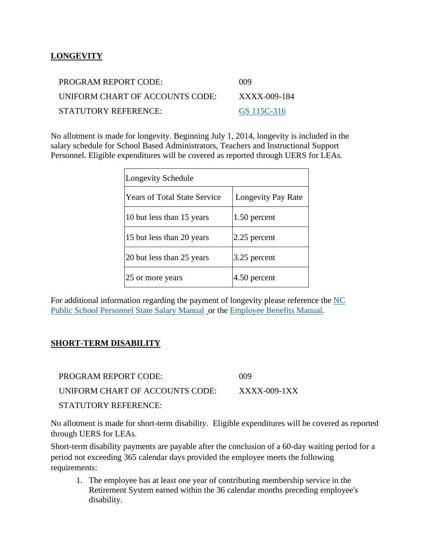#### <span id="page-15-0"></span>**LONGEVITY**

| PROGRAM REPORT CODE:            | 009          |
|---------------------------------|--------------|
| UNIFORM CHART OF ACCOUNTS CODE: | XXXX-009-184 |
| STATUTORY REFERENCE:            | GS 115C-316  |

No allotment is made for longevity. Beginning July 1, 2014, longevity is included in the salary schedule for School Based Administrators, Teachers and Instructional Support Personnel. Eligible expenditures will be covered as reported through UERS for LEAs.

| Longevity Schedule                  |                    |
|-------------------------------------|--------------------|
| <b>Years of Total State Service</b> | Longevity Pay Rate |
| 10 but less than 15 years           | 1.50 percent       |
| 15 but less than 20 years           | 2.25 percent       |
| 20 but less than 25 years           | 3.25 percent       |
| 25 or more years                    | 4.50 percent       |

For additional information regarding the payment of longevity please reference the [NC](https://www.dpi.nc.gov/districts-schools/district-operations/financial-and-business-services/compensation-public-school-employees#state-salary-manual-and-forms)  [Public School Personnel State Salary Manual](https://www.dpi.nc.gov/districts-schools/district-operations/financial-and-business-services/compensation-public-school-employees#state-salary-manual-and-forms) or the [Employee Benefits Manual.](https://www.dpi.nc.gov/districts-schools/districts-schools-support/district-human-capital/employee-policy)

#### <span id="page-15-1"></span>**SHORT-TERM DISABILITY**

PROGRAM REPORT CODE: 009 UNIFORM CHART OF ACCOUNTS CODE: XXXX-009-1XX STATUTORY REFERENCE:

No allotment is made for short-term disability. Eligible expenditures will be covered as reported through UERS for LEAs.

Short-term disability payments are payable after the conclusion of a 60-day waiting period for a period not exceeding 365 calendar days provided the employee meets the following requirements:

1. The employee has at least one year of contributing membership service in the Retirement System earned within the 36 calendar months preceding employee's disability.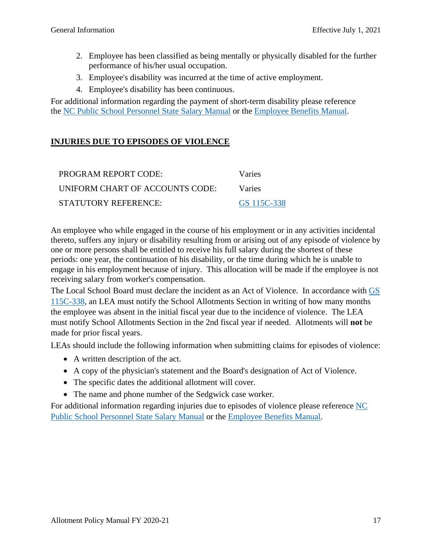- 2. Employee has been classified as being mentally or physically disabled for the further performance of his/her usual occupation.
- 3. Employee's disability was incurred at the time of active employment.
- 4. Employee's disability has been continuous.

For additional information regarding the payment of short-term disability please reference the [NC Public School Personnel State Salary Manual](https://www.dpi.nc.gov/districts-schools/district-operations/financial-and-business-services/compensation-public-school-employees#state-salary-manual-and-forms) or the [Employee Benefits Manual.](https://www.dpi.nc.gov/districts-schools/districts-schools-support/district-human-capital/employee-policy)

#### <span id="page-16-0"></span>**INJURIES DUE TO EPISODES OF VIOLENCE**

| PROGRAM REPORT CODE:            | Varies        |
|---------------------------------|---------------|
| UNIFORM CHART OF ACCOUNTS CODE: | <b>Varies</b> |
| STATUTORY REFERENCE:            | GS 115C-338   |

An employee who while engaged in the course of his employment or in any activities incidental thereto, suffers any injury or disability resulting from or arising out of any episode of violence by one or more persons shall be entitled to receive his full salary during the shortest of these periods: one year, the continuation of his disability, or the time during which he is unable to engage in his employment because of injury. This allocation will be made if the employee is not receiving salary from worker's compensation.

The Local School Board must declare the incident as an Act of Violence. In accordance with GS [115C-338,](https://www.ncleg.gov/EnactedLegislation/Statutes/PDF/BySection/Chapter_115C/GS_115C-338.pdf) an LEA must notify the School Allotments Section in writing of how many months the employee was absent in the initial fiscal year due to the incidence of violence. The LEA must notify School Allotments Section in the 2nd fiscal year if needed. Allotments will **not** be made for prior fiscal years.

LEAs should include the following information when submitting claims for episodes of violence:

- A written description of the act.
- A copy of the physician's statement and the Board's designation of Act of Violence.
- The specific dates the additional allotment will cover.
- The name and phone number of the Sedgwick case worker.

For additional information regarding injuries due to episodes of violence please reference [NC](https://www.dpi.nc.gov/districts-schools/district-operations/financial-and-business-services/compensation-public-school-employees#state-salary-manual-and-forms)  [Public School Personnel State Salary Manual](https://www.dpi.nc.gov/districts-schools/district-operations/financial-and-business-services/compensation-public-school-employees#state-salary-manual-and-forms) or the [Employee Benefits Manual.](https://www.dpi.nc.gov/districts-schools/districts-schools-support/district-human-capital/employee-policy)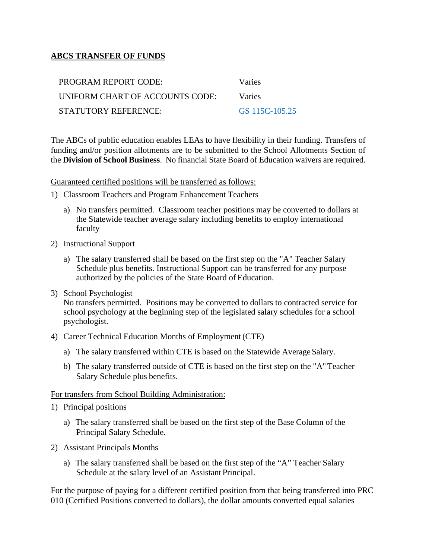#### <span id="page-17-0"></span>**ABCS TRANSFER OF FUNDS**

| PROGRAM REPORT CODE:            | Varies         |
|---------------------------------|----------------|
| UNIFORM CHART OF ACCOUNTS CODE: | <b>Varies</b>  |
| STATUTORY REFERENCE:            | GS 115C-105.25 |

The ABCs of public education enables LEAs to have flexibility in their funding. Transfers of funding and/or position allotments are to be submitted to the School Allotments Section of the **Division of School Business**. No financial State Board of Education waivers are required.

Guaranteed certified positions will be transferred as follows:

- 1) Classroom Teachers and Program Enhancement Teachers
	- a) No transfers permitted. Classroom teacher positions may be converted to dollars at the Statewide teacher average salary including benefits to employ international faculty
- 2) Instructional Support
	- a) The salary transferred shall be based on the first step on the "A" Teacher Salary Schedule plus benefits. Instructional Support can be transferred for any purpose authorized by the policies of the State Board of Education.
- 3) School Psychologist No transfers permitted. Positions may be converted to dollars to contracted service for school psychology at the beginning step of the legislated salary schedules for a school psychologist.
- 4) Career Technical Education Months of Employment (CTE)
	- a) The salary transferred within CTE is based on the Statewide Average Salary.
	- b) The salary transferred outside of CTE is based on the first step on the "A" Teacher Salary Schedule plus benefits.

#### For transfers from School Building Administration:

- 1) Principal positions
	- a) The salary transferred shall be based on the first step of the Base Column of the Principal Salary Schedule.
- 2) Assistant Principals Months
	- a) The salary transferred shall be based on the first step of the "A" Teacher Salary Schedule at the salary level of an Assistant Principal.

For the purpose of paying for a different certified position from that being transferred into PRC 010 (Certified Positions converted to dollars), the dollar amounts converted equal salaries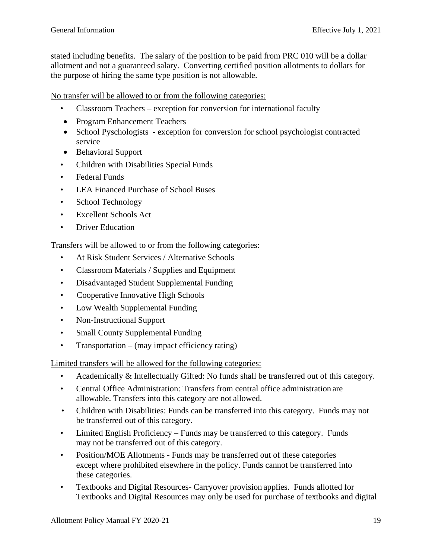stated including benefits. The salary of the position to be paid from PRC 010 will be a dollar allotment and not a guaranteed salary. Converting certified position allotments to dollars for the purpose of hiring the same type position is not allowable.

No transfer will be allowed to or from the following categories:

- Classroom Teachers exception for conversion for international faculty
- Program Enhancement Teachers
- School Pyschologists exception for conversion for school psychologist contracted service
- Behavioral Support
- Children with Disabilities Special Funds
- Federal Funds
- LEA Financed Purchase of School Buses
- School Technology
- Excellent Schools Act
- Driver Education

Transfers will be allowed to or from the following categories:

- At Risk Student Services / Alternative Schools
- Classroom Materials / Supplies and Equipment
- Disadvantaged Student Supplemental Funding
- Cooperative Innovative High Schools
- Low Wealth Supplemental Funding
- Non-Instructional Support
- Small County Supplemental Funding
- Transportation (may impact efficiency rating)

Limited transfers will be allowed for the following categories:

- Academically & Intellectually Gifted: No funds shall be transferred out of this category.
- Central Office Administration: Transfers from central office administration are allowable. Transfers into this category are not allowed.
- Children with Disabilities: Funds can be transferred into this category. Funds may not be transferred out of this category.
- Limited English Proficiency Funds may be transferred to this category. Funds may not be transferred out of this category.
- Position/MOE Allotments Funds may be transferred out of these categories except where prohibited elsewhere in the policy. Funds cannot be transferred into these categories.
- Textbooks and Digital Resources- Carryover provision applies. Funds allotted for Textbooks and Digital Resources may only be used for purchase of textbooks and digital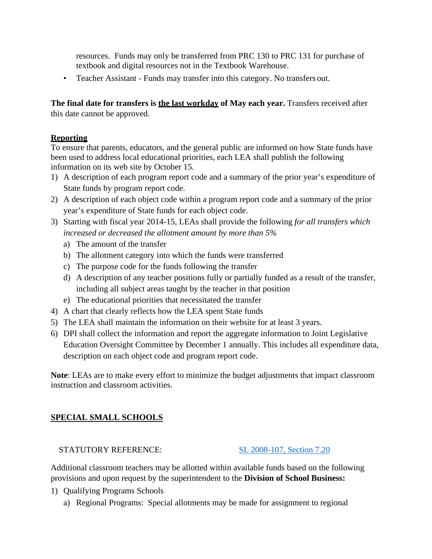resources. Funds may only be transferred from PRC 130 to PRC 131 for purchase of textbook and digital resources not in the Textbook Warehouse.

• Teacher Assistant - Funds may transfer into this category. No transfers out.

**The final date for transfers is the last workday of May each year.** Transfers received after this date cannot be approved.

#### **Reporting**

To ensure that parents, educators, and the general public are informed on how State funds have been used to address local educational priorities, each LEA shall publish the following information on its web site by October 15.

- 1) A description of each program report code and a summary of the prior year's expenditure of State funds by program report code.
- 2) A description of each object code within a program report code and a summary of the prior year's expenditure of State funds for each object code.
- 3) Starting with fiscal year 2014-15, LEAs shall provide the following *for all transfers which increased or decreased the allotment amount by more than 5%*
	- a) The amount of the transfer
	- b) The allotment category into which the funds were transferred
	- c) The purpose code for the funds following the transfer
	- d) A description of any teacher positions fully or partially funded as a result of the transfer, including all subject areas taught by the teacher in that position
	- e) The educational priorities that necessitated the transfer
- 4) A chart that clearly reflects how the LEA spent State funds
- 5) The LEA shall maintain the information on their website for at least 3 years.
- 6) DPI shall collect the information and report the aggregate information to Joint Legislative Education Oversight Committee by December 1 annually. This includes all expenditure data, description on each object code and program report code.

**Note**: LEAs are to make every effort to minimize the budget adjustments that impact classroom instruction and classroom activities.

#### <span id="page-19-0"></span>**SPECIAL SMALL SCHOOLS**

#### STATUTORY REFERENCE: [SL 2008-107, Section 7.20](https://www.ncleg.gov/Sessions/2007/Bills/House/PDF/H2436v9.pdf#page=26)

Additional classroom teachers may be allotted within available funds based on the following provisions and upon request by the superintendent to the **Division of School Business:**

- 1) Qualifying Programs Schools
	- a) Regional Programs: Special allotments may be made for assignment to regional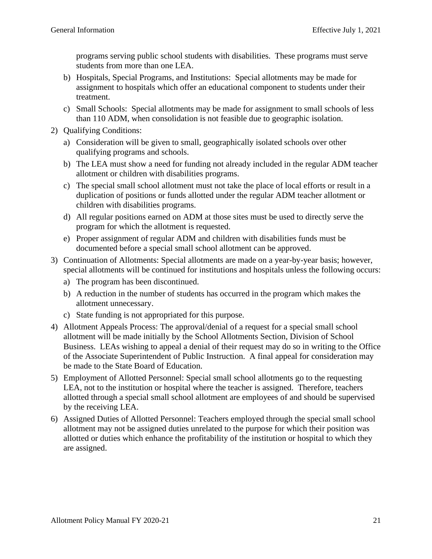programs serving public school students with disabilities. These programs must serve students from more than one LEA.

- b) Hospitals, Special Programs, and Institutions: Special allotments may be made for assignment to hospitals which offer an educational component to students under their treatment.
- c) Small Schools: Special allotments may be made for assignment to small schools of less than 110 ADM, when consolidation is not feasible due to geographic isolation.
- 2) Qualifying Conditions:
	- a) Consideration will be given to small, geographically isolated schools over other qualifying programs and schools.
	- b) The LEA must show a need for funding not already included in the regular ADM teacher allotment or children with disabilities programs.
	- c) The special small school allotment must not take the place of local efforts or result in a duplication of positions or funds allotted under the regular ADM teacher allotment or children with disabilities programs.
	- d) All regular positions earned on ADM at those sites must be used to directly serve the program for which the allotment is requested.
	- e) Proper assignment of regular ADM and children with disabilities funds must be documented before a special small school allotment can be approved.
- 3) Continuation of Allotments: Special allotments are made on a year-by-year basis; however, special allotments will be continued for institutions and hospitals unless the following occurs:
	- a) The program has been discontinued.
	- b) A reduction in the number of students has occurred in the program which makes the allotment unnecessary.
	- c) State funding is not appropriated for this purpose.
- 4) Allotment Appeals Process: The approval/denial of a request for a special small school allotment will be made initially by the School Allotments Section, Division of School Business. LEAs wishing to appeal a denial of their request may do so in writing to the Office of the Associate Superintendent of Public Instruction. A final appeal for consideration may be made to the State Board of Education.
- 5) Employment of Allotted Personnel: Special small school allotments go to the requesting LEA, not to the institution or hospital where the teacher is assigned. Therefore, teachers allotted through a special small school allotment are employees of and should be supervised by the receiving LEA.
- 6) Assigned Duties of Allotted Personnel: Teachers employed through the special small school allotment may not be assigned duties unrelated to the purpose for which their position was allotted or duties which enhance the profitability of the institution or hospital to which they are assigned.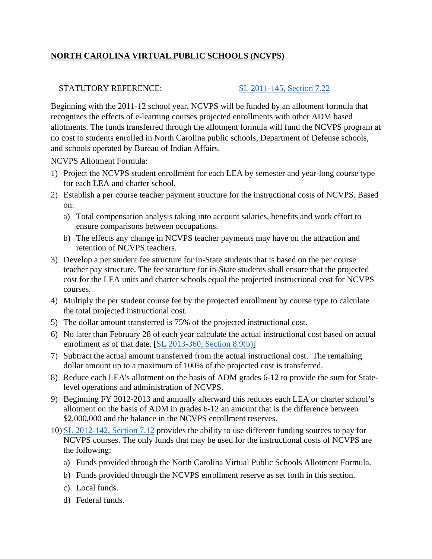#### <span id="page-21-0"></span>**NORTH CAROLINA VIRTUAL PUBLIC SCHOOLS (NCVPS)**

#### STATUTORY REFERENCE: [SL 2011-145, Section 7.22](https://www.ncleg.net/EnactedLegislation/SessionLaws/PDF/2011-2012/SL2011-145.pdf#page=62)

Beginning with the 2011-12 school year, NCVPS will be funded by an allotment formula that recognizes the effects of e-learning courses projected enrollments with other ADM based allotments. The funds transferred through the allotment formula will fund the NCVPS program at no cost to students enrolled in North Carolina public schools, Department of Defense schools, and schools operated by Bureau of Indian Affairs.

NCVPS Allotment Formula:

- 1) Project the NCVPS student enrollment for each LEA by semester and year-long course type for each LEA and charter school.
- 2) Establish a per course teacher payment structure for the instructional costs of NCVPS. Based on:
	- a) Total compensation analysis taking into account salaries, benefits and work effort to ensure comparisons between occupations.
	- b) The effects any change in NCVPS teacher payments may have on the attraction and retention of NCVPS teachers.
- 3) Develop a per student fee structure for in-State students that is based on the per course teacher pay structure. The fee structure for in-State students shall ensure that the projected cost for the LEA units and charter schools equal the projected instructional cost for NCVPS courses.
- 4) Multiply the per student course fee by the projected enrollment by course type to calculate the total projected instructional cost.
- 5) The dollar amount transferred is 75% of the projected instructional cost.
- 6) No later than February 28 of each year calculate the actual instructional cost based on actual enrollment as of that date. [\[SL 2013-360, Section 8.9\(b\)\]](https://www.ncleg.net/EnactedLegislation/SessionLaws/PDF/2013-2014/SL2013-360.pdf#page=53)
- 7) Subtract the actual amount transferred from the actual instructional cost. The remaining dollar amount up to a maximum of 100% of the projected cost is transferred.
- 8) Reduce each LEA's allotment on the basis of ADM grades 6-12 to provide the sum for Statelevel operations and administration of NCVPS.
- 9) Beginning FY 2012-2013 and annually afterward this reduces each LEA or charter school's allotment on the basis of ADM in grades 6-12 an amount that is the difference between \$2,000,000 and the balance in the NCVPS enrollment reserves.
- 10) [SL 2012-142, Section 7.12](https://www.ncleg.gov/Sessions/2011/Bills/House/PDF/H950v7.pdf#page=36) provides the ability to use different funding sources to pay for NCVPS courses. The only funds that may be used for the instructional costs of NCVPS are the following:
	- a) Funds provided through the North Carolina Virtual Public Schools Allotment Formula.
	- b) Funds provided through the NCVPS enrollment reserve as set forth in this section.
	- c) Local funds.
	- d) Federal funds.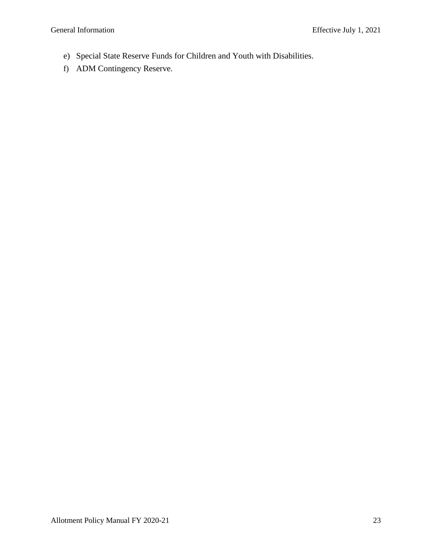- e) Special State Reserve Funds for Children and Youth with Disabilities.
- f) ADM Contingency Reserve.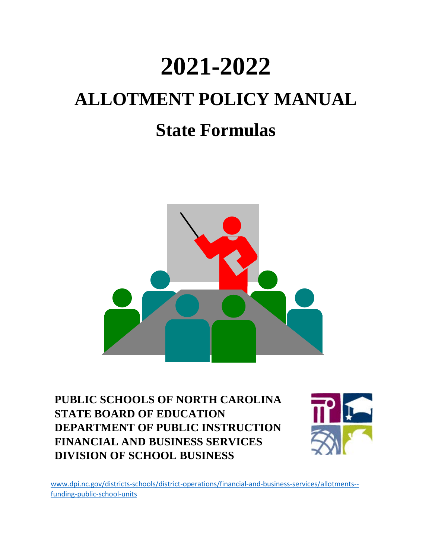# **2021-2022 ALLOTMENT POLICY MANUAL State Formulas**



**PUBLIC SCHOOLS OF NORTH CAROLINA STATE BOARD OF EDUCATION DEPARTMENT OF PUBLIC INSTRUCTION FINANCIAL AND BUSINESS SERVICES DIVISION OF SCHOOL BUSINESS**



[www.dpi.nc.gov/districts-schools/district-operations/financial-and-business-services/allotments-](https://www.dpi.nc.gov/districts-schools/district-operations/financial-and-business-services/allotments-%E2%80%94-funding-public-school-units) [funding-public-school-units](https://www.dpi.nc.gov/districts-schools/district-operations/financial-and-business-services/allotments-%E2%80%94-funding-public-school-units)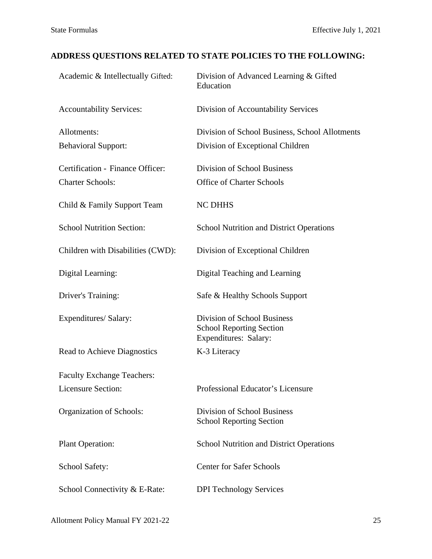### **ADDRESS QUESTIONS RELATED TO STATE POLICIES TO THE FOLLOWING:**

| Academic & Intellectually Gifted:  | Division of Advanced Learning & Gifted<br>Education                                     |
|------------------------------------|-----------------------------------------------------------------------------------------|
| <b>Accountability Services:</b>    | Division of Accountability Services                                                     |
| Allotments:                        | Division of School Business, School Allotments                                          |
| <b>Behavioral Support:</b>         | Division of Exceptional Children                                                        |
| Certification - Finance Officer:   | <b>Division of School Business</b>                                                      |
| <b>Charter Schools:</b>            | <b>Office of Charter Schools</b>                                                        |
| Child & Family Support Team        | <b>NC DHHS</b>                                                                          |
| <b>School Nutrition Section:</b>   | <b>School Nutrition and District Operations</b>                                         |
| Children with Disabilities (CWD):  | Division of Exceptional Children                                                        |
| Digital Learning:                  | Digital Teaching and Learning                                                           |
| Driver's Training:                 | Safe & Healthy Schools Support                                                          |
| Expenditures/ Salary:              | Division of School Business<br><b>School Reporting Section</b><br>Expenditures: Salary: |
| <b>Read to Achieve Diagnostics</b> | K-3 Literacy                                                                            |
| <b>Faculty Exchange Teachers:</b>  |                                                                                         |
| <b>Licensure Section:</b>          | Professional Educator's Licensure                                                       |
| Organization of Schools:           | Division of School Business<br><b>School Reporting Section</b>                          |
| Plant Operation:                   | <b>School Nutrition and District Operations</b>                                         |
| <b>School Safety:</b>              | <b>Center for Safer Schools</b>                                                         |
| School Connectivity & E-Rate:      | <b>DPI Technology Services</b>                                                          |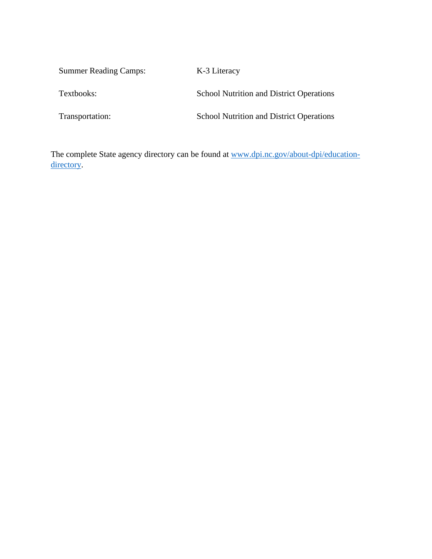Summer Reading Camps: K-3 Literacy Textbooks: School Nutrition and District Operations Transportation: School Nutrition and District Operations

The complete State agency directory can be found at [www.dpi.nc.gov/about-dpi/education](https://www.dpi.nc.gov/about-dpi/education-directory)[directory.](https://www.dpi.nc.gov/about-dpi/education-directory)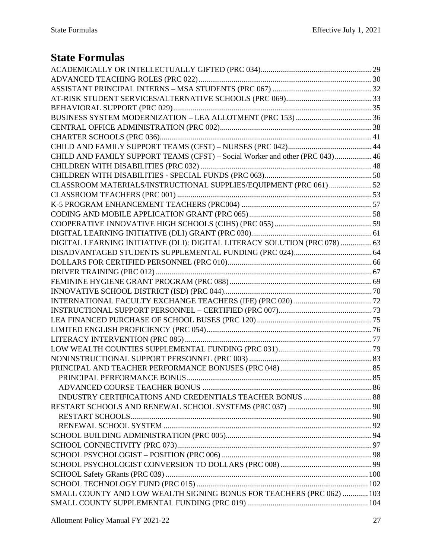### **State Formulas**

| CHILD AND FAMILY SUPPORT TEAMS (CFST) - Social Worker and other (PRC 043) 46 |  |
|------------------------------------------------------------------------------|--|
|                                                                              |  |
|                                                                              |  |
| CLASSROOM MATERIALS/INSTRUCTIONAL SUPPLIES/EQUIPMENT (PRC 061)52             |  |
|                                                                              |  |
|                                                                              |  |
|                                                                              |  |
|                                                                              |  |
|                                                                              |  |
| DIGITAL LEARNING INITIATIVE (DLI): DIGITAL LITERACY SOLUTION (PRC 078)  63   |  |
|                                                                              |  |
|                                                                              |  |
|                                                                              |  |
|                                                                              |  |
|                                                                              |  |
|                                                                              |  |
|                                                                              |  |
|                                                                              |  |
|                                                                              |  |
|                                                                              |  |
|                                                                              |  |
|                                                                              |  |
|                                                                              |  |
|                                                                              |  |
|                                                                              |  |
|                                                                              |  |
|                                                                              |  |
|                                                                              |  |
|                                                                              |  |
|                                                                              |  |
|                                                                              |  |
|                                                                              |  |
|                                                                              |  |
|                                                                              |  |
|                                                                              |  |
| SMALL COUNTY AND LOW WEALTH SIGNING BONUS FOR TEACHERS (PRC 062)  103        |  |
|                                                                              |  |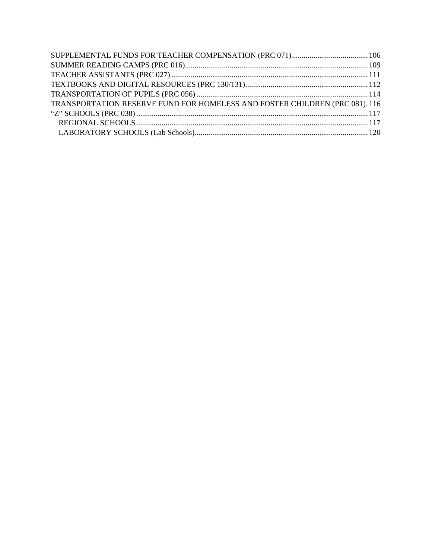| TRANSPORTATION RESERVE FUND FOR HOMELESS AND FOSTER CHILDREN (PRC 081). 116 |  |
|-----------------------------------------------------------------------------|--|
|                                                                             |  |
|                                                                             |  |
|                                                                             |  |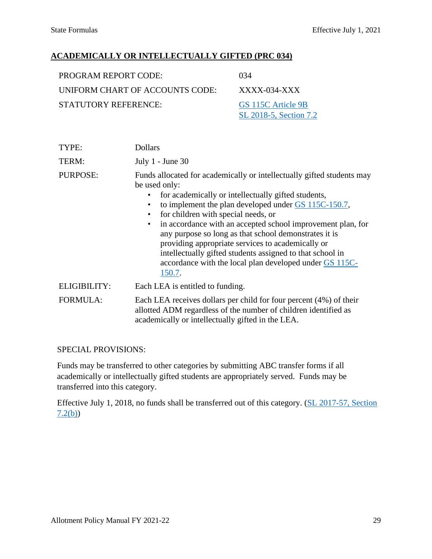#### <span id="page-28-0"></span>**ACADEMICALLY OR INTELLECTUALLY GIFTED (PRC 034)**

| <b>PROGRAM REPORT CODE:</b>     | 034                                          |
|---------------------------------|----------------------------------------------|
| UNIFORM CHART OF ACCOUNTS CODE: | XXXX-034-XXX                                 |
| <b>STATUTORY REFERENCE:</b>     | GS 115C Article 9B<br>SL 2018-5, Section 7.2 |

| TYPE:           | <b>Dollars</b>                                                                                                                                                                                                                                                                                                                                                                                                                                                                                                                                                                           |
|-----------------|------------------------------------------------------------------------------------------------------------------------------------------------------------------------------------------------------------------------------------------------------------------------------------------------------------------------------------------------------------------------------------------------------------------------------------------------------------------------------------------------------------------------------------------------------------------------------------------|
| TERM:           | July $1$ - June 30                                                                                                                                                                                                                                                                                                                                                                                                                                                                                                                                                                       |
| <b>PURPOSE:</b> | Funds allocated for academically or intellectually gifted students may<br>be used only:<br>for academically or intellectually gifted students,<br>to implement the plan developed under $GS$ 115C-150.7,<br>for children with special needs, or<br>$\bullet$<br>in accordance with an accepted school improvement plan, for<br>$\bullet$<br>any purpose so long as that school demonstrates it is<br>providing appropriate services to academically or<br>intellectually gifted students assigned to that school in<br>accordance with the local plan developed under GS 115C-<br>150.7. |
| ELIGIBILITY:    | Each LEA is entitled to funding.                                                                                                                                                                                                                                                                                                                                                                                                                                                                                                                                                         |
| <b>FORMULA:</b> | Each LEA receives dollars per child for four percent (4%) of their<br>allotted ADM regardless of the number of children identified as<br>academically or intellectually gifted in the LEA.                                                                                                                                                                                                                                                                                                                                                                                               |

SPECIAL PROVISIONS:

Funds may be transferred to other categories by submitting ABC transfer forms if all academically or intellectually gifted students are appropriately served. Funds may be transferred into this category.

Effective July 1, 2018, no funds shall be transferred out of this category. [\(SL 2017-57, Section](https://www.ncleg.net/Sessions/2017/Bills/Senate/PDF/S257v9.pdf#page=22)  [7.2\(b\)\)](https://www.ncleg.net/Sessions/2017/Bills/Senate/PDF/S257v9.pdf#page=22)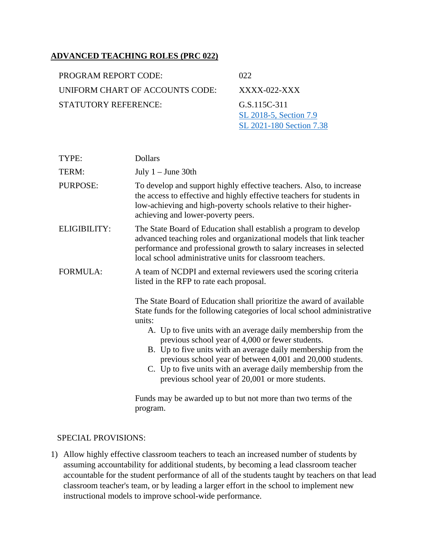#### <span id="page-29-0"></span>**ADVANCED TEACHING ROLES (PRC 022)**

| PROGRAM REPORT CODE:            | 022                                    |
|---------------------------------|----------------------------------------|
| UNIFORM CHART OF ACCOUNTS CODE: | $XXXX$ -022- $XX$                      |
| STATUTORY REFERENCE:            | G.S.115C-311<br>SL 2018-5, Section 7.9 |

| TYPE:           | <b>Dollars</b>                                                                                                                                                                                                                                                                                                                                                                                                                                                                                                                     |
|-----------------|------------------------------------------------------------------------------------------------------------------------------------------------------------------------------------------------------------------------------------------------------------------------------------------------------------------------------------------------------------------------------------------------------------------------------------------------------------------------------------------------------------------------------------|
| TERM:           | July $1 -$ June 30th                                                                                                                                                                                                                                                                                                                                                                                                                                                                                                               |
| <b>PURPOSE:</b> | To develop and support highly effective teachers. Also, to increase<br>the access to effective and highly effective teachers for students in<br>low-achieving and high-poverty schools relative to their higher-<br>achieving and lower-poverty peers.                                                                                                                                                                                                                                                                             |
| ELIGIBILITY:    | The State Board of Education shall establish a program to develop<br>advanced teaching roles and organizational models that link teacher<br>performance and professional growth to salary increases in selected<br>local school administrative units for classroom teachers.                                                                                                                                                                                                                                                       |
| FORMULA:        | A team of NCDPI and external reviewers used the scoring criteria<br>listed in the RFP to rate each proposal.                                                                                                                                                                                                                                                                                                                                                                                                                       |
|                 | The State Board of Education shall prioritize the award of available<br>State funds for the following categories of local school administrative<br>units:<br>A. Up to five units with an average daily membership from the<br>previous school year of 4,000 or fewer students.<br>B. Up to five units with an average daily membership from the<br>previous school year of between 4,001 and 20,000 students.<br>C. Up to five units with an average daily membership from the<br>previous school year of 20,001 or more students. |

Funds may be awarded up to but not more than two terms of the program.

[SL 2021-180](https://www.ncleg.gov/Sessions/2021/Bills/Senate/PDF/S105v8.pdf#page=91) Section 7.38

#### SPECIAL PROVISIONS:

1) Allow highly effective classroom teachers to teach an increased number of students by assuming accountability for additional students, by becoming a lead classroom teacher accountable for the student performance of all of the students taught by teachers on that lead classroom teacher's team, or by leading a larger effort in the school to implement new instructional models to improve school-wide performance.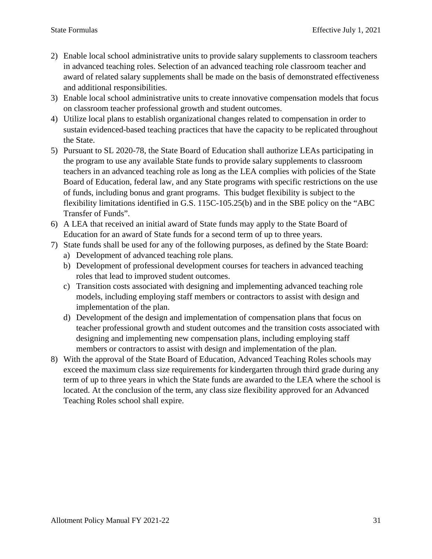- 2) Enable local school administrative units to provide salary supplements to classroom teachers in advanced teaching roles. Selection of an advanced teaching role classroom teacher and award of related salary supplements shall be made on the basis of demonstrated effectiveness and additional responsibilities.
- 3) Enable local school administrative units to create innovative compensation models that focus on classroom teacher professional growth and student outcomes.
- 4) Utilize local plans to establish organizational changes related to compensation in order to sustain evidenced-based teaching practices that have the capacity to be replicated throughout the State.
- 5) Pursuant to SL 2020-78, the State Board of Education shall authorize LEAs participating in the program to use any available State funds to provide salary supplements to classroom teachers in an advanced teaching role as long as the LEA complies with policies of the State Board of Education, federal law, and any State programs with specific restrictions on the use of funds, including bonus and grant programs. This budget flexibility is subject to the flexibility limitations identified in G.S. 115C-105.25(b) and in the SBE policy on the "ABC Transfer of Funds".
- 6) A LEA that received an initial award of State funds may apply to the State Board of Education for an award of State funds for a second term of up to three years.
- 7) State funds shall be used for any of the following purposes, as defined by the State Board:
	- a) Development of advanced teaching role plans.
	- b) Development of professional development courses for teachers in advanced teaching roles that lead to improved student outcomes.
	- c) Transition costs associated with designing and implementing advanced teaching role models, including employing staff members or contractors to assist with design and implementation of the plan.
	- d) Development of the design and implementation of compensation plans that focus on teacher professional growth and student outcomes and the transition costs associated with designing and implementing new compensation plans, including employing staff members or contractors to assist with design and implementation of the plan.
- 8) With the approval of the State Board of Education, Advanced Teaching Roles schools may exceed the maximum class size requirements for kindergarten through third grade during any term of up to three years in which the State funds are awarded to the LEA where the school is located. At the conclusion of the term, any class size flexibility approved for an Advanced Teaching Roles school shall expire.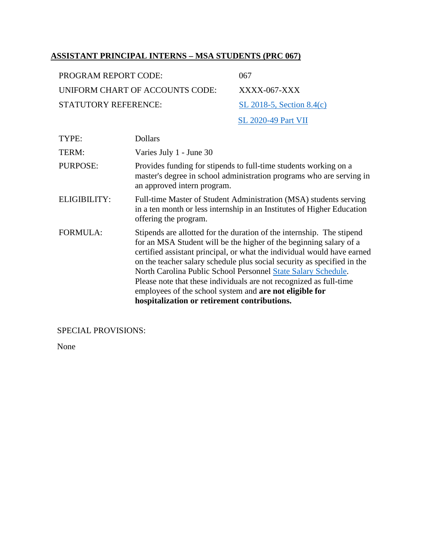#### <span id="page-31-0"></span>**ASSISTANT PRINCIPAL INTERNS – MSA STUDENTS (PRC 067)**

| PROGRAM REPORT CODE:            | 067                         |
|---------------------------------|-----------------------------|
| UNIFORM CHART OF ACCOUNTS CODE: | $XXXX$ -067- $XX$           |
| $STATI$ ITORY REFERENCE:        | SL 2018-5, Section $8.4(c)$ |
|                                 | <b>SL 2020-49 Part VII</b>  |

| TYPE:           | <b>Dollars</b>                                                                                                                                                                                                                                                                                                                                                                                                                                                                                                                                             |
|-----------------|------------------------------------------------------------------------------------------------------------------------------------------------------------------------------------------------------------------------------------------------------------------------------------------------------------------------------------------------------------------------------------------------------------------------------------------------------------------------------------------------------------------------------------------------------------|
| TERM:           | Varies July 1 - June 30                                                                                                                                                                                                                                                                                                                                                                                                                                                                                                                                    |
| <b>PURPOSE:</b> | Provides funding for stipends to full-time students working on a<br>master's degree in school administration programs who are serving in<br>an approved intern program.                                                                                                                                                                                                                                                                                                                                                                                    |
| ELIGIBILITY:    | Full-time Master of Student Administration (MSA) students serving<br>in a ten month or less internship in an Institutes of Higher Education<br>offering the program.                                                                                                                                                                                                                                                                                                                                                                                       |
| <b>FORMULA:</b> | Stipends are allotted for the duration of the internship. The stipend<br>for an MSA Student will be the higher of the beginning salary of a<br>certified assistant principal, or what the individual would have earned<br>on the teacher salary schedule plus social security as specified in the<br>North Carolina Public School Personnel State Salary Schedule.<br>Please note that these individuals are not recognized as full-time<br>employees of the school system and <b>are not eligible for</b><br>hospitalization or retirement contributions. |

SPECIAL PROVISIONS:

None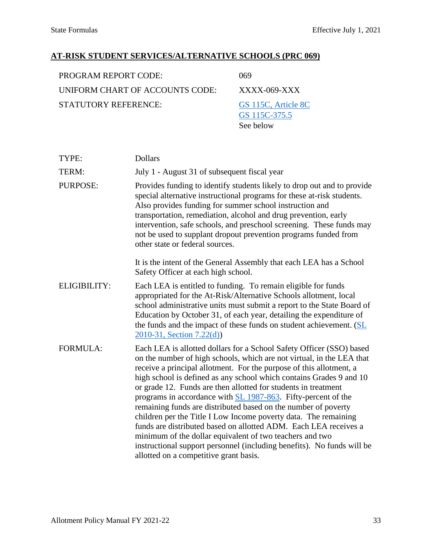#### <span id="page-32-0"></span>**AT-RISK STUDENT SERVICES/ALTERNATIVE SCHOOLS (PRC 069)**

| <b>PROGRAM REPORT CODE:</b>     | 069             |
|---------------------------------|-----------------|
| UNIFORM CHART OF ACCOUNTS CODE: | XXX             |
| <b>STATUTORY REFERENCE:</b>     | GS <sub>1</sub> |
|                                 | GS <sub>1</sub> |

 $XX-069-XXX$ 115C, Article 8C [GS 115C-375.5](https://www.ncleg.net/EnactedLegislation/Statutes/HTML/BySection/Chapter_115C/GS_115C-375.5.html) See below

| TYPE:           | <b>Dollars</b>                                                                                                                                                                                                                                                                                                                                                                                                                                                                                                                                                                                                                                                                                                                                                                                                          |
|-----------------|-------------------------------------------------------------------------------------------------------------------------------------------------------------------------------------------------------------------------------------------------------------------------------------------------------------------------------------------------------------------------------------------------------------------------------------------------------------------------------------------------------------------------------------------------------------------------------------------------------------------------------------------------------------------------------------------------------------------------------------------------------------------------------------------------------------------------|
| TERM:           | July 1 - August 31 of subsequent fiscal year                                                                                                                                                                                                                                                                                                                                                                                                                                                                                                                                                                                                                                                                                                                                                                            |
| <b>PURPOSE:</b> | Provides funding to identify students likely to drop out and to provide<br>special alternative instructional programs for these at-risk students.<br>Also provides funding for summer school instruction and<br>transportation, remediation, alcohol and drug prevention, early<br>intervention, safe schools, and preschool screening. These funds may<br>not be used to supplant dropout prevention programs funded from<br>other state or federal sources.                                                                                                                                                                                                                                                                                                                                                           |
|                 | It is the intent of the General Assembly that each LEA has a School<br>Safety Officer at each high school.                                                                                                                                                                                                                                                                                                                                                                                                                                                                                                                                                                                                                                                                                                              |
| ELIGIBILITY:    | Each LEA is entitled to funding. To remain eligible for funds<br>appropriated for the At-Risk/Alternative Schools allotment, local<br>school administrative units must submit a report to the State Board of<br>Education by October 31, of each year, detailing the expenditure of<br>the funds and the impact of these funds on student achievement. (SL<br>2010-31, Section 7.22(d)                                                                                                                                                                                                                                                                                                                                                                                                                                  |
| <b>FORMULA:</b> | Each LEA is allotted dollars for a School Safety Officer (SSO) based<br>on the number of high schools, which are not virtual, in the LEA that<br>receive a principal allotment. For the purpose of this allotment, a<br>high school is defined as any school which contains Grades 9 and 10<br>or grade 12. Funds are then allotted for students in treatment<br>programs in accordance with SL 1987-863. Fifty-percent of the<br>remaining funds are distributed based on the number of poverty<br>children per the Title I Low Income poverty data. The remaining<br>funds are distributed based on allotted ADM. Each LEA receives a<br>minimum of the dollar equivalent of two teachers and two<br>instructional support personnel (including benefits). No funds will be<br>allotted on a competitive grant basis. |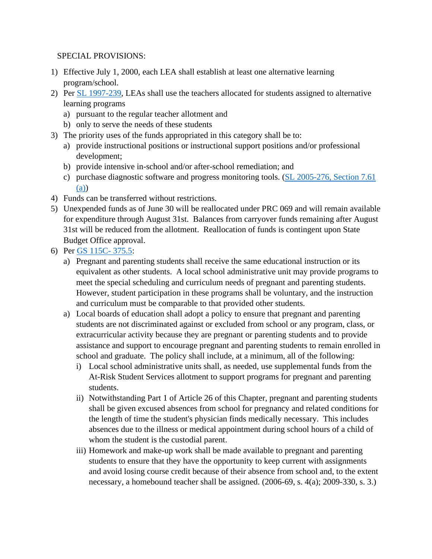#### SPECIAL PROVISIONS:

- 1) Effective July 1, 2000, each LEA shall establish at least one alternative learning program/school.
- 2) Per [SL 1997-239,](https://www.ncleg.gov/Sessions/1997/Bills/Senate/PDF/S765v3.pdf) LEAs shall use the teachers allocated for students assigned to alternative learning programs
	- a) pursuant to the regular teacher allotment and
	- b) only to serve the needs of these students
- 3) The priority uses of the funds appropriated in this category shall be to:
	- a) provide instructional positions or instructional support positions and/or professional development;
	- b) provide intensive in-school and/or after-school remediation; and
	- c) purchase diagnostic software and progress monitoring tools. [\(SL 2005-276, Section 7.61](https://www.ncleg.net/EnactedLegislation/SessionLaws/PDF/2005-2006/SL2005-276.pdf#page=101)  [\(a\)\)](https://www.ncleg.net/EnactedLegislation/SessionLaws/PDF/2005-2006/SL2005-276.pdf#page=101)
- 4) Funds can be transferred without restrictions.
- 5) Unexpended funds as of June 30 will be reallocated under PRC 069 and will remain available for expenditure through August 31st. Balances from carryover funds remaining after August 31st will be reduced from the allotment. Reallocation of funds is contingent upon State Budget Office approval.
- 6) Per [GS 115C- 375.5:](https://www.ncleg.net/EnactedLegislation/Statutes/HTML/BySection/Chapter_115C/GS_115C-375.5.html)
	- a) Pregnant and parenting students shall receive the same educational instruction or its equivalent as other students. A local school administrative unit may provide programs to meet the special scheduling and curriculum needs of pregnant and parenting students. However, student participation in these programs shall be voluntary, and the instruction and curriculum must be comparable to that provided other students.
	- a) Local boards of education shall adopt a policy to ensure that pregnant and parenting students are not discriminated against or excluded from school or any program, class, or extracurricular activity because they are pregnant or parenting students and to provide assistance and support to encourage pregnant and parenting students to remain enrolled in school and graduate. The policy shall include, at a minimum, all of the following:
		- i) Local school administrative units shall, as needed, use supplemental funds from the At-Risk Student Services allotment to support programs for pregnant and parenting students.
		- ii) Notwithstanding Part 1 of Article 26 of this Chapter, pregnant and parenting students shall be given excused absences from school for pregnancy and related conditions for the length of time the student's physician finds medically necessary. This includes absences due to the illness or medical appointment during school hours of a child of whom the student is the custodial parent.
		- iii) Homework and make-up work shall be made available to pregnant and parenting students to ensure that they have the opportunity to keep current with assignments and avoid losing course credit because of their absence from school and, to the extent necessary, a homebound teacher shall be assigned. (2006-69, s. 4(a); 2009-330, s. 3.)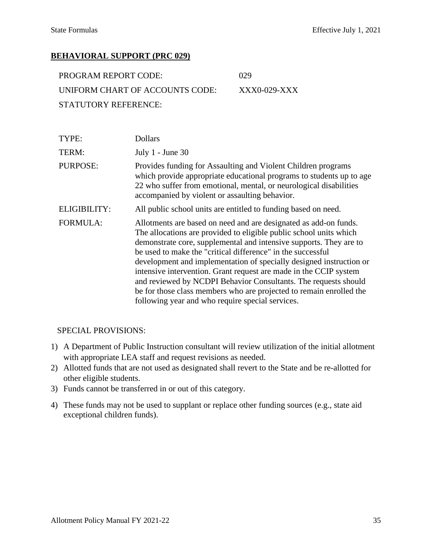#### <span id="page-34-0"></span>**BEHAVIORAL SUPPORT (PRC 029)**

| <b>PROGRAM REPORT CODE:</b>     | -029         |
|---------------------------------|--------------|
| UNIFORM CHART OF ACCOUNTS CODE: | XXX0-029-XXX |
| STATUTORY REFERENCE:            |              |

| TYPE:               | <b>Dollars</b>                                                                                                                                                                                                                                                                                                                                                                                                                                                                                                                                                                                                        |
|---------------------|-----------------------------------------------------------------------------------------------------------------------------------------------------------------------------------------------------------------------------------------------------------------------------------------------------------------------------------------------------------------------------------------------------------------------------------------------------------------------------------------------------------------------------------------------------------------------------------------------------------------------|
| TERM:               | July $1$ - June 30                                                                                                                                                                                                                                                                                                                                                                                                                                                                                                                                                                                                    |
| <b>PURPOSE:</b>     | Provides funding for Assaulting and Violent Children programs<br>which provide appropriate educational programs to students up to age<br>22 who suffer from emotional, mental, or neurological disabilities<br>accompanied by violent or assaulting behavior.                                                                                                                                                                                                                                                                                                                                                         |
| <b>ELIGIBILITY:</b> | All public school units are entitled to funding based on need.                                                                                                                                                                                                                                                                                                                                                                                                                                                                                                                                                        |
| <b>FORMULA:</b>     | Allotments are based on need and are designated as add-on funds.<br>The allocations are provided to eligible public school units which<br>demonstrate core, supplemental and intensive supports. They are to<br>be used to make the "critical difference" in the successful<br>development and implementation of specially designed instruction or<br>intensive intervention. Grant request are made in the CCIP system<br>and reviewed by NCDPI Behavior Consultants. The requests should<br>be for those class members who are projected to remain enrolled the<br>following year and who require special services. |

#### SPECIAL PROVISIONS:

- 1) A Department of Public Instruction consultant will review utilization of the initial allotment with appropriate LEA staff and request revisions as needed.
- 2) Allotted funds that are not used as designated shall revert to the State and be re-allotted for other eligible students.
- 3) Funds cannot be transferred in or out of this category.
- 4) These funds may not be used to supplant or replace other funding sources (e.g., state aid exceptional children funds).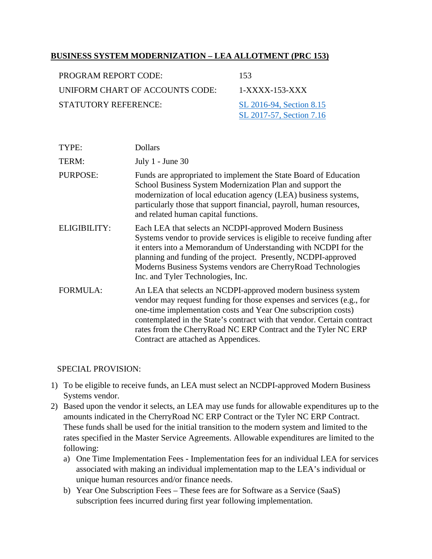#### <span id="page-35-0"></span>**BUSINESS SYSTEM MODERNIZATION – LEA ALLOTMENT (PRC 153)**

| PROGRAM REPORT CODE:                                    | 153                      |
|---------------------------------------------------------|--------------------------|
| UNIFORM CHART OF ACCOUNTS CODE:                         | $1-XXXX-153-XXX$         |
| <b>STATUTORY REFERENCE:</b><br>SL 2016-94, Section 8.15 |                          |
|                                                         | SL 2017-57, Section 7.16 |

| TYPE:               | <b>Dollars</b>                                                                                                                                                                                                                                                                                                                                                                               |
|---------------------|----------------------------------------------------------------------------------------------------------------------------------------------------------------------------------------------------------------------------------------------------------------------------------------------------------------------------------------------------------------------------------------------|
| TERM:               | July $1$ - June 30                                                                                                                                                                                                                                                                                                                                                                           |
| <b>PURPOSE:</b>     | Funds are appropriated to implement the State Board of Education<br>School Business System Modernization Plan and support the<br>modernization of local education agency (LEA) business systems,<br>particularly those that support financial, payroll, human resources,<br>and related human capital functions.                                                                             |
| <b>ELIGIBILITY:</b> | Each LEA that selects an NCDPI-approved Modern Business<br>Systems vendor to provide services is eligible to receive funding after<br>it enters into a Memorandum of Understanding with NCDPI for the<br>planning and funding of the project. Presently, NCDPI-approved<br>Moderns Business Systems vendors are CherryRoad Technologies<br>Inc. and Tyler Technologies, Inc.                 |
| <b>FORMULA:</b>     | An LEA that selects an NCDPI-approved modern business system<br>vendor may request funding for those expenses and services (e.g., for<br>one-time implementation costs and Year One subscription costs)<br>contemplated in the State's contract with that vendor. Certain contract<br>rates from the CherryRoad NC ERP Contract and the Tyler NC ERP<br>Contract are attached as Appendices. |

#### SPECIAL PROVISION:

- 1) To be eligible to receive funds, an LEA must select an NCDPI-approved Modern Business Systems vendor.
- 2) Based upon the vendor it selects, an LEA may use funds for allowable expenditures up to the amounts indicated in the CherryRoad NC ERP Contract or the Tyler NC ERP Contract. These funds shall be used for the initial transition to the modern system and limited to the rates specified in the Master Service Agreements. Allowable expenditures are limited to the following:
	- a) One Time Implementation Fees Implementation fees for an individual LEA for services associated with making an individual implementation map to the LEA's individual or unique human resources and/or finance needs.
	- b) Year One Subscription Fees These fees are for Software as a Service (SaaS) subscription fees incurred during first year following implementation.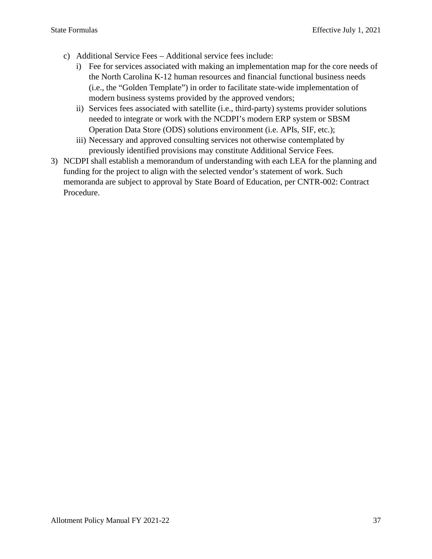- c) Additional Service Fees Additional service fees include:
	- i) Fee for services associated with making an implementation map for the core needs of the North Carolina K-12 human resources and financial functional business needs (i.e., the "Golden Template") in order to facilitate state-wide implementation of modern business systems provided by the approved vendors;
	- ii) Services fees associated with satellite (i.e., third-party) systems provider solutions needed to integrate or work with the NCDPI's modern ERP system or SBSM Operation Data Store (ODS) solutions environment (i.e. APIs, SIF, etc.);
	- iii) Necessary and approved consulting services not otherwise contemplated by previously identified provisions may constitute Additional Service Fees.
- 3) NCDPI shall establish a memorandum of understanding with each LEA for the planning and funding for the project to align with the selected vendor's statement of work. Such memoranda are subject to approval by State Board of Education, per CNTR-002: Contract Procedure.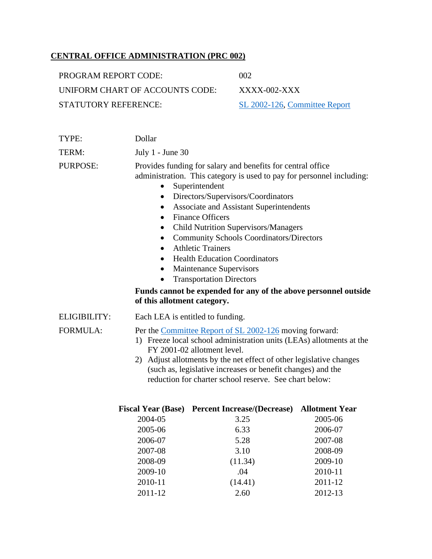# **CENTRAL OFFICE ADMINISTRATION (PRC 002)**

| PROGRAM REPORT CODE:            | 002                           |
|---------------------------------|-------------------------------|
| UNIFORM CHART OF ACCOUNTS CODE: | $XXXX$ -002-XXX               |
| STATUTORY REFERENCE:            | SL 2002-126, Committee Report |

| Dollar                                                                                                                                                                                                                                                                                                                                                                                                                                                                                                                                                                                                                                                 |  |
|--------------------------------------------------------------------------------------------------------------------------------------------------------------------------------------------------------------------------------------------------------------------------------------------------------------------------------------------------------------------------------------------------------------------------------------------------------------------------------------------------------------------------------------------------------------------------------------------------------------------------------------------------------|--|
| July 1 - June 30                                                                                                                                                                                                                                                                                                                                                                                                                                                                                                                                                                                                                                       |  |
| Provides funding for salary and benefits for central office<br>administration. This category is used to pay for personnel including:<br>Superintendent<br>٠<br>Directors/Supervisors/Coordinators<br>٠<br>Associate and Assistant Superintendents<br>٠<br><b>Finance Officers</b><br>$\bullet$<br><b>Child Nutrition Supervisors/Managers</b><br>٠<br><b>Community Schools Coordinators/Directors</b><br><b>Athletic Trainers</b><br><b>Health Education Coordinators</b><br>Maintenance Supervisors<br>$\bullet$<br><b>Transportation Directors</b><br>Funds cannot be expended for any of the above personnel outside<br>of this allotment category. |  |
| Each LEA is entitled to funding.                                                                                                                                                                                                                                                                                                                                                                                                                                                                                                                                                                                                                       |  |
| Per the Committee Report of SL 2002-126 moving forward:<br>1) Freeze local school administration units (LEAs) allotments at the<br>FY 2001-02 allotment level.<br>Adjust allotments by the net effect of other legislative changes<br>2)<br>(such as, legislative increases or benefit changes) and the<br>reduction for charter school reserve. See chart below:<br>Fiscal Year (Base) Percent Increase/(Decrease) Allotment Year                                                                                                                                                                                                                     |  |
|                                                                                                                                                                                                                                                                                                                                                                                                                                                                                                                                                                                                                                                        |  |

|         | scal year (Base) - Percent Increase/(Decrease) - | Allotment Yeal |
|---------|--------------------------------------------------|----------------|
| 2004-05 | 3.25                                             | 2005-06        |
| 2005-06 | 6.33                                             | 2006-07        |
| 2006-07 | 5.28                                             | 2007-08        |
| 2007-08 | 3.10                                             | 2008-09        |
| 2008-09 | (11.34)                                          | 2009-10        |
| 2009-10 | .04                                              | 2010-11        |
| 2010-11 | (14.41)                                          | 2011-12        |
| 2011-12 | 2.60                                             | 2012-13        |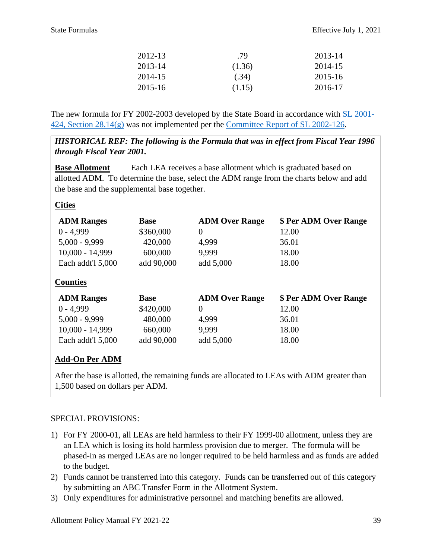| 2012-13 | .79    | 2013-14 |
|---------|--------|---------|
| 2013-14 | (1.36) | 2014-15 |
| 2014-15 | (.34)  | 2015-16 |
| 2015-16 | (1.15) | 2016-17 |

The new formula for FY 2002-2003 developed by the State Board in accordance with [SL 2001-](https://www.ncleg.net/Sessions/2001/Bills/Senate/PDF/S1005v7.pdf#page=221) [424, Section 28.14\(g\)](https://www.ncleg.net/Sessions/2001/Bills/Senate/PDF/S1005v7.pdf#page=221) was not implemented per the [Committee Report of SL 2002-126.](https://ncleg.net/FiscalResearch/budget_summaries/budget_summaries_PDFs/Overview_2002.pdf#page=50)

*HISTORICAL REF: The following is the Formula that was in effect from Fiscal Year 1996 through Fiscal Year 2001.* 

**Base Allotment** Each LEA receives a base allotment which is graduated based on allotted ADM. To determine the base, select the ADM range from the charts below and add the base and the supplemental base together.

### **Cities**

| <b>ADM Ranges</b> | <b>Base</b> | <b>ADM Over Range</b> | \$ Per ADM Over Range |
|-------------------|-------------|-----------------------|-----------------------|
| $0 - 4,999$       | \$360,000   | $\boldsymbol{0}$      | 12.00                 |
| $5,000 - 9,999$   | 420,000     | 4,999                 | 36.01                 |
| $10,000 - 14,999$ | 600,000     | 9.999                 | 18.00                 |
| Each addt'l 5,000 | add 90,000  | add 5,000             | 18.00                 |
| <b>Counties</b>   |             |                       |                       |
| <b>ADM Ranges</b> | <b>Base</b> | <b>ADM Over Range</b> | \$ Per ADM Over Range |
| $0 - 4.999$       | \$420,000   | $\overline{0}$        | 12.00                 |
| $5,000 - 9,999$   | 480,000     | 4,999                 | 36.01                 |
| $10,000 - 14,999$ | 660,000     | 9,999                 | 18.00                 |
| Each addt'l 5,000 | add 90,000  | add 5,000             | 18.00                 |

# **Add-On Per ADM**

After the base is allotted, the remaining funds are allocated to LEAs with ADM greater than 1,500 based on dollars per ADM.

- 1) For FY 2000-01, all LEAs are held harmless to their FY 1999-00 allotment, unless they are an LEA which is losing its hold harmless provision due to merger. The formula will be phased-in as merged LEAs are no longer required to be held harmless and as funds are added to the budget.
- 2) Funds cannot be transferred into this category. Funds can be transferred out of this category by submitting an ABC Transfer Form in the Allotment System.
- 3) Only expenditures for administrative personnel and matching benefits are allowed.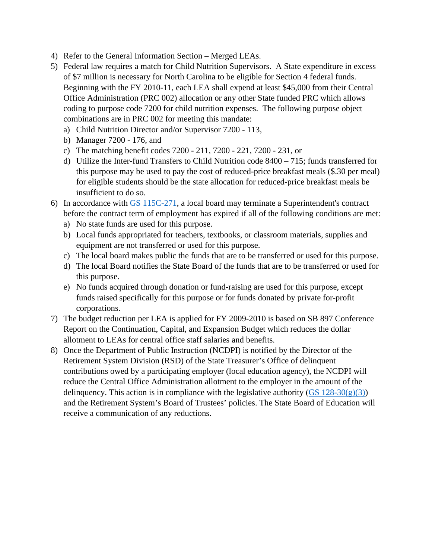- 4) Refer to the General Information Section Merged LEAs.
- 5) Federal law requires a match for Child Nutrition Supervisors. A State expenditure in excess of \$7 million is necessary for North Carolina to be eligible for Section 4 federal funds. Beginning with the FY 2010-11, each LEA shall expend at least \$45,000 from their Central Office Administration (PRC 002) allocation or any other State funded PRC which allows coding to purpose code 7200 for child nutrition expenses. The following purpose object combinations are in PRC 002 for meeting this mandate:
	- a) Child Nutrition Director and/or Supervisor 7200 113,
	- b) Manager 7200 176, and
	- c) The matching benefit codes 7200 211, 7200 221, 7200 231, or
	- d) Utilize the Inter-fund Transfers to Child Nutrition code 8400 715; funds transferred for this purpose may be used to pay the cost of reduced-price breakfast meals (\$.30 per meal) for eligible students should be the state allocation for reduced-price breakfast meals be insufficient to do so.
- 6) In accordance with [GS 115C-271,](https://www.ncleg.net/EnactedLegislation/Statutes/HTML/BySection/Chapter_115C/GS_115C-271.html) a local board may terminate a Superintendent's contract before the contract term of employment has expired if all of the following conditions are met:
	- a) No state funds are used for this purpose.
	- b) Local funds appropriated for teachers, textbooks, or classroom materials, supplies and equipment are not transferred or used for this purpose.
	- c) The local board makes public the funds that are to be transferred or used for this purpose.
	- d) The local Board notifies the State Board of the funds that are to be transferred or used for this purpose.
	- e) No funds acquired through donation or fund-raising are used for this purpose, except funds raised specifically for this purpose or for funds donated by private for-profit corporations.
- 7) The budget reduction per LEA is applied for FY 2009-2010 is based on SB 897 Conference Report on the Continuation, Capital, and Expansion Budget which reduces the dollar allotment to LEAs for central office staff salaries and benefits.
- 8) Once the Department of Public Instruction (NCDPI) is notified by the Director of the Retirement System Division (RSD) of the State Treasurer's Office of delinquent contributions owed by a participating employer (local education agency), the NCDPI will reduce the Central Office Administration allotment to the employer in the amount of the delinquency. This action is in compliance with the legislative authority (GS  $128-30(g)(3)$ ) and the Retirement System's Board of Trustees' policies. The State Board of Education will receive a communication of any reductions.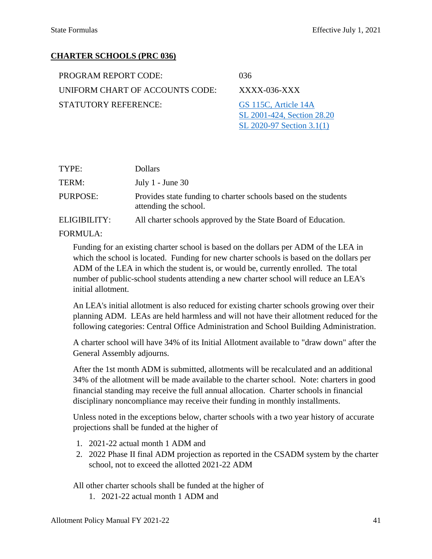[SL 2020-97 Section 3.1\(1\)](https://www.ncleg.gov/Sessions/2019/Bills/House/PDF/H1105v7.pdf#page=35)

### **CHARTER SCHOOLS (PRC 036)**

| PROGRAM REPORT CODE:            | 036                                                |
|---------------------------------|----------------------------------------------------|
| UNIFORM CHART OF ACCOUNTS CODE: | $XXXX$ -036- $XXX$                                 |
| <b>STATUTORY REFERENCE:</b>     | GS 115C, Article 14A<br>SL 2001-424, Section 28.20 |

| TYPE:        | <b>Dollars</b>                                                                           |
|--------------|------------------------------------------------------------------------------------------|
| TERM:        | July $1$ - June 30                                                                       |
| PURPOSE:     | Provides state funding to charter schools based on the students<br>attending the school. |
| ELIGIBILITY: | All charter schools approved by the State Board of Education.                            |
|              |                                                                                          |

#### FORMULA:

Funding for an existing charter school is based on the dollars per ADM of the LEA in which the school is located. Funding for new charter schools is based on the dollars per ADM of the LEA in which the student is, or would be, currently enrolled. The total number of public-school students attending a new charter school will reduce an LEA's initial allotment.

An LEA's initial allotment is also reduced for existing charter schools growing over their planning ADM. LEAs are held harmless and will not have their allotment reduced for the following categories: Central Office Administration and School Building Administration.

A charter school will have 34% of its Initial Allotment available to "draw down" after the General Assembly adjourns.

After the 1st month ADM is submitted, allotments will be recalculated and an additional 34% of the allotment will be made available to the charter school. Note: charters in good financial standing may receive the full annual allocation. Charter schools in financial disciplinary noncompliance may receive their funding in monthly installments.

Unless noted in the exceptions below, charter schools with a two year history of accurate projections shall be funded at the higher of

- 1. 2021-22 actual month 1 ADM and
- 2. 2022 Phase II final ADM projection as reported in the CSADM system by the charter school, not to exceed the allotted 2021-22 ADM

All other charter schools shall be funded at the higher of

1. 2021-22 actual month 1 ADM and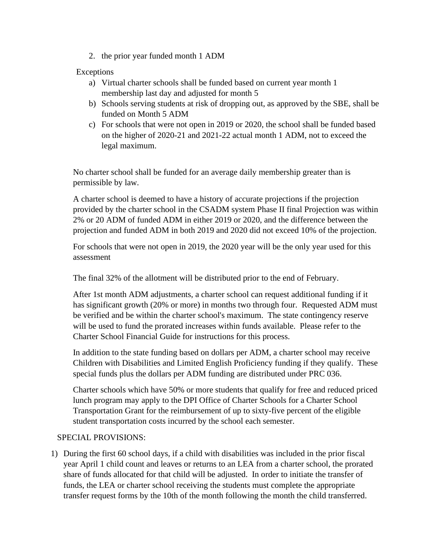2. the prior year funded month 1 ADM

### Exceptions

- a) Virtual charter schools shall be funded based on current year month 1 membership last day and adjusted for month 5
- b) Schools serving students at risk of dropping out, as approved by the SBE, shall be funded on Month 5 ADM
- c) For schools that were not open in 2019 or 2020, the school shall be funded based on the higher of 2020-21 and 2021-22 actual month 1 ADM, not to exceed the legal maximum.

No charter school shall be funded for an average daily membership greater than is permissible by law.

A charter school is deemed to have a history of accurate projections if the projection provided by the charter school in the CSADM system Phase II final Projection was within 2% or 20 ADM of funded ADM in either 2019 or 2020, and the difference between the projection and funded ADM in both 2019 and 2020 did not exceed 10% of the projection.

For schools that were not open in 2019, the 2020 year will be the only year used for this assessment

The final 32% of the allotment will be distributed prior to the end of February.

After 1st month ADM adjustments, a charter school can request additional funding if it has significant growth (20% or more) in months two through four. Requested ADM must be verified and be within the charter school's maximum. The state contingency reserve will be used to fund the prorated increases within funds available. Please refer to the Charter School Financial Guide for instructions for this process.

In addition to the state funding based on dollars per ADM, a charter school may receive Children with Disabilities and Limited English Proficiency funding if they qualify. These special funds plus the dollars per ADM funding are distributed under PRC 036.

Charter schools which have 50% or more students that qualify for free and reduced priced lunch program may apply to the DPI Office of Charter Schools for a Charter School Transportation Grant for the reimbursement of up to sixty-five percent of the eligible student transportation costs incurred by the school each semester.

### SPECIAL PROVISIONS:

1) During the first 60 school days, if a child with disabilities was included in the prior fiscal year April 1 child count and leaves or returns to an LEA from a charter school, the prorated share of funds allocated for that child will be adjusted. In order to initiate the transfer of funds, the LEA or charter school receiving the students must complete the appropriate transfer request forms by the 10th of the month following the month the child transferred.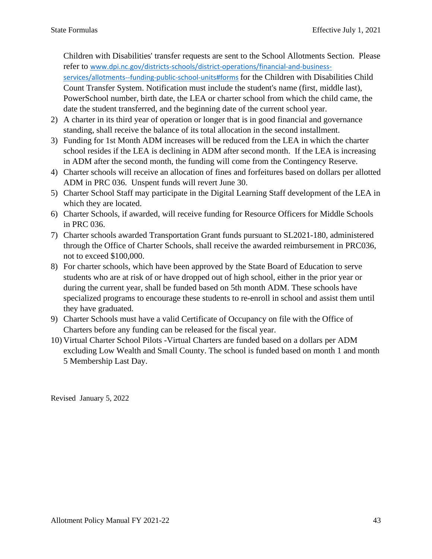Children with Disabilities' transfer requests are sent to the School Allotments Section. Please refer to [www.dpi.nc.gov/districts-schools/district-operations/financial-and-business-](https://www.dpi.nc.gov/districts-schools/district-operations/financial-and-business-services/allotments-%E2%80%94-funding-public-school-units#forms)

[services/allotments--funding-public-school-units#forms](https://www.dpi.nc.gov/districts-schools/district-operations/financial-and-business-services/allotments-%E2%80%94-funding-public-school-units#forms) for the Children with Disabilities Child Count Transfer System. Notification must include the student's name (first, middle last), PowerSchool number, birth date, the LEA or charter school from which the child came, the date the student transferred, and the beginning date of the current school year.

- 2) A charter in its third year of operation or longer that is in good financial and governance standing, shall receive the balance of its total allocation in the second installment.
- 3) Funding for 1st Month ADM increases will be reduced from the LEA in which the charter school resides if the LEA is declining in ADM after second month. If the LEA is increasing in ADM after the second month, the funding will come from the Contingency Reserve.
- 4) Charter schools will receive an allocation of fines and forfeitures based on dollars per allotted ADM in PRC 036. Unspent funds will revert June 30.
- 5) Charter School Staff may participate in the Digital Learning Staff development of the LEA in which they are located.
- 6) Charter Schools, if awarded, will receive funding for Resource Officers for Middle Schools in PRC 036.
- 7) Charter schools awarded Transportation Grant funds pursuant to SL2021-180, administered through the Office of Charter Schools, shall receive the awarded reimbursement in PRC036, not to exceed \$100,000.
- 8) For charter schools, which have been approved by the State Board of Education to serve students who are at risk of or have dropped out of high school, either in the prior year or during the current year, shall be funded based on 5th month ADM. These schools have specialized programs to encourage these students to re-enroll in school and assist them until they have graduated.
- 9) Charter Schools must have a valid Certificate of Occupancy on file with the Office of Charters before any funding can be released for the fiscal year.
- 10) Virtual Charter School Pilots -Virtual Charters are funded based on a dollars per ADM excluding Low Wealth and Small County. The school is funded based on month 1 and month 5 Membership Last Day.

Revised January 5, 2022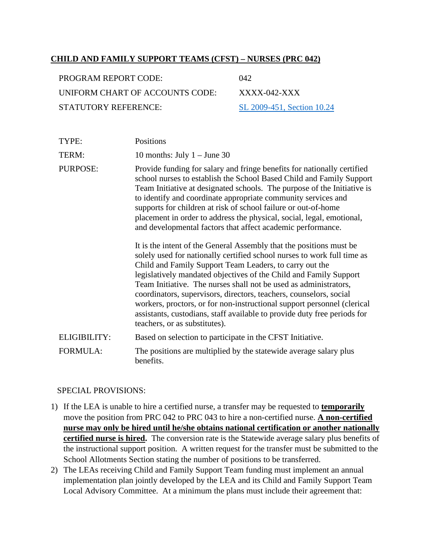### **CHILD AND FAMILY SUPPORT TEAMS (CFST) – NURSES (PRC 042)**

| PROGRAM REPORT CODE:            | 042.                       |
|---------------------------------|----------------------------|
| UNIFORM CHART OF ACCOUNTS CODE: | $XXX-042-XXX$              |
| STATUTORY REFERENCE:            | SL 2009-451, Section 10.24 |

| TYPE:    | Positions                                                                                                                                                                                                                                                                                                                                                                                                                                                                                             |
|----------|-------------------------------------------------------------------------------------------------------------------------------------------------------------------------------------------------------------------------------------------------------------------------------------------------------------------------------------------------------------------------------------------------------------------------------------------------------------------------------------------------------|
| TERM:    | 10 months: July $1 -$ June 30                                                                                                                                                                                                                                                                                                                                                                                                                                                                         |
| PURPOSE: | Provide funding for salary and fringe benefits for nationally certified<br>school nurses to establish the School Based Child and Family Support<br>Team Initiative at designated schools. The purpose of the Initiative is<br>to identify and coordinate appropriate community services and<br>supports for children at risk of school failure or out-of-home<br>placement in order to address the physical, social, legal, emotional,<br>and developmental factors that affect academic performance. |
|          | It is the intent of the General Assembly that the positions must be<br>solely used for nationally certified school nurses to work full time as<br>Child and Family Support Team Leaders, to carry out the                                                                                                                                                                                                                                                                                             |

Child and Family Support Team Leaders, to carry out the legislatively mandated objectives of the Child and Family Support Team Initiative. The nurses shall not be used as administrators, coordinators, supervisors, directors, teachers, counselors, social workers, proctors, or for non-instructional support personnel (clerical assistants, custodians, staff available to provide duty free periods for teachers, or as substitutes).

ELIGIBILITY: Based on selection to participate in the CFST Initiative. FORMULA: The positions are multiplied by the statewide average salary plus benefits.

- 1) If the LEA is unable to hire a certified nurse, a transfer may be requested to **temporarily** move the position from PRC 042 to PRC 043 to hire a non-certified nurse. **A non-certified nurse may only be hired until he/she obtains national certification or another nationally certified nurse is hired.** The conversion rate is the Statewide average salary plus benefits of the instructional support position. A written request for the transfer must be submitted to the School Allotments Section stating the number of positions to be transferred.
- 2) The LEAs receiving Child and Family Support Team funding must implement an annual implementation plan jointly developed by the LEA and its Child and Family Support Team Local Advisory Committee. At a minimum the plans must include their agreement that: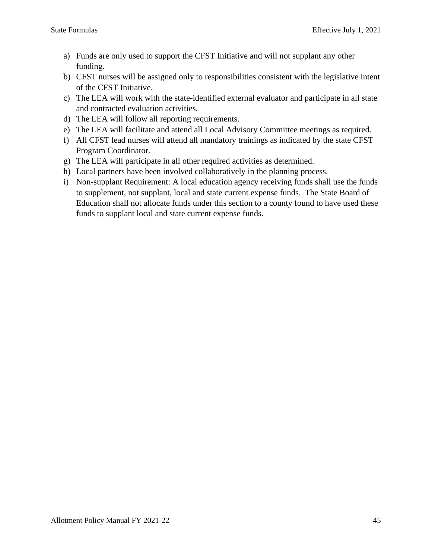- a) Funds are only used to support the CFST Initiative and will not supplant any other funding.
- b) CFST nurses will be assigned only to responsibilities consistent with the legislative intent of the CFST Initiative.
- c) The LEA will work with the state-identified external evaluator and participate in all state and contracted evaluation activities.
- d) The LEA will follow all reporting requirements.
- e) The LEA will facilitate and attend all Local Advisory Committee meetings as required.
- f) All CFST lead nurses will attend all mandatory trainings as indicated by the state CFST Program Coordinator.
- g) The LEA will participate in all other required activities as determined.
- h) Local partners have been involved collaboratively in the planning process.
- i) Non-supplant Requirement: A local education agency receiving funds shall use the funds to supplement, not supplant, local and state current expense funds. The State Board of Education shall not allocate funds under this section to a county found to have used these funds to supplant local and state current expense funds.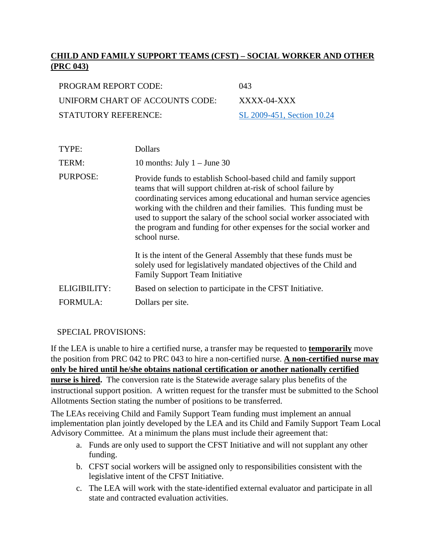# **CHILD AND FAMILY SUPPORT TEAMS (CFST) – SOCIAL WORKER AND OTHER (PRC 043)**

| PROGRAM REPORT CODE:            | (143)                      |
|---------------------------------|----------------------------|
| UNIFORM CHART OF ACCOUNTS CODE: | $XXXX$ -04-XXX             |
| STATUTORY REFERENCE:            | SL 2009-451, Section 10.24 |

| TYPE:           | <b>Dollars</b>                                                                                                                                                                                                                                                                                                                                                                                                                                   |
|-----------------|--------------------------------------------------------------------------------------------------------------------------------------------------------------------------------------------------------------------------------------------------------------------------------------------------------------------------------------------------------------------------------------------------------------------------------------------------|
| TERM:           | 10 months: July $1 -$ June 30                                                                                                                                                                                                                                                                                                                                                                                                                    |
| PURPOSE:        | Provide funds to establish School-based child and family support<br>teams that will support children at-risk of school failure by<br>coordinating services among educational and human service agencies<br>working with the children and their families. This funding must be<br>used to support the salary of the school social worker associated with<br>the program and funding for other expenses for the social worker and<br>school nurse. |
|                 | It is the intent of the General Assembly that these funds must be<br>solely used for legislatively mandated objectives of the Child and<br><b>Family Support Team Initiative</b>                                                                                                                                                                                                                                                                 |
| ELIGIBILITY:    | Based on selection to participate in the CFST Initiative.                                                                                                                                                                                                                                                                                                                                                                                        |
| <b>FORMULA:</b> | Dollars per site.                                                                                                                                                                                                                                                                                                                                                                                                                                |

### SPECIAL PROVISIONS:

If the LEA is unable to hire a certified nurse, a transfer may be requested to **temporarily** move the position from PRC 042 to PRC 043 to hire a non-certified nurse. **A non-certified nurse may only be hired until he/she obtains national certification or another nationally certified nurse is hired.** The conversion rate is the Statewide average salary plus benefits of the instructional support position. A written request for the transfer must be submitted to the School Allotments Section stating the number of positions to be transferred.

The LEAs receiving Child and Family Support Team funding must implement an annual implementation plan jointly developed by the LEA and its Child and Family Support Team Local Advisory Committee. At a minimum the plans must include their agreement that:

- a. Funds are only used to support the CFST Initiative and will not supplant any other funding.
- b. CFST social workers will be assigned only to responsibilities consistent with the legislative intent of the CFST Initiative.
- c. The LEA will work with the state-identified external evaluator and participate in all state and contracted evaluation activities.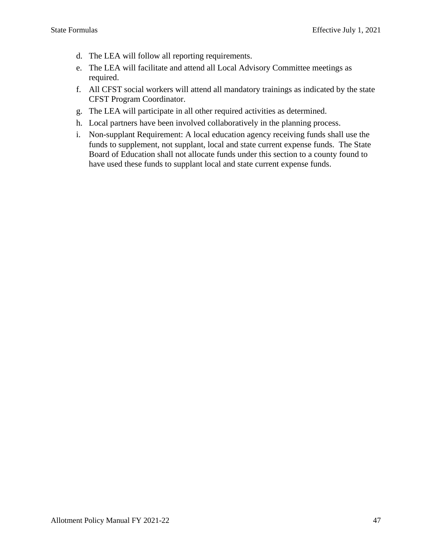- d. The LEA will follow all reporting requirements.
- e. The LEA will facilitate and attend all Local Advisory Committee meetings as required.
- f. All CFST social workers will attend all mandatory trainings as indicated by the state CFST Program Coordinator.
- g. The LEA will participate in all other required activities as determined.
- h. Local partners have been involved collaboratively in the planning process.
- i. Non-supplant Requirement: A local education agency receiving funds shall use the funds to supplement, not supplant, local and state current expense funds. The State Board of Education shall not allocate funds under this section to a county found to have used these funds to supplant local and state current expense funds.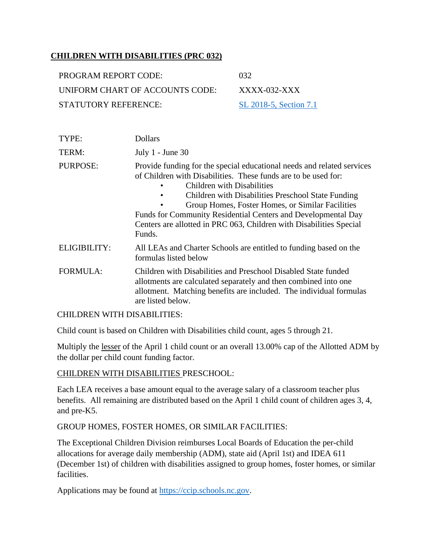## **CHILDREN WITH DISABILITIES (PRC 032)**

| PROGRAM REPORT CODE:            | -032                   |
|---------------------------------|------------------------|
| UNIFORM CHART OF ACCOUNTS CODE: | XXXX-032-XXX           |
| STATUTORY REFERENCE:            | SL 2018-5, Section 7.1 |

| TYPE:               | <b>Dollars</b>                                                                                                                                                                                                                                                                                                                                                                                                                          |
|---------------------|-----------------------------------------------------------------------------------------------------------------------------------------------------------------------------------------------------------------------------------------------------------------------------------------------------------------------------------------------------------------------------------------------------------------------------------------|
| TERM:               | July $1$ - June 30                                                                                                                                                                                                                                                                                                                                                                                                                      |
| PURPOSE:            | Provide funding for the special educational needs and related services<br>of Children with Disabilities. These funds are to be used for:<br>Children with Disabilities<br>Children with Disabilities Preschool State Funding<br>٠<br>Group Homes, Foster Homes, or Similar Facilities<br>Funds for Community Residential Centers and Developmental Day<br>Centers are allotted in PRC 063, Children with Disabilities Special<br>Funds. |
| <b>ELIGIBILITY:</b> | All LEAs and Charter Schools are entitled to funding based on the<br>formulas listed below                                                                                                                                                                                                                                                                                                                                              |
| <b>FORMULA:</b>     | Children with Disabilities and Preschool Disabled State funded<br>allotments are calculated separately and then combined into one<br>allotment. Matching benefits are included. The individual formulas<br>are listed below.                                                                                                                                                                                                            |

### CHILDREN WITH DISABILITIES:

Child count is based on Children with Disabilities child count, ages 5 through 21.

Multiply the lesser of the April 1 child count or an overall 13.00% cap of the Allotted ADM by the dollar per child count funding factor.

#### CHILDREN WITH DISABILITIES PRESCHOOL:

Each LEA receives a base amount equal to the average salary of a classroom teacher plus benefits. All remaining are distributed based on the April 1 child count of children ages 3, 4, and pre-K5.

### GROUP HOMES, FOSTER HOMES, OR SIMILAR FACILITIES:

The Exceptional Children Division reimburses Local Boards of Education the per-child allocations for average daily membership (ADM), state aid (April 1st) and IDEA 611 (December 1st) of children with disabilities assigned to group homes, foster homes, or similar facilities.

Applications may be found at [https://ccip.schools.nc.gov.](https://ccip.schools.nc.gov/)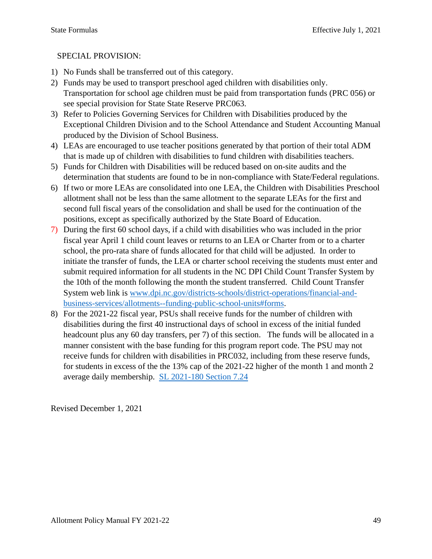# SPECIAL PROVISION:

- 1) No Funds shall be transferred out of this category.
- 2) Funds may be used to transport preschool aged children with disabilities only. Transportation for school age children must be paid from transportation funds (PRC 056) or see special provision for State State Reserve PRC063.
- 3) Refer to Policies Governing Services for Children with Disabilities produced by the Exceptional Children Division and to the School Attendance and Student Accounting Manual produced by the Division of School Business.
- 4) LEAs are encouraged to use teacher positions generated by that portion of their total ADM that is made up of children with disabilities to fund children with disabilities teachers.
- 5) Funds for Children with Disabilities will be reduced based on on-site audits and the determination that students are found to be in non-compliance with State/Federal regulations.
- 6) If two or more LEAs are consolidated into one LEA, the Children with Disabilities Preschool allotment shall not be less than the same allotment to the separate LEAs for the first and second full fiscal years of the consolidation and shall be used for the continuation of the positions, except as specifically authorized by the State Board of Education.
- 7) During the first 60 school days, if a child with disabilities who was included in the prior fiscal year April 1 child count leaves or returns to an LEA or Charter from or to a charter school, the pro-rata share of funds allocated for that child will be adjusted. In order to initiate the transfer of funds, the LEA or charter school receiving the students must enter and submit required information for all students in the NC DPI Child Count Transfer System by the 10th of the month following the month the student transferred. Child Count Transfer System web link is [www.dpi.nc.gov/districts-schools/district-operations/financial-and](https://www.dpi.nc.gov/districts-schools/district-operations/financial-and-business-services/allotments-%E2%80%94-funding-public-school-units#forms)[business-services/allotments--funding-public-school-units#forms.](https://www.dpi.nc.gov/districts-schools/district-operations/financial-and-business-services/allotments-%E2%80%94-funding-public-school-units#forms)
- 8) For the 2021-22 fiscal year, PSUs shall receive funds for the number of children with disabilities during the first 40 instructional days of school in excess of the initial funded headcount plus any 60 day transfers, per 7) of this section. The funds will be allocated in a manner consistent with the base funding for this program report code. The PSU may not receive funds for children with disabilities in PRC032, including from these reserve funds, for students in excess of the the 13% cap of the 2021-22 higher of the month 1 and month 2 average daily membership. [SL 2021-180 Section 7.24](https://www.ncleg.gov/Sessions/2021/Bills/Senate/PDF/S105v8.pdf#page=72)

Revised December 1, 2021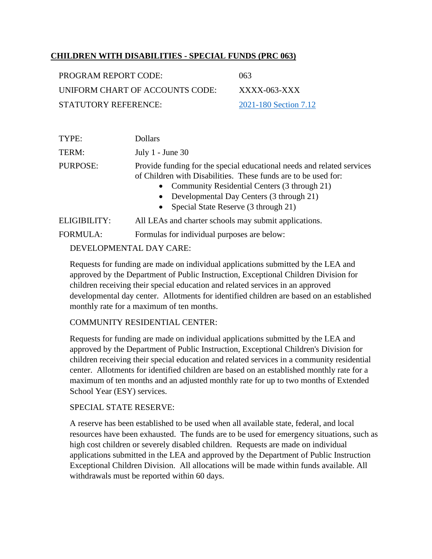## **CHILDREN WITH DISABILITIES - SPECIAL FUNDS (PRC 063)**

| PROGRAM REPORT CODE:            | 063                   |
|---------------------------------|-----------------------|
| UNIFORM CHART OF ACCOUNTS CODE: | $XXXX$ -063- $XX$     |
| STATUTORY REFERENCE:            | 2021-180 Section 7.12 |

| TYPE:           | <b>Dollars</b>                                                                                                                                                                                                                                                                                                      |
|-----------------|---------------------------------------------------------------------------------------------------------------------------------------------------------------------------------------------------------------------------------------------------------------------------------------------------------------------|
| TERM:           | July $1$ - June 30                                                                                                                                                                                                                                                                                                  |
| PURPOSE:        | Provide funding for the special educational needs and related services<br>of Children with Disabilities. These funds are to be used for:<br>Community Residential Centers (3 through 21)<br>$\bullet$<br>Developmental Day Centers (3 through 21)<br>$\bullet$<br>Special State Reserve (3 through 21)<br>$\bullet$ |
| ELIGIBILITY:    | All LEAs and charter schools may submit applications.                                                                                                                                                                                                                                                               |
| <b>FORMULA:</b> | Formulas for individual purposes are below:                                                                                                                                                                                                                                                                         |

### DEVELOPMENTAL DAY CARE:

Requests for funding are made on individual applications submitted by the LEA and approved by the Department of Public Instruction, Exceptional Children Division for children receiving their special education and related services in an approved developmental day center. Allotments for identified children are based on an established monthly rate for a maximum of ten months.

### COMMUNITY RESIDENTIAL CENTER:

Requests for funding are made on individual applications submitted by the LEA and approved by the Department of Public Instruction, Exceptional Children's Division for children receiving their special education and related services in a community residential center. Allotments for identified children are based on an established monthly rate for a maximum of ten months and an adjusted monthly rate for up to two months of Extended School Year (ESY) services.

### SPECIAL STATE RESERVE:

A reserve has been established to be used when all available state, federal, and local resources have been exhausted. The funds are to be used for emergency situations, such as high cost children or severely disabled children. Requests are made on individual applications submitted in the LEA and approved by the Department of Public Instruction Exceptional Children Division. All allocations will be made within funds available. All withdrawals must be reported within 60 days.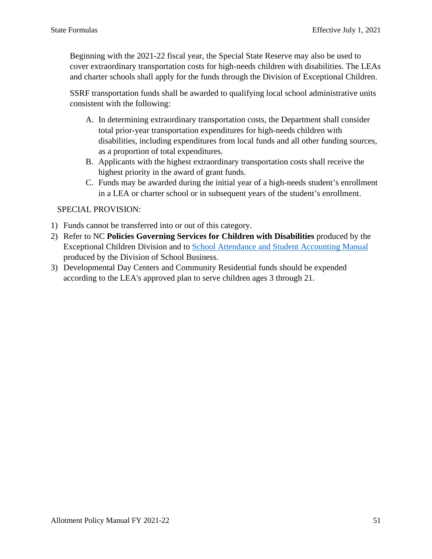Beginning with the 2021-22 fiscal year, the Special State Reserve may also be used to cover extraordinary transportation costs for high-needs children with disabilities. The LEAs and charter schools shall apply for the funds through the Division of Exceptional Children.

SSRF transportation funds shall be awarded to qualifying local school administrative units consistent with the following:

- A. In determining extraordinary transportation costs, the Department shall consider total prior-year transportation expenditures for high-needs children with disabilities, including expenditures from local funds and all other funding sources, as a proportion of total expenditures.
- B. Applicants with the highest extraordinary transportation costs shall receive the highest priority in the award of grant funds.
- C. Funds may be awarded during the initial year of a high-needs student's enrollment in a LEA or charter school or in subsequent years of the student's enrollment.

- 1) Funds cannot be transferred into or out of this category.
- 2) Refer to NC **Policies Governing Services for Children with Disabilities** produced by the Exceptional Children Division and to [School Attendance and Student Accounting Manual](https://files.nc.gov/dpi/documents/fbs/accounting/manuals/sasa.pdf) produced by the Division of School Business.
- 3) Developmental Day Centers and Community Residential funds should be expended according to the LEA's approved plan to serve children ages 3 through 21.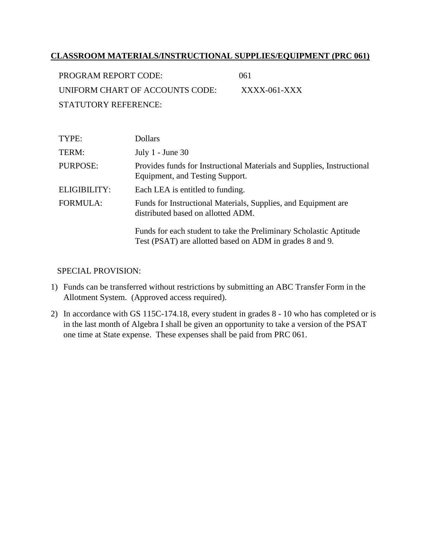### **CLASSROOM MATERIALS/INSTRUCTIONAL SUPPLIES/EQUIPMENT (PRC 061)**

| PROGRAM REPORT CODE:            | (161)          |
|---------------------------------|----------------|
| UNIFORM CHART OF ACCOUNTS CODE: | $XXXX-061-XXX$ |
| STATUTORY REFERENCE:            |                |

| TYPE:           | Dollars                                                                                                                        |
|-----------------|--------------------------------------------------------------------------------------------------------------------------------|
| TERM:           | July $1$ - June 30                                                                                                             |
| PURPOSE:        | Provides funds for Instructional Materials and Supplies, Instructional<br>Equipment, and Testing Support.                      |
| ELIGIBILITY:    | Each LEA is entitled to funding.                                                                                               |
| <b>FORMULA:</b> | Funds for Instructional Materials, Supplies, and Equipment are.<br>distributed based on allotted ADM.                          |
|                 | Funds for each student to take the Preliminary Scholastic Aptitude<br>Test (PSAT) are allotted based on ADM in grades 8 and 9. |

- 1) Funds can be transferred without restrictions by submitting an ABC Transfer Form in the Allotment System. (Approved access required).
- 2) In accordance with GS 115C-174.18, every student in grades 8 10 who has completed or is in the last month of Algebra I shall be given an opportunity to take a version of the PSAT one time at State expense. These expenses shall be paid from PRC 061.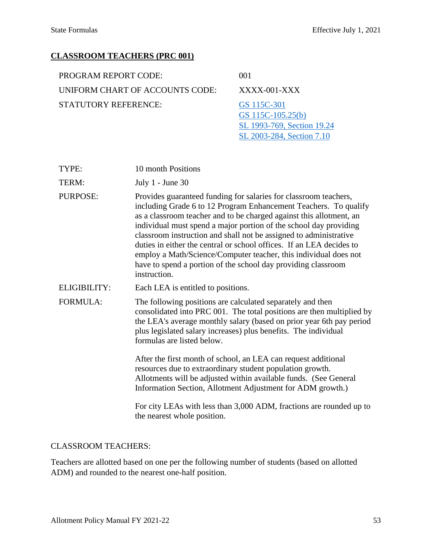[SL 2003-284, Section 7.10](https://www.ncleg.gov/Sessions/2003/Bills/House/PDF/H397v9.pdf#page=42)

### **CLASSROOM TEACHERS (PRC 001)**

| PROGRAM REPORT CODE:            | 001                              |
|---------------------------------|----------------------------------|
| UNIFORM CHART OF ACCOUNTS CODE: | $XXXX$ -001-XXX                  |
| STATUTORY REFERENCE:            | GS 115C-301<br>GS 115C-105.25(b) |
|                                 | SL 1993-769, Section 19.24       |

| TYPE: | 10 month Positions |
|-------|--------------------|
|       |                    |

TERM: July 1 - June 30

- PURPOSE: Provides guaranteed funding for salaries for classroom teachers, including Grade 6 to 12 Program Enhancement Teachers. To qualify as a classroom teacher and to be charged against this allotment, an individual must spend a major portion of the school day providing classroom instruction and shall not be assigned to administrative duties in either the central or school offices. If an LEA decides to employ a Math/Science/Computer teacher, this individual does not have to spend a portion of the school day providing classroom instruction.
- ELIGIBILITY: Each LEA is entitled to positions.
- FORMULA: The following positions are calculated separately and then consolidated into PRC 001. The total positions are then multiplied by the LEA's average monthly salary (based on prior year 6th pay period plus legislated salary increases) plus benefits. The individual formulas are listed below.

After the first month of school, an LEA can request additional resources due to extraordinary student population growth. Allotments will be adjusted within available funds. (See General Information Section, Allotment Adjustment for ADM growth.)

For city LEAs with less than 3,000 ADM, fractions are rounded up to the nearest whole position.

#### CLASSROOM TEACHERS:

Teachers are allotted based on one per the following number of students (based on allotted ADM) and rounded to the nearest one-half position.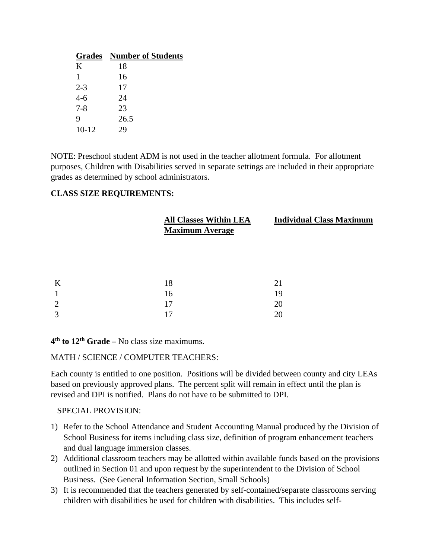|         | <b>Grades</b> Number of Students |
|---------|----------------------------------|
| K       | 18                               |
| 1       | 16                               |
| $2 - 3$ | 17                               |
| $4-6$   | 24                               |
| $7 - 8$ | 23                               |
| 9       | 26.5                             |
| $10-12$ | 29                               |

NOTE: Preschool student ADM is not used in the teacher allotment formula. For allotment purposes, Children with Disabilities served in separate settings are included in their appropriate grades as determined by school administrators.

### **CLASS SIZE REQUIREMENTS:**

|                | <b>All Classes Within LEA</b><br><b>Maximum Average</b> | <b>Individual Class Maximum</b> |
|----------------|---------------------------------------------------------|---------------------------------|
|                |                                                         |                                 |
| K              | 18                                                      | 21                              |
| 1              | 16                                                      | 19                              |
| $\overline{2}$ | 17                                                      | 20                              |
| 3              | 17                                                      | 20                              |
|                |                                                         |                                 |

**4th to 12th Grade –** No class size maximums.

#### MATH / SCIENCE / COMPUTER TEACHERS:

Each county is entitled to one position. Positions will be divided between county and city LEAs based on previously approved plans. The percent split will remain in effect until the plan is revised and DPI is notified. Plans do not have to be submitted to DPI.

- 1) Refer to the School Attendance and Student Accounting Manual produced by the Division of School Business for items including class size, definition of program enhancement teachers and dual language immersion classes.
- 2) Additional classroom teachers may be allotted within available funds based on the provisions outlined in Section 01 and upon request by the superintendent to the Division of School Business. (See General Information Section, Small Schools)
- 3) It is recommended that the teachers generated by self-contained/separate classrooms serving children with disabilities be used for children with disabilities. This includes self-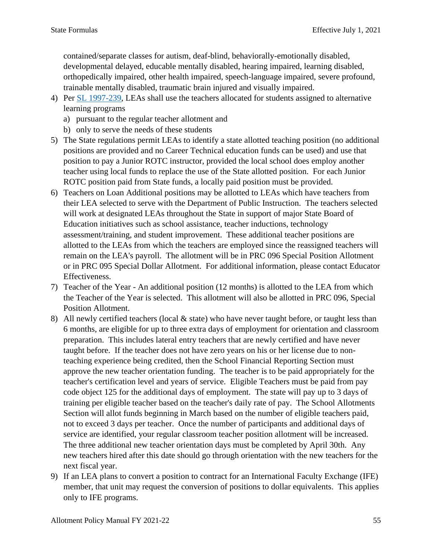contained/separate classes for autism, deaf-blind, behaviorally-emotionally disabled, developmental delayed, educable mentally disabled, hearing impaired, learning disabled, orthopedically impaired, other health impaired, speech-language impaired, severe profound, trainable mentally disabled, traumatic brain injured and visually impaired.

- 4) Per [SL 1997-239,](https://www.ncleg.gov/Sessions/1997/Bills/Senate/PDF/S765v3.pdf) LEAs shall use the teachers allocated for students assigned to alternative learning programs
	- a) pursuant to the regular teacher allotment and
	- b) only to serve the needs of these students
- 5) The State regulations permit LEAs to identify a state allotted teaching position (no additional positions are provided and no Career Technical education funds can be used) and use that position to pay a Junior ROTC instructor, provided the local school does employ another teacher using local funds to replace the use of the State allotted position. For each Junior ROTC position paid from State funds, a locally paid position must be provided.
- 6) Teachers on Loan Additional positions may be allotted to LEAs which have teachers from their LEA selected to serve with the Department of Public Instruction. The teachers selected will work at designated LEAs throughout the State in support of major State Board of Education initiatives such as school assistance, teacher inductions, technology assessment/training, and student improvement. These additional teacher positions are allotted to the LEAs from which the teachers are employed since the reassigned teachers will remain on the LEA's payroll. The allotment will be in PRC 096 Special Position Allotment or in PRC 095 Special Dollar Allotment. For additional information, please contact Educator Effectiveness.
- 7) Teacher of the Year An additional position (12 months) is allotted to the LEA from which the Teacher of the Year is selected. This allotment will also be allotted in PRC 096, Special Position Allotment.
- 8) All newly certified teachers (local  $\&$  state) who have never taught before, or taught less than 6 months, are eligible for up to three extra days of employment for orientation and classroom preparation. This includes lateral entry teachers that are newly certified and have never taught before. If the teacher does not have zero years on his or her license due to nonteaching experience being credited, then the School Financial Reporting Section must approve the new teacher orientation funding. The teacher is to be paid appropriately for the teacher's certification level and years of service. Eligible Teachers must be paid from pay code object 125 for the additional days of employment. The state will pay up to 3 days of training per eligible teacher based on the teacher's daily rate of pay. The School Allotments Section will allot funds beginning in March based on the number of eligible teachers paid, not to exceed 3 days per teacher. Once the number of participants and additional days of service are identified, your regular classroom teacher position allotment will be increased. The three additional new teacher orientation days must be completed by April 30th. Any new teachers hired after this date should go through orientation with the new teachers for the next fiscal year.
- 9) If an LEA plans to convert a position to contract for an International Faculty Exchange (IFE) member, that unit may request the conversion of positions to dollar equivalents. This applies only to IFE programs.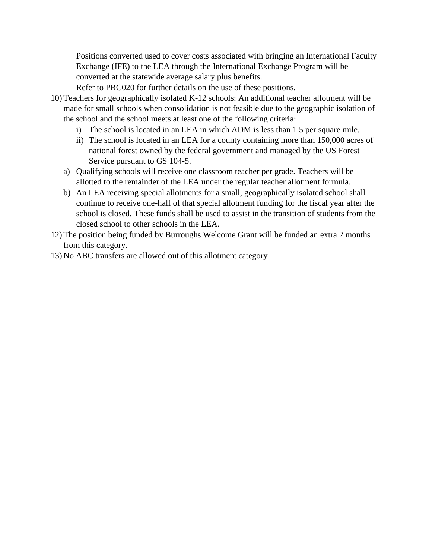Positions converted used to cover costs associated with bringing an International Faculty Exchange (IFE) to the LEA through the International Exchange Program will be converted at the statewide average salary plus benefits.

Refer to PRC020 for further details on the use of these positions.

- 10) Teachers for geographically isolated K-12 schools: An additional teacher allotment will be made for small schools when consolidation is not feasible due to the geographic isolation of the school and the school meets at least one of the following criteria:
	- i) The school is located in an LEA in which ADM is less than 1.5 per square mile.
	- ii) The school is located in an LEA for a county containing more than 150,000 acres of national forest owned by the federal government and managed by the US Forest Service pursuant to GS 104-5.
	- a) Qualifying schools will receive one classroom teacher per grade. Teachers will be allotted to the remainder of the LEA under the regular teacher allotment formula.
	- b) An LEA receiving special allotments for a small, geographically isolated school shall continue to receive one-half of that special allotment funding for the fiscal year after the school is closed. These funds shall be used to assist in the transition of students from the closed school to other schools in the LEA.
- 12) The position being funded by Burroughs Welcome Grant will be funded an extra 2 months from this category.
- 13) No ABC transfers are allowed out of this allotment category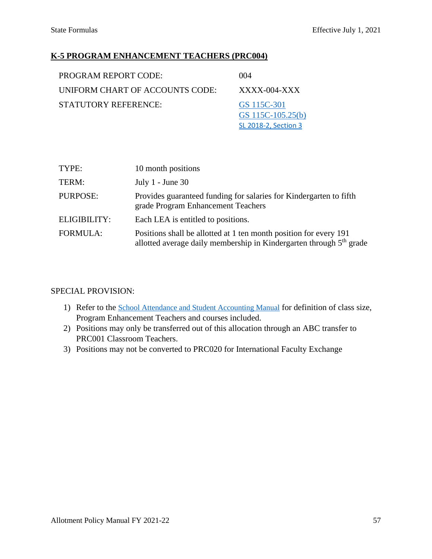### **K-5 PROGRAM ENHANCEMENT TEACHERS (PRC004)**

| <b>PROGRAM REPORT CODE:</b>     | 004                              |
|---------------------------------|----------------------------------|
| UNIFORM CHART OF ACCOUNTS CODE: | $XXXX$ -004-XXX                  |
| STATUTORY REFERENCE:            | GS 115C-301<br>GS 115C-105.25(b) |
|                                 | SL 2018-2, Section 3             |

| TYPE:           | 10 month positions                                                                                                                                   |
|-----------------|------------------------------------------------------------------------------------------------------------------------------------------------------|
| TERM:           | July $1$ - June 30                                                                                                                                   |
| PURPOSE:        | Provides guaranteed funding for salaries for Kindergarten to fifth<br>grade Program Enhancement Teachers                                             |
| ELIGIBILITY:    | Each LEA is entitled to positions.                                                                                                                   |
| <b>FORMULA:</b> | Positions shall be allotted at 1 ten month position for every 191<br>allotted average daily membership in Kindergarten through 5 <sup>th</sup> grade |

- 1) Refer to the [School Attendance and Student Accounting Manual](https://www.dpi.nc.gov/media/10117/download?attachment) for definition of class size, Program Enhancement Teachers and courses included.
- 2) Positions may only be transferred out of this allocation through an ABC transfer to PRC001 Classroom Teachers.
- 3) Positions may not be converted to PRC020 for International Faculty Exchange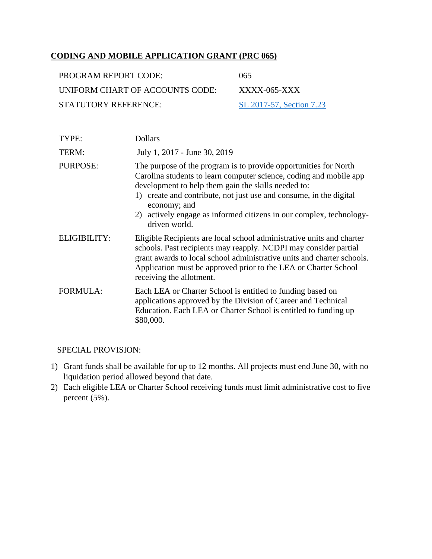## **CODING AND MOBILE APPLICATION GRANT (PRC 065)**

| PROGRAM REPORT CODE:            | 065                      |
|---------------------------------|--------------------------|
| UNIFORM CHART OF ACCOUNTS CODE: | $XXXX$ -065-XXX          |
| STATUTORY REFERENCE:            | SL 2017-57, Section 7.23 |

| TYPE:           | <b>Dollars</b>                                                                                                                                                                                                                                                                                                                                                              |
|-----------------|-----------------------------------------------------------------------------------------------------------------------------------------------------------------------------------------------------------------------------------------------------------------------------------------------------------------------------------------------------------------------------|
| TERM:           | July 1, 2017 - June 30, 2019                                                                                                                                                                                                                                                                                                                                                |
| <b>PURPOSE:</b> | The purpose of the program is to provide opportunities for North<br>Carolina students to learn computer science, coding and mobile app<br>development to help them gain the skills needed to:<br>1) create and contribute, not just use and consume, in the digital<br>economy; and<br>2) actively engage as informed citizens in our complex, technology-<br>driven world. |
| ELIGIBILITY:    | Eligible Recipients are local school administrative units and charter<br>schools. Past recipients may reapply. NCDPI may consider partial<br>grant awards to local school administrative units and charter schools.<br>Application must be approved prior to the LEA or Charter School<br>receiving the allotment.                                                          |
| <b>FORMULA:</b> | Each LEA or Charter School is entitled to funding based on<br>applications approved by the Division of Career and Technical<br>Education. Each LEA or Charter School is entitled to funding up<br>\$80,000.                                                                                                                                                                 |

- 1) Grant funds shall be available for up to 12 months. All projects must end June 30, with no liquidation period allowed beyond that date.
- 2) Each eligible LEA or Charter School receiving funds must limit administrative cost to five percent (5%).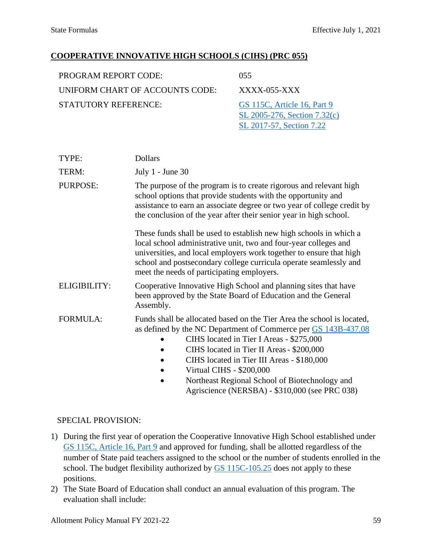[SL 2017-57, Section 7.22](https://www.ncleg.net/Sessions/2017/Bills/Senate/PDF/S257v9.pdf#page=35)

### **COOPERATIVE INNOVATIVE HIGH SCHOOLS (CIHS) (PRC 055)**

| PROGRAM REPORT CODE:            | (155)                                                       |
|---------------------------------|-------------------------------------------------------------|
| UNIFORM CHART OF ACCOUNTS CODE: | $XXXX$ -055- $XXX$                                          |
| <b>STATUTORY REFERENCE:</b>     | GS 115C, Article 16, Part 9<br>SL 2005-276, Section 7.32(c) |

| TYPE:               | <b>Dollars</b>                                                                                                                                                                                                                                                                                                                                                                                                         |  |
|---------------------|------------------------------------------------------------------------------------------------------------------------------------------------------------------------------------------------------------------------------------------------------------------------------------------------------------------------------------------------------------------------------------------------------------------------|--|
| TERM:               | July $1$ - June 30                                                                                                                                                                                                                                                                                                                                                                                                     |  |
| PURPOSE:            | The purpose of the program is to create rigorous and relevant high<br>school options that provide students with the opportunity and<br>assistance to earn an associate degree or two year of college credit by<br>the conclusion of the year after their senior year in high school.                                                                                                                                   |  |
|                     | These funds shall be used to establish new high schools in which a<br>local school administrative unit, two and four-year colleges and<br>universities, and local employers work together to ensure that high<br>school and postsecondary college curricula operate seamlessly and<br>meet the needs of participating employers.                                                                                       |  |
| <b>ELIGIBILITY:</b> | Cooperative Innovative High School and planning sites that have<br>been approved by the State Board of Education and the General<br>Assembly.                                                                                                                                                                                                                                                                          |  |
| <b>FORMULA:</b>     | Funds shall be allocated based on the Tier Area the school is located,<br>as defined by the NC Department of Commerce per GS 143B-437.08<br>CIHS located in Tier I Areas - \$275,000<br>CIHS located in Tier II Areas - \$200,000<br>CIHS located in Tier III Areas - \$180,000<br><b>Virtual CIHS - \$200,000</b><br>Northeast Regional School of Biotechnology and<br>Agriscience (NERSBA) - \$310,000 (see PRC 038) |  |

- 1) During the first year of operation the Cooperative Innovative High School established under [GS 115C, Article 16, Part 9](https://www.ncleg.net/EnactedLegislation/Statutes/HTML/ByArticle/Chapter_115C/Article_16.html) and approved for funding, shall be allotted regardless of the number of State paid teachers assigned to the school or the number of students enrolled in the school. The budget flexibility authorized by [GS 115C-105.25](https://www.ncleg.net/EnactedLegislation/Statutes/HTML/BySection/Chapter_115C/GS_115C-105.25.html) does not apply to these positions.
- 2) The State Board of Education shall conduct an annual evaluation of this program. The evaluation shall include: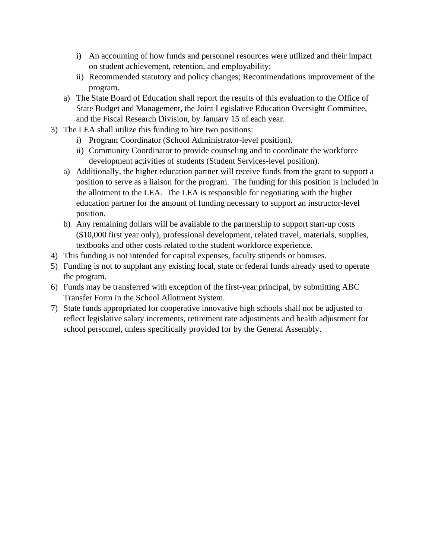- i) An accounting of how funds and personnel resources were utilized and their impact on student achievement, retention, and employability;
- ii) Recommended statutory and policy changes; Recommendations improvement of the program.
- a) The State Board of Education shall report the results of this evaluation to the Office of State Budget and Management, the Joint Legislative Education Oversight Committee, and the Fiscal Research Division, by January 15 of each year.
- 3) The LEA shall utilize this funding to hire two positions:
	- i) Program Coordinator (School Administrator-level position).
	- ii) Community Coordinator to provide counseling and to coordinate the workforce development activities of students (Student Services-level position).
	- a) Additionally, the higher education partner will receive funds from the grant to support a position to serve as a liaison for the program. The funding for this position is included in the allotment to the LEA. The LEA is responsible for negotiating with the higher education partner for the amount of funding necessary to support an instructor-level position.
	- b) Any remaining dollars will be available to the partnership to support start-up costs (\$10,000 first year only), professional development, related travel, materials, supplies, textbooks and other costs related to the student workforce experience.
- 4) This funding is not intended for capital expenses, faculty stipends or bonuses.
- 5) Funding is not to supplant any existing local, state or federal funds already used to operate the program.
- 6) Funds may be transferred with exception of the first-year principal, by submitting [ABC](https://schools.nc.gov/ords/f?p=198:101:939506709296501:::::)  [Transfer Form](https://schools.nc.gov/ords/f?p=198:101:939506709296501:::::) in the School Allotment System.
- 7) State funds appropriated for cooperative innovative high schools shall not be adjusted to reflect legislative salary increments, retirement rate adjustments and health adjustment for school personnel, unless specifically provided for by the General Assembly.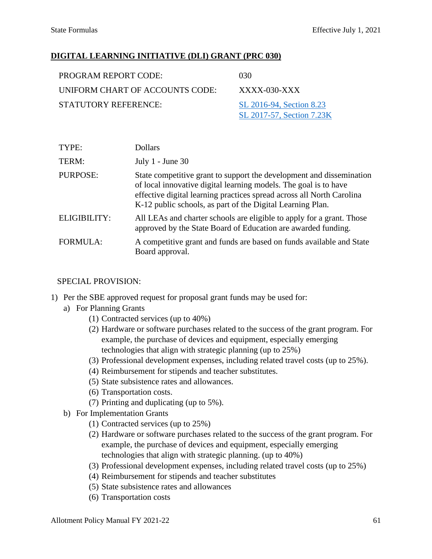### **DIGITAL LEARNING INITIATIVE (DLI) GRANT (PRC 030)**

| PROGRAM REPORT CODE:            | 030                       |
|---------------------------------|---------------------------|
| UNIFORM CHART OF ACCOUNTS CODE: | $XXXX$ -030- $XXX$        |
| STATUTORY REFERENCE:            | SL 2016-94, Section 8.23  |
|                                 | SL 2017-57, Section 7.23K |

| TYPE:           | <b>Dollars</b>                                                                                                                                                                                                                                                                  |
|-----------------|---------------------------------------------------------------------------------------------------------------------------------------------------------------------------------------------------------------------------------------------------------------------------------|
| TERM:           | July $1$ - June 30                                                                                                                                                                                                                                                              |
| PURPOSE:        | State competitive grant to support the development and dissemination<br>of local innovative digital learning models. The goal is to have<br>effective digital learning practices spread across all North Carolina<br>K-12 public schools, as part of the Digital Learning Plan. |
| ELIGIBILITY:    | All LEAs and charter schools are eligible to apply for a grant. Those<br>approved by the State Board of Education are awarded funding.                                                                                                                                          |
| <b>FORMULA:</b> | A competitive grant and funds are based on funds available and State<br>Board approval.                                                                                                                                                                                         |

- 1) Per the SBE approved request for proposal grant funds may be used for:
	- a) For Planning Grants
		- (1) Contracted services (up to 40%)
		- (2) Hardware or software purchases related to the success of the grant program. For example, the purchase of devices and equipment, especially emerging technologies that align with strategic planning (up to 25%)
		- (3) Professional development expenses, including related travel costs (up to 25%).
		- (4) Reimbursement for stipends and teacher substitutes.
		- (5) State subsistence rates and allowances.
		- (6) Transportation costs.
		- (7) Printing and duplicating (up to 5%).
	- b) For Implementation Grants
		- (1) Contracted services (up to 25%)
		- (2) Hardware or software purchases related to the success of the grant program. For example, the purchase of devices and equipment, especially emerging technologies that align with strategic planning. (up to 40%)
		- (3) Professional development expenses, including related travel costs (up to 25%)
		- (4) Reimbursement for stipends and teacher substitutes
		- (5) State subsistence rates and allowances
		- (6) Transportation costs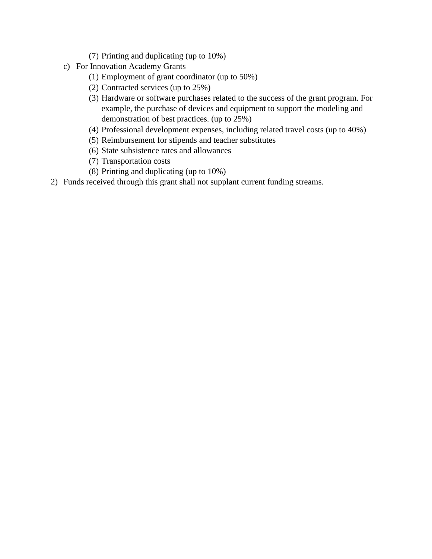- (7) Printing and duplicating (up to 10%)
- c) For Innovation Academy Grants
	- (1) Employment of grant coordinator (up to 50%)
	- (2) Contracted services (up to 25%)
	- (3) Hardware or software purchases related to the success of the grant program. For example, the purchase of devices and equipment to support the modeling and demonstration of best practices. (up to 25%)
	- (4) Professional development expenses, including related travel costs (up to 40%)
	- (5) Reimbursement for stipends and teacher substitutes
	- (6) State subsistence rates and allowances
	- (7) Transportation costs
	- (8) Printing and duplicating (up to 10%)
- 2) Funds received through this grant shall not supplant current funding streams.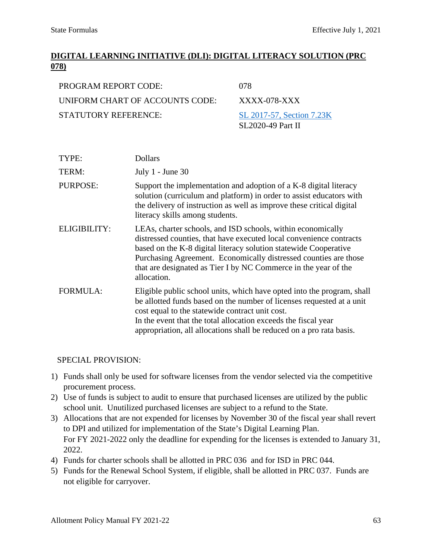# **DIGITAL LEARNING INITIATIVE (DLI): DIGITAL LITERACY SOLUTION (PRC 078)**

| PROGRAM REPORT CODE:            | 078                       |
|---------------------------------|---------------------------|
| UNIFORM CHART OF ACCOUNTS CODE: | XXXX-078-XXX              |
| <b>STATUTORY REFERENCE:</b>     | SL 2017-57, Section 7.23K |
|                                 | SL2020-49 Part II         |

| TYPE:               | <b>Dollars</b>                                                                                                                                                                                                                                                                                                                                               |
|---------------------|--------------------------------------------------------------------------------------------------------------------------------------------------------------------------------------------------------------------------------------------------------------------------------------------------------------------------------------------------------------|
| TERM:               | July $1$ - June 30                                                                                                                                                                                                                                                                                                                                           |
| <b>PURPOSE:</b>     | Support the implementation and adoption of a K-8 digital literacy<br>solution (curriculum and platform) in order to assist educators with<br>the delivery of instruction as well as improve these critical digital<br>literacy skills among students.                                                                                                        |
| <b>ELIGIBILITY:</b> | LEAs, charter schools, and ISD schools, within economically<br>distressed counties, that have executed local convenience contracts<br>based on the K-8 digital literacy solution statewide Cooperative<br>Purchasing Agreement. Economically distressed counties are those<br>that are designated as Tier I by NC Commerce in the year of the<br>allocation. |
| <b>FORMULA:</b>     | Eligible public school units, which have opted into the program, shall<br>be allotted funds based on the number of licenses requested at a unit<br>cost equal to the statewide contract unit cost.<br>In the event that the total allocation exceeds the fiscal year<br>appropriation, all allocations shall be reduced on a pro rata basis.                 |

- 1) Funds shall only be used for software licenses from the vendor selected via the competitive procurement process.
- 2) Use of funds is subject to audit to ensure that purchased licenses are utilized by the public school unit. Unutilized purchased licenses are subject to a refund to the State.
- 3) Allocations that are not expended for licenses by November 30 of the fiscal year shall revert to DPI and utilized for implementation of the State's Digital Learning Plan. For FY 2021-2022 only the deadline for expending for the licenses is extended to January 31, 2022.
- 4) Funds for charter schools shall be allotted in PRC 036 and for ISD in PRC 044.
- 5) Funds for the Renewal School System, if eligible, shall be allotted in PRC 037. Funds are not eligible for carryover.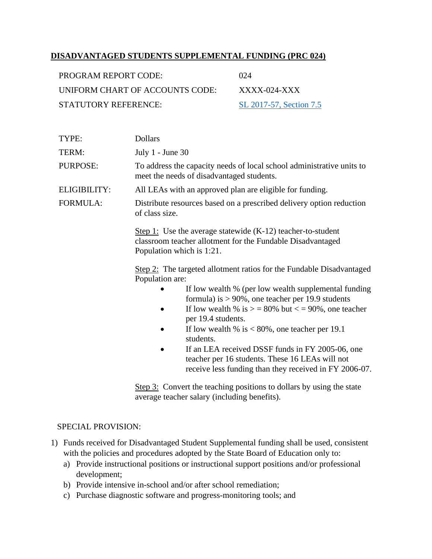### **DISADVANTAGED STUDENTS SUPPLEMENTAL FUNDING (PRC 024)**

| PROGRAM REPORT CODE:            | (1)24                   |
|---------------------------------|-------------------------|
| UNIFORM CHART OF ACCOUNTS CODE: | $XXXX$ -024-XXX         |
| STATUTORY REFERENCE:            | SL 2017-57, Section 7.5 |

| TYPE:               | <b>Dollars</b>                                                                                                                                                                                                                                                                                                                                                                                                                                                                                                                                                                                                                   |  |
|---------------------|----------------------------------------------------------------------------------------------------------------------------------------------------------------------------------------------------------------------------------------------------------------------------------------------------------------------------------------------------------------------------------------------------------------------------------------------------------------------------------------------------------------------------------------------------------------------------------------------------------------------------------|--|
| TERM:               | July $1$ - June 30                                                                                                                                                                                                                                                                                                                                                                                                                                                                                                                                                                                                               |  |
| <b>PURPOSE:</b>     | To address the capacity needs of local school administrative units to<br>meet the needs of disadvantaged students.                                                                                                                                                                                                                                                                                                                                                                                                                                                                                                               |  |
| <b>ELIGIBILITY:</b> | All LEAs with an approved plan are eligible for funding.                                                                                                                                                                                                                                                                                                                                                                                                                                                                                                                                                                         |  |
| <b>FORMULA:</b>     | Distribute resources based on a prescribed delivery option reduction<br>of class size.                                                                                                                                                                                                                                                                                                                                                                                                                                                                                                                                           |  |
|                     | Step 1: Use the average statewide $(K-12)$ teacher-to-student<br>classroom teacher allotment for the Fundable Disadvantaged<br>Population which is 1:21.<br>Step 2: The targeted allotment ratios for the Fundable Disadvantaged<br>Population are:<br>If low wealth % (per low wealth supplemental funding<br>formula) is $> 90\%$ , one teacher per 19.9 students<br>If low wealth % is $>$ = 80% but $\lt$ = 90%, one teacher<br>per 19.4 students.<br>If low wealth % is $< 80\%$ , one teacher per 19.1<br>students.<br>If an LEA received DSSF funds in FY 2005-06, one<br>teacher per 16 students. These 16 LEAs will not |  |
|                     | receive less funding than they received in FY 2006-07.<br>Step 3: Convert the teaching positions to dollars by using the state<br>average teacher salary (including benefits).                                                                                                                                                                                                                                                                                                                                                                                                                                                   |  |

- 1) Funds received for Disadvantaged Student Supplemental funding shall be used, consistent with the policies and procedures adopted by the State Board of Education only to:
	- a) Provide instructional positions or instructional support positions and/or professional development;
	- b) Provide intensive in-school and/or after school remediation;
	- c) Purchase diagnostic software and progress-monitoring tools; and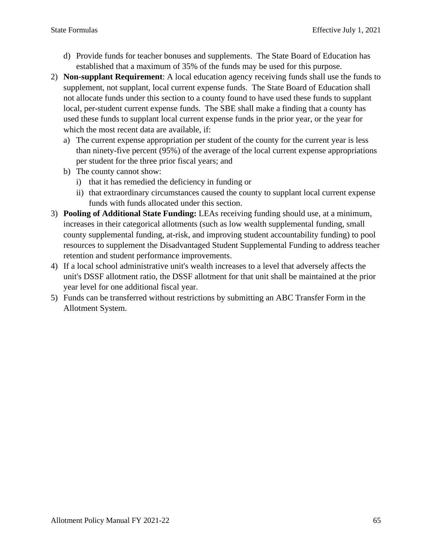- d) Provide funds for teacher bonuses and supplements. The State Board of Education has established that a maximum of 35% of the funds may be used for this purpose.
- 2) **Non-supplant Requirement**: A local education agency receiving funds shall use the funds to supplement, not supplant, local current expense funds. The State Board of Education shall not allocate funds under this section to a county found to have used these funds to supplant local, per-student current expense funds. The SBE shall make a finding that a county has used these funds to supplant local current expense funds in the prior year, or the year for which the most recent data are available, if:
	- a) The current expense appropriation per student of the county for the current year is less than ninety-five percent (95%) of the average of the local current expense appropriations per student for the three prior fiscal years; and
	- b) The county cannot show:
		- i) that it has remedied the deficiency in funding or
		- ii) that extraordinary circumstances caused the county to supplant local current expense funds with funds allocated under this section.
- 3) **Pooling of Additional State Funding:** LEAs receiving funding should use, at a minimum, increases in their categorical allotments (such as low wealth supplemental funding, small county supplemental funding, at-risk, and improving student accountability funding) to pool resources to supplement the Disadvantaged Student Supplemental Funding to address teacher retention and student performance improvements.
- 4) If a local school administrative unit's wealth increases to a level that adversely affects the unit's DSSF allotment ratio, the DSSF allotment for that unit shall be maintained at the prior year level for one additional fiscal year.
- 5) Funds can be transferred without restrictions by submitting an ABC Transfer Form in the Allotment System.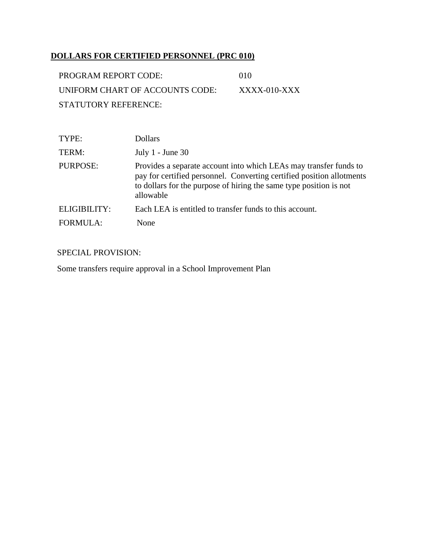# **DOLLARS FOR CERTIFIED PERSONNEL (PRC 010)**

| PROGRAM REPORT CODE:            | 010            |
|---------------------------------|----------------|
| UNIFORM CHART OF ACCOUNTS CODE: | $XXXX-010-XXX$ |
| STATUTORY REFERENCE:            |                |

| TYPE:           | <b>Dollars</b>                                                                                                                                                                                                                |
|-----------------|-------------------------------------------------------------------------------------------------------------------------------------------------------------------------------------------------------------------------------|
| TERM:           | July $1$ - June 30                                                                                                                                                                                                            |
| <b>PURPOSE:</b> | Provides a separate account into which LEAs may transfer funds to<br>pay for certified personnel. Converting certified position allotments<br>to dollars for the purpose of hiring the same type position is not<br>allowable |
| ELIGIBILITY:    | Each LEA is entitled to transfer funds to this account.                                                                                                                                                                       |
| <b>FORMULA:</b> | None                                                                                                                                                                                                                          |

### SPECIAL PROVISION:

Some transfers require approval in a School Improvement Plan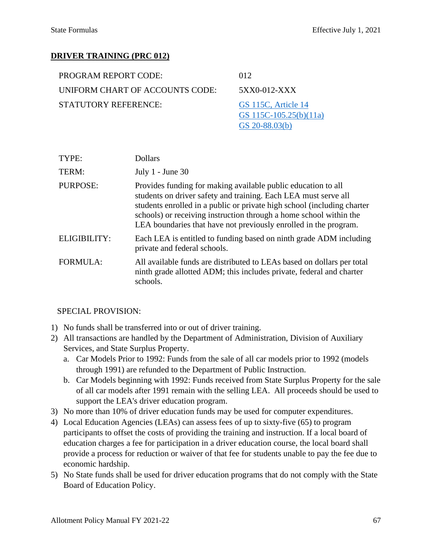### **DRIVER TRAINING (PRC 012)**

| PROGRAM REPORT CODE:            | 012                    |
|---------------------------------|------------------------|
| UNIFORM CHART OF ACCOUNTS CODE: | 5XX0-012-XXX           |
| STATUTORY REFERENCE:            | GS 115C, Article 14    |
|                                 | GS 115C-105.25(b)(11a) |

| TYPE:           | <b>Dollars</b>                                                                                                                                                                                                                                                                                                                                        |
|-----------------|-------------------------------------------------------------------------------------------------------------------------------------------------------------------------------------------------------------------------------------------------------------------------------------------------------------------------------------------------------|
| TERM:           | July $1$ - June 30                                                                                                                                                                                                                                                                                                                                    |
| <b>PURPOSE:</b> | Provides funding for making available public education to all<br>students on driver safety and training. Each LEA must serve all<br>students enrolled in a public or private high school (including charter<br>schools) or receiving instruction through a home school within the<br>LEA boundaries that have not previously enrolled in the program. |
| ELIGIBILITY:    | Each LEA is entitled to funding based on ninth grade ADM including<br>private and federal schools.                                                                                                                                                                                                                                                    |
| FORMULA:        | All available funds are distributed to LEAs based on dollars per total<br>ninth grade allotted ADM; this includes private, federal and charter<br>schools.                                                                                                                                                                                            |

[GS 20-88.03\(b\)](https://www.ncleg.gov/EnactedLegislation/Statutes/PDF/BySection/Chapter_20/GS_20-88.03.pdf)

- 1) No funds shall be transferred into or out of driver training.
- 2) All transactions are handled by the Department of Administration, Division of Auxiliary Services, and State Surplus Property.
	- a. Car Models Prior to 1992: Funds from the sale of all car models prior to 1992 (models through 1991) are refunded to the Department of Public Instruction.
	- b. Car Models beginning with 1992: Funds received from State Surplus Property for the sale of all car models after 1991 remain with the selling LEA. All proceeds should be used to support the LEA's driver education program.
- 3) No more than 10% of driver education funds may be used for computer expenditures.
- 4) Local Education Agencies (LEAs) can assess fees of up to sixty-five (65) to program participants to offset the costs of providing the training and instruction. If a local board of education charges a fee for participation in a driver education course, the local board shall provide a process for reduction or waiver of that fee for students unable to pay the fee due to economic hardship.
- 5) No State funds shall be used for driver education programs that do not comply with the State Board of Education Policy.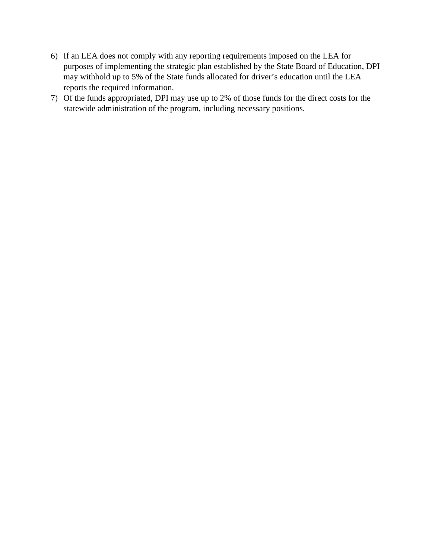- 6) If an LEA does not comply with any reporting requirements imposed on the LEA for purposes of implementing the strategic plan established by the State Board of Education, DPI may withhold up to 5% of the State funds allocated for driver's education until the LEA reports the required information.
- 7) Of the funds appropriated, DPI may use up to 2% of those funds for the direct costs for the statewide administration of the program, including necessary positions.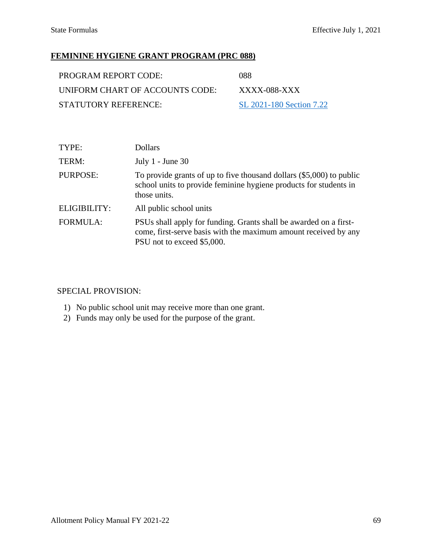# **FEMININE HYGIENE GRANT PROGRAM (PRC 088)**

| PROGRAM REPORT CODE:            | -088                     |
|---------------------------------|--------------------------|
| UNIFORM CHART OF ACCOUNTS CODE: | XXXX-088-XXX             |
| STATUTORY REFERENCE:            | SL 2021-180 Section 7.22 |

| TYPE:               | <b>Dollars</b>                                                                                                                                                     |
|---------------------|--------------------------------------------------------------------------------------------------------------------------------------------------------------------|
| TERM:               | July $1$ - June 30                                                                                                                                                 |
| PURPOSE:            | To provide grants of up to five thousand dollars $(\$5,000)$ to public<br>school units to provide feminine hygiene products for students in<br>those units.        |
| <b>ELIGIBILITY:</b> | All public school units                                                                                                                                            |
| <b>FORMULA:</b>     | PSUs shall apply for funding. Grants shall be awarded on a first-<br>come, first-serve basis with the maximum amount received by any<br>PSU not to exceed \$5,000. |

- 1) No public school unit may receive more than one grant.
- 2) Funds may only be used for the purpose of the grant.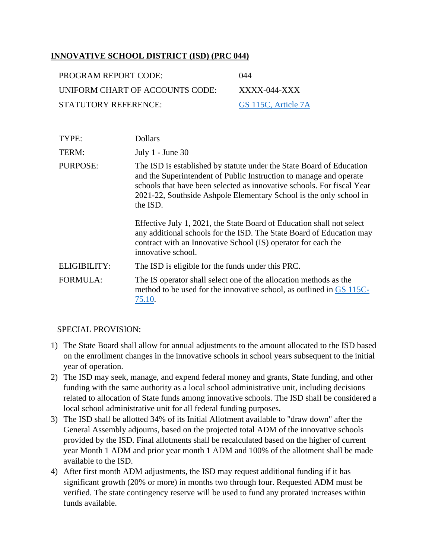### **INNOVATIVE SCHOOL DISTRICT (ISD) (PRC 044)**

| PROGRAM REPORT CODE:            | 044                 |
|---------------------------------|---------------------|
| UNIFORM CHART OF ACCOUNTS CODE: | XXXX-044-XXX        |
| STATUTORY REFERENCE:            | GS 115C, Article 7A |

| TYPE:               | <b>Dollars</b>                                                                                                                                                                                                                                                                                         |
|---------------------|--------------------------------------------------------------------------------------------------------------------------------------------------------------------------------------------------------------------------------------------------------------------------------------------------------|
| TERM:               | July $1$ - June 30                                                                                                                                                                                                                                                                                     |
| PURPOSE:            | The ISD is established by statute under the State Board of Education<br>and the Superintendent of Public Instruction to manage and operate<br>schools that have been selected as innovative schools. For fiscal Year<br>2021-22, Southside Ashpole Elementary School is the only school in<br>the ISD. |
|                     | Effective July 1, 2021, the State Board of Education shall not select<br>any additional schools for the ISD. The State Board of Education may<br>contract with an Innovative School (IS) operator for each the<br>innovative school.                                                                   |
| <b>ELIGIBILITY:</b> | The ISD is eligible for the funds under this PRC.                                                                                                                                                                                                                                                      |
| <b>FORMULA:</b>     | The IS operator shall select one of the allocation methods as the<br>method to be used for the innovative school, as outlined in GS 115C-<br>75.10.                                                                                                                                                    |

- 1) The State Board shall allow for annual adjustments to the amount allocated to the ISD based on the enrollment changes in the innovative schools in school years subsequent to the initial year of operation.
- 2) The ISD may seek, manage, and expend federal money and grants, State funding, and other funding with the same authority as a local school administrative unit, including decisions related to allocation of State funds among innovative schools. The ISD shall be considered a local school administrative unit for all federal funding purposes.
- 3) The ISD shall be allotted 34% of its Initial Allotment available to "draw down" after the General Assembly adjourns, based on the projected total ADM of the innovative schools provided by the ISD. Final allotments shall be recalculated based on the higher of current year Month 1 ADM and prior year month 1 ADM and 100% of the allotment shall be made available to the ISD.
- 4) After first month ADM adjustments, the ISD may request additional funding if it has significant growth (20% or more) in months two through four. Requested ADM must be verified. The state contingency reserve will be used to fund any prorated increases within funds available.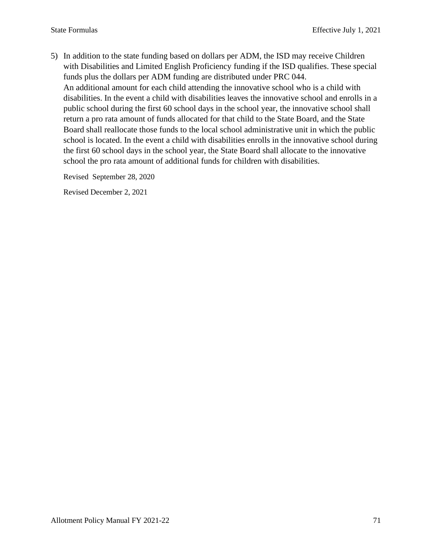5) In addition to the state funding based on dollars per ADM, the ISD may receive Children with Disabilities and Limited English Proficiency funding if the ISD qualifies. These special funds plus the dollars per ADM funding are distributed under PRC 044. An additional amount for each child attending the innovative school who is a child with disabilities. In the event a child with disabilities leaves the innovative school and enrolls in a public school during the first 60 school days in the school year, the innovative school shall return a pro rata amount of funds allocated for that child to the State Board, and the State Board shall reallocate those funds to the local school administrative unit in which the public school is located. In the event a child with disabilities enrolls in the innovative school during the first 60 school days in the school year, the State Board shall allocate to the innovative school the pro rata amount of additional funds for children with disabilities.

Revised September 28, 2020

Revised December 2, 2021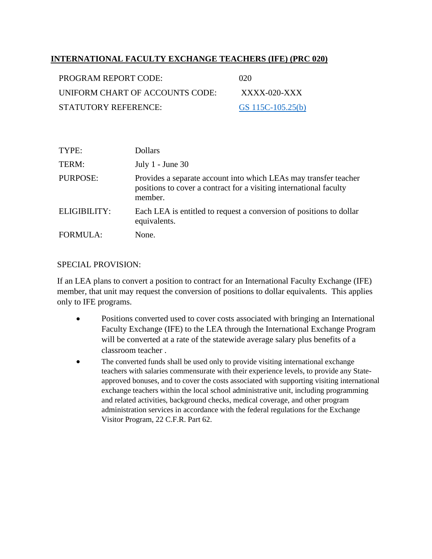### **INTERNATIONAL FACULTY EXCHANGE TEACHERS (IFE) (PRC 020)**

| <b>PROGRAM REPORT CODE:</b>     | 020               |
|---------------------------------|-------------------|
| UNIFORM CHART OF ACCOUNTS CODE: | $XXXX$ -020- $XX$ |
| STATUTORY REFERENCE:            | GS 115C-105.25(b) |

| TYPE:           | <b>Dollars</b>                                                                                                                                    |
|-----------------|---------------------------------------------------------------------------------------------------------------------------------------------------|
| TERM:           | July $1$ - June $30$                                                                                                                              |
| <b>PURPOSE:</b> | Provides a separate account into which LEAs may transfer teacher<br>positions to cover a contract for a visiting international faculty<br>member. |
| ELIGIBILITY:    | Each LEA is entitled to request a conversion of positions to dollar<br>equivalents.                                                               |
| <b>FORMULA:</b> | None.                                                                                                                                             |

#### SPECIAL PROVISION:

If an LEA plans to convert a position to contract for an International Faculty Exchange (IFE) member, that unit may request the conversion of positions to dollar equivalents. This applies only to IFE programs.

- Positions converted used to cover costs associated with bringing an International Faculty Exchange (IFE) to the LEA through the International Exchange Program will be converted at a rate of the statewide average salary plus benefits of a classroom teacher .
- The converted funds shall be used only to provide visiting international exchange teachers with salaries commensurate with their experience levels, to provide any Stateapproved bonuses, and to cover the costs associated with supporting visiting international exchange teachers within the local school administrative unit, including programming and related activities, background checks, medical coverage, and other program administration services in accordance with the federal regulations for the Exchange Visitor Program, 22 C.F.R. Part 62.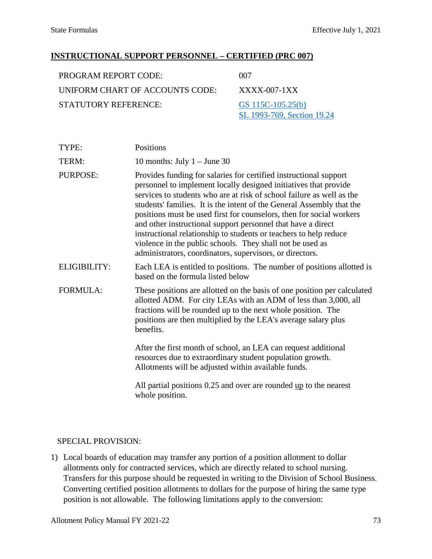#### **INSTRUCTIONAL SUPPORT PERSONNEL – CERTIFIED (PRC 007)**

| PROGRAM REPORT CODE:            | 007                                             |
|---------------------------------|-------------------------------------------------|
| UNIFORM CHART OF ACCOUNTS CODE: | $XXXX$ -007-1 $XX$                              |
| STATUTORY REFERENCE:            | GS 115C-105.25(b)<br>SL 1993-769, Section 19.24 |

| TYPE:               | Positions                                                                                                                                                                                                                                                                                                                                                                                                                                                                                                                                                                                                                     |
|---------------------|-------------------------------------------------------------------------------------------------------------------------------------------------------------------------------------------------------------------------------------------------------------------------------------------------------------------------------------------------------------------------------------------------------------------------------------------------------------------------------------------------------------------------------------------------------------------------------------------------------------------------------|
| TERM:               | 10 months: July $1 -$ June 30                                                                                                                                                                                                                                                                                                                                                                                                                                                                                                                                                                                                 |
| PURPOSE:            | Provides funding for salaries for certified instructional support<br>personnel to implement locally designed initiatives that provide<br>services to students who are at risk of school failure as well as the<br>students' families. It is the intent of the General Assembly that the<br>positions must be used first for counselors, then for social workers<br>and other instructional support personnel that have a direct<br>instructional relationship to students or teachers to help reduce<br>violence in the public schools. They shall not be used as<br>administrators, coordinators, supervisors, or directors. |
| <b>ELIGIBILITY:</b> | Each LEA is entitled to positions. The number of positions allotted is<br>based on the formula listed below                                                                                                                                                                                                                                                                                                                                                                                                                                                                                                                   |
| <b>FORMULA:</b>     | These positions are allotted on the basis of one position per calculated<br>allotted ADM. For city LEAs with an ADM of less than 3,000, all<br>fractions will be rounded up to the next whole position. The<br>positions are then multiplied by the LEA's average salary plus<br>benefits.                                                                                                                                                                                                                                                                                                                                    |
|                     | After the first month of school, an LEA can request additional<br>resources due to extraordinary student population growth.<br>Allotments will be adjusted within available funds.                                                                                                                                                                                                                                                                                                                                                                                                                                            |

All partial positions 0.25 and over are rounded up to the nearest whole position.

#### SPECIAL PROVISION:

1) Local boards of education may transfer any portion of a position allotment to dollar allotments only for contracted services, which are directly related to school nursing. Transfers for this purpose should be requested in writing to the Division of School Business. Converting certified position allotments to dollars for the purpose of hiring the same type position is not allowable. The following limitations apply to the conversion: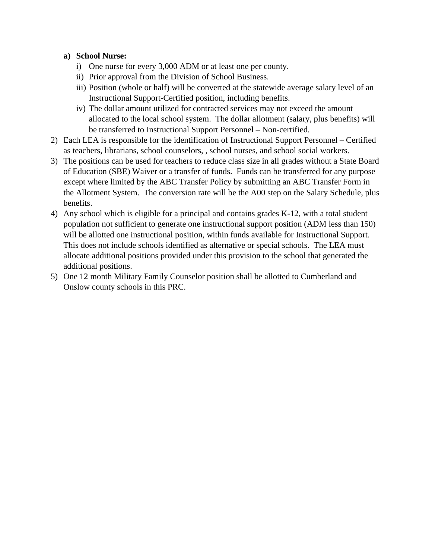#### **a) School Nurse:**

- i) One nurse for every 3,000 ADM or at least one per county.
- ii) Prior approval from the Division of School Business.
- iii) Position (whole or half) will be converted at the statewide average salary level of an Instructional Support-Certified position, including benefits.
- iv) The dollar amount utilized for contracted services may not exceed the amount allocated to the local school system. The dollar allotment (salary, plus benefits) will be transferred to Instructional Support Personnel – Non-certified.
- 2) Each LEA is responsible for the identification of Instructional Support Personnel Certified as teachers, librarians, school counselors, , school nurses, and school social workers.
- 3) The positions can be used for teachers to reduce class size in all grades without a State Board of Education (SBE) Waiver or a transfer of funds. Funds can be transferred for any purpose except where limited by the ABC Transfer Policy by submitting an [ABC Transfer Form](https://schools.nc.gov/ords/allotment) in the Allotment System. The conversion rate will be the A00 step on the Salary Schedule, plus benefits.
- 4) Any school which is eligible for a principal and contains grades K-12, with a total student population not sufficient to generate one instructional support position (ADM less than 150) will be allotted one instructional position, within funds available for Instructional Support. This does not include schools identified as alternative or special schools. The LEA must allocate additional positions provided under this provision to the school that generated the additional positions.
- 5) One 12 month Military Family Counselor position shall be allotted to Cumberland and Onslow county schools in this PRC.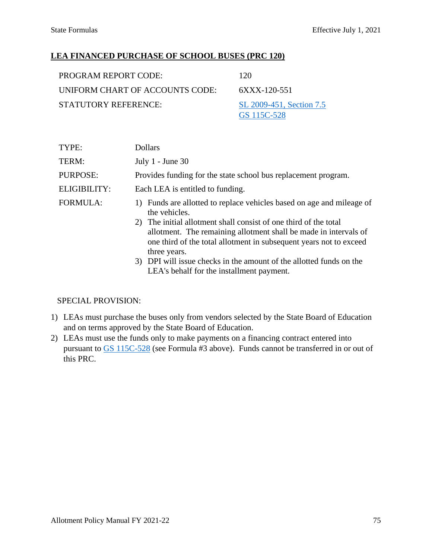### **LEA FINANCED PURCHASE OF SCHOOL BUSES (PRC 120)**

| PROGRAM REPORT CODE:            | 120                                     |
|---------------------------------|-----------------------------------------|
| UNIFORM CHART OF ACCOUNTS CODE: | 6XXX-120-551                            |
| STATUTORY REFERENCE:            | SL 2009-451, Section 7.5<br>GS 115C-528 |

| <b>Dollars</b>                                                                                                                                                                                                                                                                                                                                                                                                                        |
|---------------------------------------------------------------------------------------------------------------------------------------------------------------------------------------------------------------------------------------------------------------------------------------------------------------------------------------------------------------------------------------------------------------------------------------|
| July $1$ - June 30                                                                                                                                                                                                                                                                                                                                                                                                                    |
| Provides funding for the state school bus replacement program.                                                                                                                                                                                                                                                                                                                                                                        |
| Each LEA is entitled to funding.                                                                                                                                                                                                                                                                                                                                                                                                      |
| Funds are allotted to replace vehicles based on age and mileage of<br>the vehicles.<br>2) The initial allotment shall consist of one third of the total<br>allotment. The remaining allotment shall be made in intervals of<br>one third of the total allotment in subsequent years not to exceed<br>three years.<br>3) DPI will issue checks in the amount of the allotted funds on the<br>LEA's behalf for the installment payment. |
|                                                                                                                                                                                                                                                                                                                                                                                                                                       |

- 1) LEAs must purchase the buses only from vendors selected by the State Board of Education and on terms approved by the State Board of Education.
- 2) LEAs must use the funds only to make payments on a financing contract entered into pursuant to [GS 115C-528](https://www.ncleg.net/EnactedLegislation/Statutes/HTML/BySection/Chapter_115C/GS_115C-528.html) (see Formula #3 above). Funds cannot be transferred in or out of this PRC.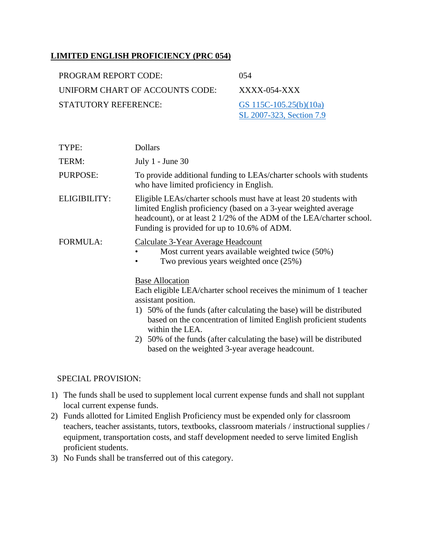### **LIMITED ENGLISH PROFICIENCY (PRC 054)**

| PROGRAM REPORT CODE:            | 054                                                |
|---------------------------------|----------------------------------------------------|
| UNIFORM CHART OF ACCOUNTS CODE: | $XXXX$ -054- $XXX$                                 |
| STATUTORY REFERENCE:            | GS 115C-105.25(b)(10a)<br>SL 2007-323, Section 7.9 |

| TYPE:               | <b>Dollars</b>                                                                                                                                                                                                                                                                                                                                                                                                 |
|---------------------|----------------------------------------------------------------------------------------------------------------------------------------------------------------------------------------------------------------------------------------------------------------------------------------------------------------------------------------------------------------------------------------------------------------|
| TERM:               | July 1 - June 30                                                                                                                                                                                                                                                                                                                                                                                               |
| PURPOSE:            | To provide additional funding to LEAs/charter schools with students<br>who have limited proficiency in English.                                                                                                                                                                                                                                                                                                |
| <b>ELIGIBILITY:</b> | Eligible LEAs/charter schools must have at least 20 students with<br>limited English proficiency (based on a 3-year weighted average<br>headcount), or at least 2 1/2% of the ADM of the LEA/charter school.<br>Funding is provided for up to 10.6% of ADM.                                                                                                                                                    |
| <b>FORMULA:</b>     | Calculate 3-Year Average Headcount<br>Most current years available weighted twice (50%)<br>Two previous years weighted once (25%)                                                                                                                                                                                                                                                                              |
|                     | <b>Base Allocation</b><br>Each eligible LEA/charter school receives the minimum of 1 teacher<br>assistant position.<br>1) 50% of the funds (after calculating the base) will be distributed<br>based on the concentration of limited English proficient students<br>within the LEA.<br>2) 50% of the funds (after calculating the base) will be distributed<br>based on the weighted 3-year average headcount. |

- 1) The funds shall be used to supplement local current expense funds and shall not supplant local current expense funds.
- 2) Funds allotted for Limited English Proficiency must be expended only for classroom teachers, teacher assistants, tutors, textbooks, classroom materials / instructional supplies / equipment, transportation costs, and staff development needed to serve limited English proficient students.
- 3) No Funds shall be transferred out of this category.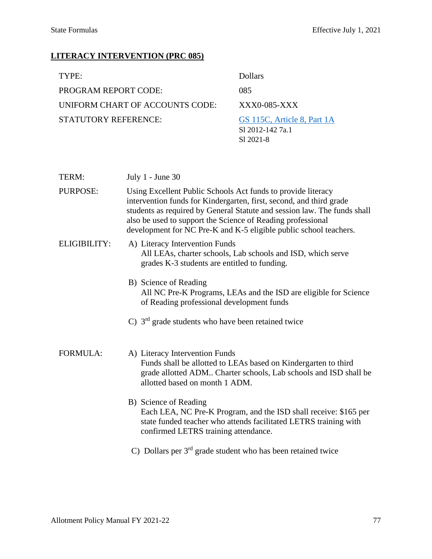# **LITERACY INTERVENTION (PRC 085)**

| TYPE:                           | Dollars                                                      |
|---------------------------------|--------------------------------------------------------------|
| <b>PROGRAM REPORT CODE:</b>     | 085                                                          |
| UNIFORM CHART OF ACCOUNTS CODE: | $XXX0-085-XXX$                                               |
| STATUTORY REFERENCE:            | GS 115C, Article 8, Part 1A<br>S1 2012-142 7a.1<br>S1 2021-8 |

| TERM:           | July $1$ - June 30                                                                                                                                                                                                                                                                                                                                  |
|-----------------|-----------------------------------------------------------------------------------------------------------------------------------------------------------------------------------------------------------------------------------------------------------------------------------------------------------------------------------------------------|
| PURPOSE:        | Using Excellent Public Schools Act funds to provide literacy<br>intervention funds for Kindergarten, first, second, and third grade<br>students as required by General Statute and session law. The funds shall<br>also be used to support the Science of Reading professional<br>development for NC Pre-K and K-5 eligible public school teachers. |
| ELIGIBILITY:    | A) Literacy Intervention Funds<br>All LEAs, charter schools, Lab schools and ISD, which serve<br>grades K-3 students are entitled to funding.                                                                                                                                                                                                       |
|                 | B) Science of Reading<br>All NC Pre-K Programs, LEAs and the ISD are eligible for Science<br>of Reading professional development funds                                                                                                                                                                                                              |
|                 | C) $3rd$ grade students who have been retained twice                                                                                                                                                                                                                                                                                                |
| <b>FORMULA:</b> | A) Literacy Intervention Funds<br>Funds shall be allotted to LEAs based on Kindergarten to third<br>grade allotted ADM Charter schools, Lab schools and ISD shall be<br>allotted based on month 1 ADM.                                                                                                                                              |
|                 | B) Science of Reading<br>Each LEA, NC Pre-K Program, and the ISD shall receive: \$165 per<br>state funded teacher who attends facilitated LETRS training with<br>confirmed LETRS training attendance.                                                                                                                                               |
|                 | C) Dollars per $3rd$ grade student who has been retained twice                                                                                                                                                                                                                                                                                      |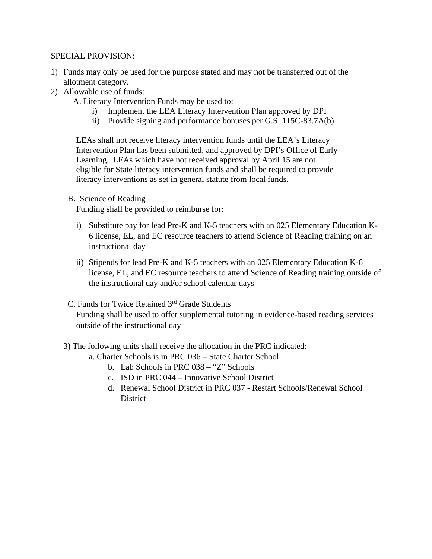#### SPECIAL PROVISION:

- 1) Funds may only be used for the purpose stated and may not be transferred out of the allotment category.
- 2) Allowable use of funds:
	- A. Literacy Intervention Funds may be used to:
		- Implement the LEA Literacy Intervention Plan approved by DPI
		- ii) Provide signing and performance bonuses per G.S. 115C-83.7A(b)

LEAs shall not receive literacy intervention funds until the LEA's Literacy Intervention Plan has been submitted, and approved by DPI's Office of Early Learning. LEAs which have not received approval by April 15 are not eligible for State literacy intervention funds and shall be required to provide literacy interventions as set in general statute from local funds.

B. Science of Reading

Funding shall be provided to reimburse for:

- i) Substitute pay for lead Pre-K and K-5 teachers with an 025 Elementary Education K-6 license, EL, and EC resource teachers to attend Science of Reading training on an instructional day
- ii) Stipends for lead Pre-K and K-5 teachers with an 025 Elementary Education K-6 license, EL, and EC resource teachers to attend Science of Reading training outside of the instructional day and/or school calendar days
- C. Funds for Twice Retained 3rd Grade Students Funding shall be used to offer supplemental tutoring in evidence-based reading services outside of the instructional day
- 3) The following units shall receive the allocation in the PRC indicated:
	- a. Charter Schools is in PRC 036 State Charter School
		- b. Lab Schools in PRC 038 "Z" Schools
		- c. ISD in PRC 044 Innovative School District
		- d. Renewal School District in PRC 037 Restart Schools/Renewal School **District**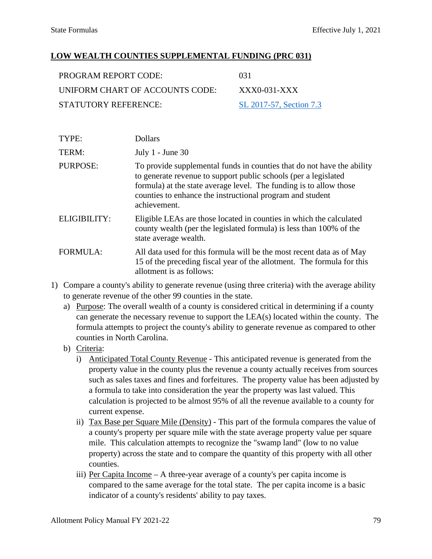### **LOW WEALTH COUNTIES SUPPLEMENTAL FUNDING (PRC 031)**

| PROGRAM REPORT CODE:            | 031                     |
|---------------------------------|-------------------------|
| UNIFORM CHART OF ACCOUNTS CODE: | XXX0-031-XXX            |
| STATUTORY REFERENCE:            | SL 2017-57, Section 7.3 |

| TYPE:               | <b>Dollars</b>                                                                                                                                                                                                                                                                               |
|---------------------|----------------------------------------------------------------------------------------------------------------------------------------------------------------------------------------------------------------------------------------------------------------------------------------------|
| TERM:               | July $1$ - June 30                                                                                                                                                                                                                                                                           |
| <b>PURPOSE:</b>     | To provide supplemental funds in counties that do not have the ability<br>to generate revenue to support public schools (per a legislated<br>formula) at the state average level. The funding is to allow those<br>counties to enhance the instructional program and student<br>achievement. |
| <b>ELIGIBILITY:</b> | Eligible LEAs are those located in counties in which the calculated<br>county wealth (per the legislated formula) is less than 100% of the<br>state average wealth.                                                                                                                          |
| FORMULA:            | All data used for this formula will be the most recent data as of May<br>15 of the preceding fiscal year of the allotment. The formula for this<br>allotment is as follows:                                                                                                                  |

- 1) Compare a county's ability to generate revenue (using three criteria) with the average ability to generate revenue of the other 99 counties in the state.
	- a) Purpose: The overall wealth of a county is considered critical in determining if a county can generate the necessary revenue to support the LEA(s) located within the county. The formula attempts to project the county's ability to generate revenue as compared to other counties in North Carolina.
	- b) Criteria:
		- i) Anticipated Total County Revenue This anticipated revenue is generated from the property value in the county plus the revenue a county actually receives from sources such as sales taxes and fines and forfeitures. The property value has been adjusted by a formula to take into consideration the year the property was last valued. This calculation is projected to be almost 95% of all the revenue available to a county for current expense.
		- ii) Tax Base per Square Mile (Density) This part of the formula compares the value of a county's property per square mile with the state average property value per square mile. This calculation attempts to recognize the "swamp land" (low to no value property) across the state and to compare the quantity of this property with all other counties.
		- iii) Per Capita Income A three-year average of a county's per capita income is compared to the same average for the total state. The per capita income is a basic indicator of a county's residents' ability to pay taxes.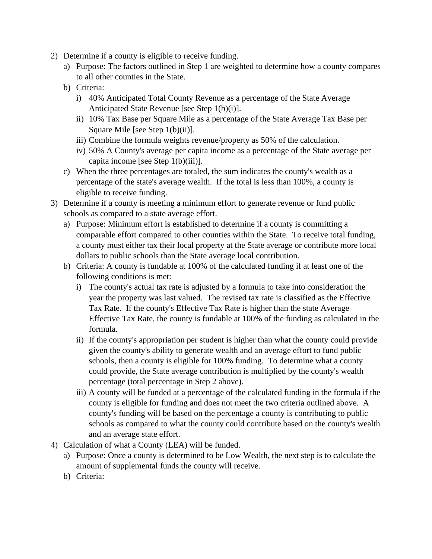- 2) Determine if a county is eligible to receive funding.
	- a) Purpose: The factors outlined in Step 1 are weighted to determine how a county compares to all other counties in the State.
	- b) Criteria:
		- i) 40% Anticipated Total County Revenue as a percentage of the State Average Anticipated State Revenue [see Step 1(b)(i)].
		- ii) 10% Tax Base per Square Mile as a percentage of the State Average Tax Base per Square Mile [see Step 1(b)(ii)].
		- iii) Combine the formula weights revenue/property as 50% of the calculation.
		- iv) 50% A County's average per capita income as a percentage of the State average per capita income [see Step 1(b)(iii)].
	- c) When the three percentages are totaled, the sum indicates the county's wealth as a percentage of the state's average wealth. If the total is less than 100%, a county is eligible to receive funding.
- 3) Determine if a county is meeting a minimum effort to generate revenue or fund public schools as compared to a state average effort.
	- a) Purpose: Minimum effort is established to determine if a county is committing a comparable effort compared to other counties within the State. To receive total funding, a county must either tax their local property at the State average or contribute more local dollars to public schools than the State average local contribution.
	- b) Criteria: A county is fundable at 100% of the calculated funding if at least one of the following conditions is met:
		- i) The county's actual tax rate is adjusted by a formula to take into consideration the year the property was last valued. The revised tax rate is classified as the Effective Tax Rate. If the county's Effective Tax Rate is higher than the state Average Effective Tax Rate, the county is fundable at 100% of the funding as calculated in the formula.
		- ii) If the county's appropriation per student is higher than what the county could provide given the county's ability to generate wealth and an average effort to fund public schools, then a county is eligible for 100% funding. To determine what a county could provide, the State average contribution is multiplied by the county's wealth percentage (total percentage in Step 2 above).
		- iii) A county will be funded at a percentage of the calculated funding in the formula if the county is eligible for funding and does not meet the two criteria outlined above. A county's funding will be based on the percentage a county is contributing to public schools as compared to what the county could contribute based on the county's wealth and an average state effort.
- 4) Calculation of what a County (LEA) will be funded.
	- a) Purpose: Once a county is determined to be Low Wealth, the next step is to calculate the amount of supplemental funds the county will receive.
	- b) Criteria: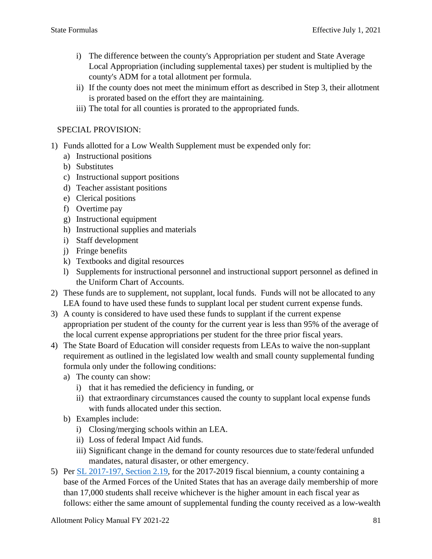- i) The difference between the county's Appropriation per student and State Average Local Appropriation (including supplemental taxes) per student is multiplied by the county's ADM for a total allotment per formula.
- ii) If the county does not meet the minimum effort as described in Step 3, their allotment is prorated based on the effort they are maintaining.
- iii) The total for all counties is prorated to the appropriated funds.

- 1) Funds allotted for a Low Wealth Supplement must be expended only for:
	- a) Instructional positions
	- b) Substitutes
	- c) Instructional support positions
	- d) Teacher assistant positions
	- e) Clerical positions
	- f) Overtime pay
	- g) Instructional equipment
	- h) Instructional supplies and materials
	- i) Staff development
	- j) Fringe benefits
	- k) Textbooks and digital resources
	- l) Supplements for instructional personnel and instructional support personnel as defined in the Uniform Chart of Accounts.
- 2) These funds are to supplement, not supplant, local funds. Funds will not be allocated to any LEA found to have used these funds to supplant local per student current expense funds.
- 3) A county is considered to have used these funds to supplant if the current expense appropriation per student of the county for the current year is less than 95% of the average of the local current expense appropriations per student for the three prior fiscal years.
- 4) The State Board of Education will consider requests from LEAs to waive the non-supplant requirement as outlined in the legislated low wealth and small county supplemental funding formula only under the following conditions:
	- a) The county can show:
		- i) that it has remedied the deficiency in funding, or
		- ii) that extraordinary circumstances caused the county to supplant local expense funds with funds allocated under this section.
	- b) Examples include:
		- i) Closing/merging schools within an LEA.
		- ii) Loss of federal Impact Aid funds.
		- iii) Significant change in the demand for county resources due to state/federal unfunded mandates, natural disaster, or other emergency.
- 5) Per [SL 2017-197, Section 2.19,](https://www.ncleg.gov/Sessions/2017/Bills/House/PDF/H528v6.pdf#page=6) for the 2017-2019 fiscal biennium, a county containing a base of the Armed Forces of the United States that has an average daily membership of more than 17,000 students shall receive whichever is the higher amount in each fiscal year as follows: either the same amount of supplemental funding the county received as a low-wealth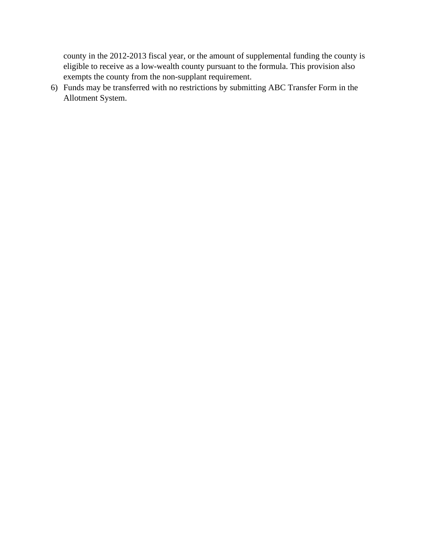county in the 2012-2013 fiscal year, or the amount of supplemental funding the county is eligible to receive as a low-wealth county pursuant to the formula. This provision also exempts the county from the non-supplant requirement.

6) Funds may be transferred with no restrictions by submitting ABC Transfer Form in the Allotment System.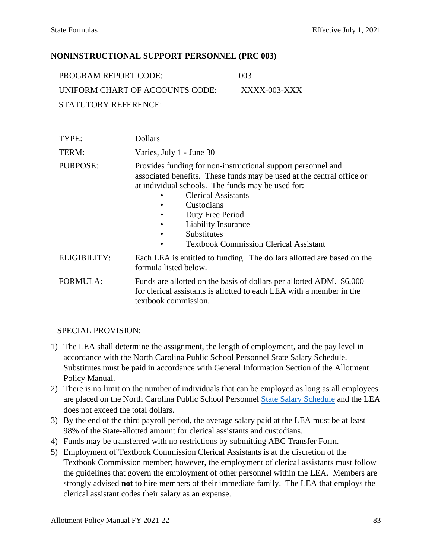### **NONINSTRUCTIONAL SUPPORT PERSONNEL (PRC 003)**

| PROGRAM REPORT CODE:            | (10)3           |
|---------------------------------|-----------------|
| UNIFORM CHART OF ACCOUNTS CODE: | $XXXX$ -003-XXX |
| <b>STATUTORY REFERENCE:</b>     |                 |

| TYPE:           | <b>Dollars</b>                                                                                                                                                                                                                                                                                                                                                             |
|-----------------|----------------------------------------------------------------------------------------------------------------------------------------------------------------------------------------------------------------------------------------------------------------------------------------------------------------------------------------------------------------------------|
| TERM:           | Varies, July 1 - June 30                                                                                                                                                                                                                                                                                                                                                   |
| PURPOSE:        | Provides funding for non-instructional support personnel and<br>associated benefits. These funds may be used at the central office or<br>at individual schools. The funds may be used for:<br><b>Clerical Assistants</b><br>Custodians<br>Duty Free Period<br>٠<br>Liability Insurance<br><b>Substitutes</b><br><b>Textbook Commission Clerical Assistant</b><br>$\bullet$ |
| ELIGIBILITY:    | Each LEA is entitled to funding. The dollars allotted are based on the<br>formula listed below.                                                                                                                                                                                                                                                                            |
| <b>FORMULA:</b> | Funds are allotted on the basis of dollars per allotted ADM. \$6,000<br>for clerical assistants is allotted to each LEA with a member in the<br>textbook commission.                                                                                                                                                                                                       |

- 1) The LEA shall determine the assignment, the length of employment, and the pay level in accordance with the North Carolina Public School Personnel State Salary Schedule. Substitutes must be paid in accordance with General Information Section of the Allotment Policy Manual.
- 2) There is no limit on the number of individuals that can be employed as long as all employees are placed on the North Carolina Public School Personnel [State Salary Schedule](https://www.dpi.nc.gov/districts-schools/district-operations/financial-and-business-services/compensation-public-school-employees) and the LEA does not exceed the total dollars.
- 3) By the end of the third payroll period, the average salary paid at the LEA must be at least 98% of the State-allotted amount for clerical assistants and custodians.
- 4) Funds may be transferred with no restrictions by submitting ABC Transfer Form.
- 5) Employment of Textbook Commission Clerical Assistants is at the discretion of the Textbook Commission member; however, the employment of clerical assistants must follow the guidelines that govern the employment of other personnel within the LEA. Members are strongly advised **not** to hire members of their immediate family. The LEA that employs the clerical assistant codes their salary as an expense.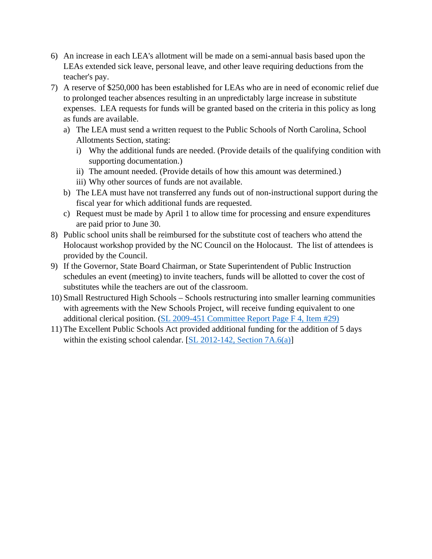- 6) An increase in each LEA's allotment will be made on a semi-annual basis based upon the LEAs extended sick leave, personal leave, and other leave requiring deductions from the teacher's pay.
- 7) A reserve of \$250,000 has been established for LEAs who are in need of economic relief due to prolonged teacher absences resulting in an unpredictably large increase in substitute expenses. LEA requests for funds will be granted based on the criteria in this policy as long as funds are available.
	- a) The LEA must send a written request to the Public Schools of North Carolina, School Allotments Section, stating:
		- i) Why the additional funds are needed. (Provide details of the qualifying condition with supporting documentation.)
		- ii) The amount needed. (Provide details of how this amount was determined.)
		- iii) Why other sources of funds are not available.
	- b) The LEA must have not transferred any funds out of non-instructional support during the fiscal year for which additional funds are requested.
	- c) Request must be made by April 1 to allow time for processing and ensure expenditures are paid prior to June 30.
- 8) Public school units shall be reimbursed for the substitute cost of teachers who attend the Holocaust workshop provided by the NC Council on the Holocaust. The list of attendees is provided by the Council.
- 9) If the Governor, State Board Chairman, or State Superintendent of Public Instruction schedules an event (meeting) to invite teachers, funds will be allotted to cover the cost of substitutes while the teachers are out of the classroom.
- 10) Small Restructured High Schools Schools restructuring into smaller learning communities with agreements with the New Schools Project, will receive funding equivalent to one additional clerical position. [\(SL 2009-451 Committee Report Page F 4, Item #29\)](https://ncleg.net/FiscalResearch/budget_legislation/budget_legislation_pdfs/2009_JointConferenceCommitteeReport_SB202_2009_08_03.pdf#page=20)
- 11) The Excellent Public Schools Act provided additional funding for the addition of 5 days within the existing school calendar.  $[\underline{SL} 2012-142, \underline{Section} 7A.6(a)]$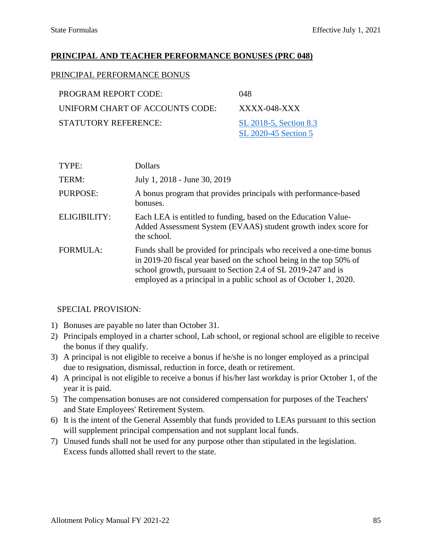#### **PRINCIPAL AND TEACHER PERFORMANCE BONUSES (PRC 048)**

#### PRINCIPAL PERFORMANCE BONUS

| PROGRAM REPORT CODE:            | 048                         |
|---------------------------------|-----------------------------|
| UNIFORM CHART OF ACCOUNTS CODE: | XXXX-048-XXX                |
| STATUTORY REFERENCE:            | SL 2018-5, Section 8.3      |
|                                 | <b>SL 2020-45 Section 5</b> |

| TYPE:           | <b>Dollars</b>                                                                                                                                                                                                                                                                  |
|-----------------|---------------------------------------------------------------------------------------------------------------------------------------------------------------------------------------------------------------------------------------------------------------------------------|
| TERM:           | July 1, 2018 - June 30, 2019                                                                                                                                                                                                                                                    |
| PURPOSE:        | A bonus program that provides principals with performance-based<br>bonuses.                                                                                                                                                                                                     |
| ELIGIBILITY:    | Each LEA is entitled to funding, based on the Education Value-<br>Added Assessment System (EVAAS) student growth index score for<br>the school.                                                                                                                                 |
| <b>FORMULA:</b> | Funds shall be provided for principals who received a one-time bonus<br>in 2019-20 fiscal year based on the school being in the top 50% of<br>school growth, pursuant to Section 2.4 of SL 2019-247 and is<br>employed as a principal in a public school as of October 1, 2020. |

- 1) Bonuses are payable no later than October 31.
- 2) Principals employed in a charter school, Lab school, or regional school are eligible to receive the bonus if they qualify.
- 3) A principal is not eligible to receive a bonus if he/she is no longer employed as a principal due to resignation, dismissal, reduction in force, death or retirement.
- 4) A principal is not eligible to receive a bonus if his/her last workday is prior October 1, of the year it is paid.
- 5) The compensation bonuses are not considered compensation for purposes of the Teachers' and State Employees' Retirement System.
- 6) It is the intent of the General Assembly that funds provided to LEAs pursuant to this section will supplement principal compensation and not supplant local funds.
- 7) Unused funds shall not be used for any purpose other than stipulated in the legislation. Excess funds allotted shall revert to the state.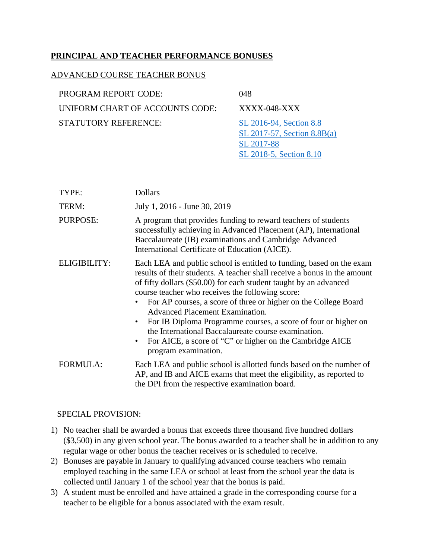### **PRINCIPAL AND TEACHER PERFORMANCE BONUSES**

#### ADVANCED COURSE TEACHER BONUS

| PROGRAM REPORT CODE:            | 048                                                      |
|---------------------------------|----------------------------------------------------------|
| UNIFORM CHART OF ACCOUNTS CODE: | XXXX-048-XXX                                             |
| STATUTORY REFERENCE:            | SL 2016-94, Section 8.8<br>SL 2017-57, Section $8.8B(a)$ |
|                                 | SL 2017-88                                               |

| TYPE:               | <b>Dollars</b>                                                                                                                                                                                                                                                                                                                                                                                                                                                                                                                                                                                                                |
|---------------------|-------------------------------------------------------------------------------------------------------------------------------------------------------------------------------------------------------------------------------------------------------------------------------------------------------------------------------------------------------------------------------------------------------------------------------------------------------------------------------------------------------------------------------------------------------------------------------------------------------------------------------|
| TERM:               | July 1, 2016 - June 30, 2019                                                                                                                                                                                                                                                                                                                                                                                                                                                                                                                                                                                                  |
| <b>PURPOSE:</b>     | A program that provides funding to reward teachers of students<br>successfully achieving in Advanced Placement (AP), International<br>Baccalaureate (IB) examinations and Cambridge Advanced<br>International Certificate of Education (AICE).                                                                                                                                                                                                                                                                                                                                                                                |
| <b>ELIGIBILITY:</b> | Each LEA and public school is entitled to funding, based on the exam<br>results of their students. A teacher shall receive a bonus in the amount<br>of fifty dollars (\$50.00) for each student taught by an advanced<br>course teacher who receives the following score:<br>For AP courses, a score of three or higher on the College Board<br><b>Advanced Placement Examination.</b><br>For IB Diploma Programme courses, a score of four or higher on<br>$\bullet$<br>the International Baccalaureate course examination.<br>For AICE, a score of "C" or higher on the Cambridge AICE<br>$\bullet$<br>program examination. |
| <b>FORMULA:</b>     | Each LEA and public school is allotted funds based on the number of<br>AP, and IB and AICE exams that meet the eligibility, as reported to<br>the DPI from the respective examination board.                                                                                                                                                                                                                                                                                                                                                                                                                                  |

[SL 2018-5, Section 8.10](https://www.ncleg.net/Sessions/2017/Bills/Senate/PDF/S99v6.pdf#page=44)

- 1) No teacher shall be awarded a bonus that exceeds three thousand five hundred dollars (\$3,500) in any given school year. The bonus awarded to a teacher shall be in addition to any regular wage or other bonus the teacher receives or is scheduled to receive.
- 2) Bonuses are payable in January to qualifying advanced course teachers who remain employed teaching in the same LEA or school at least from the school year the data is collected until January 1 of the school year that the bonus is paid.
- 3) A student must be enrolled and have attained a grade in the corresponding course for a teacher to be eligible for a bonus associated with the exam result.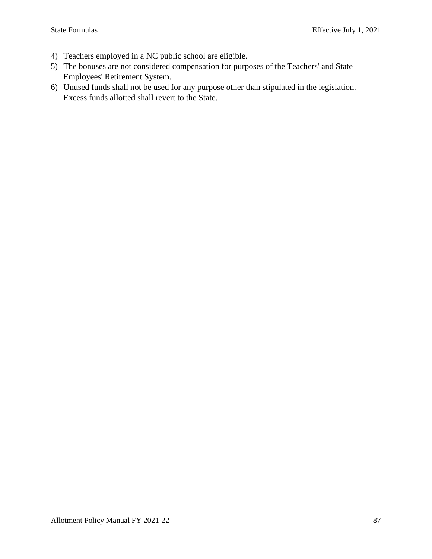- 4) Teachers employed in a NC public school are eligible.
- 5) The bonuses are not considered compensation for purposes of the Teachers' and State Employees' Retirement System.
- 6) Unused funds shall not be used for any purpose other than stipulated in the legislation. Excess funds allotted shall revert to the State.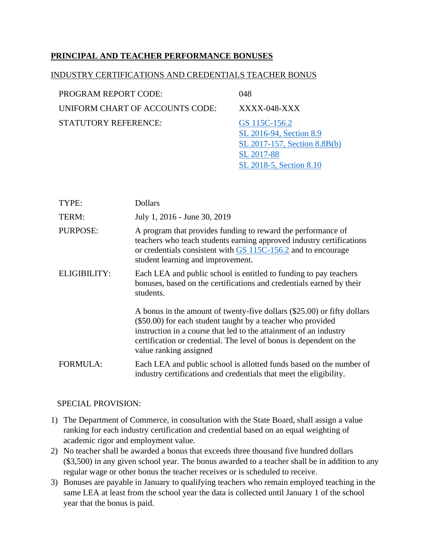### **PRINCIPAL AND TEACHER PERFORMANCE BONUSES**

#### INDUSTRY CERTIFICATIONS AND CREDENTIALS TEACHER BONUS

| <b>PROGRAM REPORT CODE:</b>     | 048                                                                                    |
|---------------------------------|----------------------------------------------------------------------------------------|
| UNIFORM CHART OF ACCOUNTS CODE: | XXXX-048-XXX                                                                           |
| STATUTORY REFERENCE:            | GS 115C-156.2<br>SL 2016-94, Section 8.9<br>SL 2017-157, Section 8.8B(b)<br>SL 2017-88 |

| TYPE:               | <b>Dollars</b>                                                                                                                                                                                                                                                                                               |
|---------------------|--------------------------------------------------------------------------------------------------------------------------------------------------------------------------------------------------------------------------------------------------------------------------------------------------------------|
| TERM:               | July 1, 2016 - June 30, 2019                                                                                                                                                                                                                                                                                 |
| PURPOSE:            | A program that provides funding to reward the performance of<br>teachers who teach students earning approved industry certifications<br>or credentials consistent with GS 115C-156.2 and to encourage<br>student learning and improvement.                                                                   |
| <b>ELIGIBILITY:</b> | Each LEA and public school is entitled to funding to pay teachers<br>bonuses, based on the certifications and credentials earned by their<br>students.                                                                                                                                                       |
|                     | A bonus in the amount of twenty-five dollars (\$25.00) or fifty dollars<br>(\$50.00) for each student taught by a teacher who provided<br>instruction in a course that led to the attainment of an industry<br>certification or credential. The level of bonus is dependent on the<br>value ranking assigned |
| <b>FORMULA:</b>     | Each LEA and public school is allotted funds based on the number of<br>industry certifications and credentials that meet the eligibility.                                                                                                                                                                    |

[SL 2018-5, Section 8.10](https://www.ncleg.net/Sessions/2017/Bills/Senate/PDF/S99v6.pdf#page=44)

- 1) The Department of Commerce, in consultation with the State Board, shall assign a value ranking for each industry certification and credential based on an equal weighting of academic rigor and employment value.
- 2) No teacher shall be awarded a bonus that exceeds three thousand five hundred dollars (\$3,500) in any given school year. The bonus awarded to a teacher shall be in addition to any regular wage or other bonus the teacher receives or is scheduled to receive.
- 3) Bonuses are payable in January to qualifying teachers who remain employed teaching in the same LEA at least from the school year the data is collected until January 1 of the school year that the bonus is paid.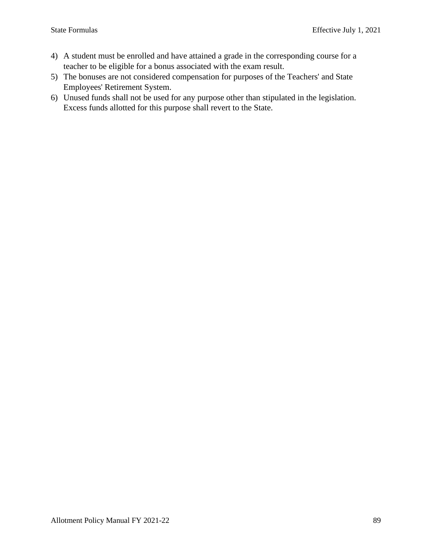- 4) A student must be enrolled and have attained a grade in the corresponding course for a teacher to be eligible for a bonus associated with the exam result.
- 5) The bonuses are not considered compensation for purposes of the Teachers' and State Employees' Retirement System.
- 6) Unused funds shall not be used for any purpose other than stipulated in the legislation. Excess funds allotted for this purpose shall revert to the State.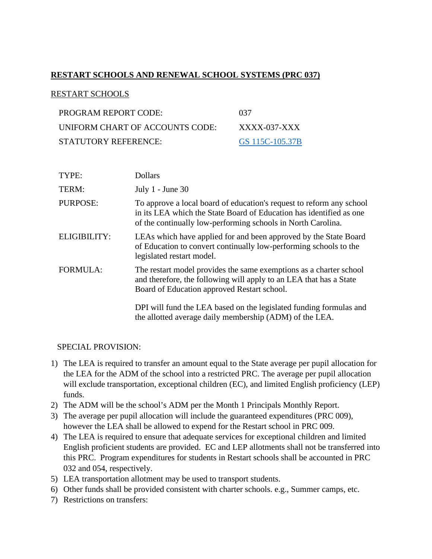### **RESTART SCHOOLS AND RENEWAL SCHOOL SYSTEMS (PRC 037)**

#### RESTART SCHOOLS

| PROGRAM REPORT CODE:            | -037            |
|---------------------------------|-----------------|
| UNIFORM CHART OF ACCOUNTS CODE: | XXXX-037-XXX    |
| STATUTORY REFERENCE:            | GS 115C-105.37B |

| TYPE:           | <b>Dollars</b>                                                                                                                                                                                              |
|-----------------|-------------------------------------------------------------------------------------------------------------------------------------------------------------------------------------------------------------|
| TERM:           | July $1$ - June 30                                                                                                                                                                                          |
| <b>PURPOSE:</b> | To approve a local board of education's request to reform any school<br>in its LEA which the State Board of Education has identified as one<br>of the continually low-performing schools in North Carolina. |
| ELIGIBILITY:    | LEAs which have applied for and been approved by the State Board<br>of Education to convert continually low-performing schools to the<br>legislated restart model.                                          |
| <b>FORMULA:</b> | The restart model provides the same exemptions as a charter school<br>and therefore, the following will apply to an LEA that has a State<br>Board of Education approved Restart school.                     |
|                 | DPI will fund the LEA based on the legislated funding formulas and<br>the allotted average daily membership (ADM) of the LEA.                                                                               |

- 1) The LEA is required to transfer an amount equal to the State average per pupil allocation for the LEA for the ADM of the school into a restricted PRC. The average per pupil allocation will exclude transportation, exceptional children (EC), and limited English proficiency (LEP) funds.
- 2) The ADM will be the school's ADM per the Month 1 Principals Monthly Report.
- 3) The average per pupil allocation will include the guaranteed expenditures (PRC 009), however the LEA shall be allowed to expend for the Restart school in PRC 009.
- 4) The LEA is required to ensure that adequate services for exceptional children and limited English proficient students are provided. EC and LEP allotments shall not be transferred into this PRC. Program expenditures for students in Restart schools shall be accounted in PRC 032 and 054, respectively.
- 5) LEA transportation allotment may be used to transport students.
- 6) Other funds shall be provided consistent with charter schools. e.g., Summer camps, etc.
- 7) Restrictions on transfers: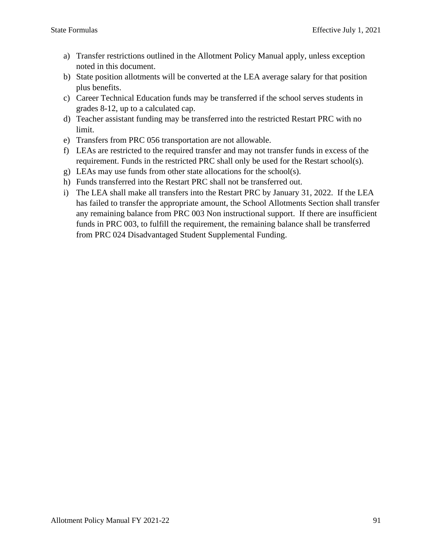- a) Transfer restrictions outlined in the Allotment Policy Manual apply, unless exception noted in this document.
- b) State position allotments will be converted at the LEA average salary for that position plus benefits.
- c) Career Technical Education funds may be transferred if the school serves students in grades 8-12, up to a calculated cap.
- d) Teacher assistant funding may be transferred into the restricted Restart PRC with no limit.
- e) Transfers from PRC 056 transportation are not allowable.
- f) LEAs are restricted to the required transfer and may not transfer funds in excess of the requirement. Funds in the restricted PRC shall only be used for the Restart school(s).
- g) LEAs may use funds from other state allocations for the school(s).
- h) Funds transferred into the Restart PRC shall not be transferred out.
- i) The LEA shall make all transfers into the Restart PRC by January 31, 2022. If the LEA has failed to transfer the appropriate amount, the School Allotments Section shall transfer any remaining balance from PRC 003 Non instructional support. If there are insufficient funds in PRC 003, to fulfill the requirement, the remaining balance shall be transferred from PRC 024 Disadvantaged Student Supplemental Funding.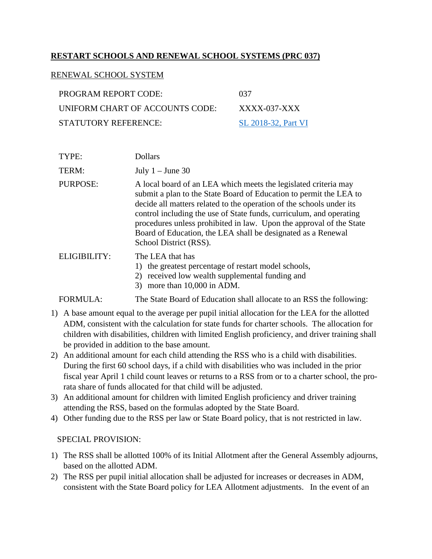### **RESTART SCHOOLS AND RENEWAL SCHOOL SYSTEMS (PRC 037)**

#### RENEWAL SCHOOL SYSTEM

| PROGRAM REPORT CODE:            | 037                 |
|---------------------------------|---------------------|
| UNIFORM CHART OF ACCOUNTS CODE: | XXXX-037-XXX        |
| STATUTORY REFERENCE:            | SL 2018-32, Part VI |

| TYPE:        | Dollars                                                                                                                                                                                                                                                                                                                                                                                                                                               |
|--------------|-------------------------------------------------------------------------------------------------------------------------------------------------------------------------------------------------------------------------------------------------------------------------------------------------------------------------------------------------------------------------------------------------------------------------------------------------------|
| TERM:        | July $1 -$ June 30                                                                                                                                                                                                                                                                                                                                                                                                                                    |
| PURPOSE:     | A local board of an LEA which meets the legislated criteria may<br>submit a plan to the State Board of Education to permit the LEA to<br>decide all matters related to the operation of the schools under its<br>control including the use of State funds, curriculum, and operating<br>procedures unless prohibited in law. Upon the approval of the State<br>Board of Education, the LEA shall be designated as a Renewal<br>School District (RSS). |
| ELIGIBILITY: | The LEA that has<br>1) the greatest percentage of restart model schools,<br>2) received low wealth supplemental funding and                                                                                                                                                                                                                                                                                                                           |

3) more than 10,000 in ADM.

FORMULA: The State Board of Education shall allocate to an RSS the following:

- 1) A base amount equal to the average per pupil initial allocation for the LEA for the allotted ADM, consistent with the calculation for state funds for charter schools. The allocation for children with disabilities, children with limited English proficiency, and driver training shall be provided in addition to the base amount.
- 2) An additional amount for each child attending the RSS who is a child with disabilities. During the first 60 school days, if a child with disabilities who was included in the prior fiscal year April 1 child count leaves or returns to a RSS from or to a charter school, the prorata share of funds allocated for that child will be adjusted.
- 3) An additional amount for children with limited English proficiency and driver training attending the RSS, based on the formulas adopted by the State Board.
- 4) Other funding due to the RSS per law or State Board policy, that is not restricted in law.

- 1) The RSS shall be allotted 100% of its Initial Allotment after the General Assembly adjourns, based on the allotted ADM.
- 2) The RSS per pupil initial allocation shall be adjusted for increases or decreases in ADM, consistent with the State Board policy for LEA Allotment adjustments. In the event of an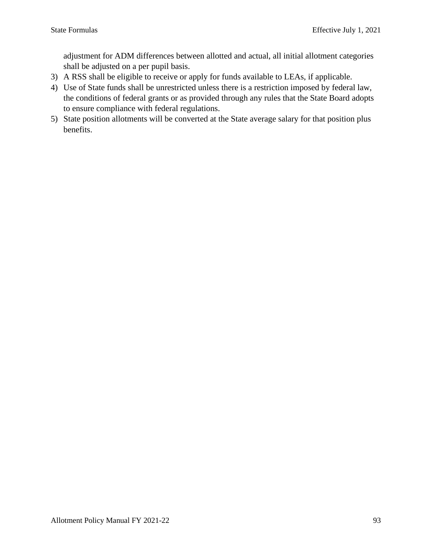adjustment for ADM differences between allotted and actual, all initial allotment categories shall be adjusted on a per pupil basis.

- 3) A RSS shall be eligible to receive or apply for funds available to LEAs, if applicable.
- 4) Use of State funds shall be unrestricted unless there is a restriction imposed by federal law, the conditions of federal grants or as provided through any rules that the State Board adopts to ensure compliance with federal regulations.
- 5) State position allotments will be converted at the State average salary for that position plus benefits.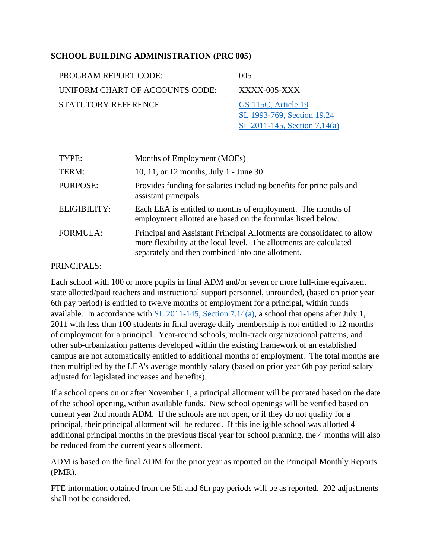### **SCHOOL BUILDING ADMINISTRATION (PRC 005)**

| PROGRAM REPORT CODE:            | 005                                               |
|---------------------------------|---------------------------------------------------|
| UNIFORM CHART OF ACCOUNTS CODE: | $XXXX$ -005- $XX$                                 |
| STATUTORY REFERENCE:            | GS 115C, Article 19<br>SL 1993-769, Section 19.24 |

TYPE: Months of Employment (MOEs) TERM: 10, 11, or 12 months, July 1 - June 30 PURPOSE: Provides funding for salaries including benefits for principals and assistant principals ELIGIBILITY: Each LEA is entitled to months of employment. The months of employment allotted are based on the formulas listed below. FORMULA: Principal and Assistant Principal Allotments are consolidated to allow more flexibility at the local level. The allotments are calculated separately and then combined into one allotment.

[SL 2011-145, Section 7.14\(a\)](https://www.ncleg.gov/Sessions/2011/Bills/House/PDF/H200v9.pdf#page=52)

#### PRINCIPALS:

Each school with 100 or more pupils in final ADM and/or seven or more full-time equivalent state allotted/paid teachers and instructional support personnel, unrounded, (based on prior year 6th pay period) is entitled to twelve months of employment for a principal, within funds available. In accordance with  $SL$  2011-145, Section 7.14(a), a school that opens after July 1, 2011 with less than 100 students in final average daily membership is not entitled to 12 months of employment for a principal. Year-round schools, multi-track organizational patterns, and other sub-urbanization patterns developed within the existing framework of an established campus are not automatically entitled to additional months of employment. The total months are then multiplied by the LEA's average monthly salary (based on prior year 6th pay period salary adjusted for legislated increases and benefits).

If a school opens on or after November 1, a principal allotment will be prorated based on the date of the school opening, within available funds. New school openings will be verified based on current year 2nd month ADM. If the schools are not open, or if they do not qualify for a principal, their principal allotment will be reduced. If this ineligible school was allotted 4 additional principal months in the previous fiscal year for school planning, the 4 months will also be reduced from the current year's allotment.

ADM is based on the final ADM for the prior year as reported on the Principal Monthly Reports (PMR).

FTE information obtained from the 5th and 6th pay periods will be as reported. 202 adjustments shall not be considered.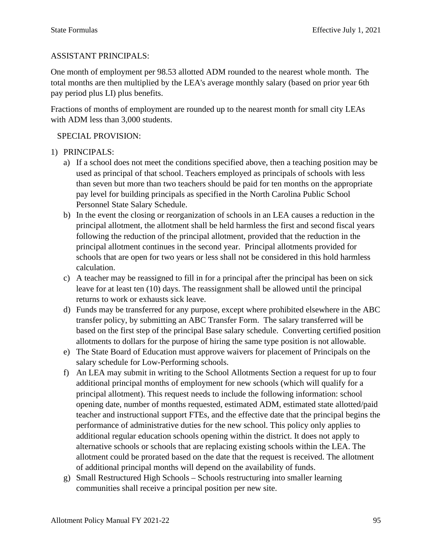## ASSISTANT PRINCIPALS:

One month of employment per 98.53 allotted ADM rounded to the nearest whole month. The total months are then multiplied by the LEA's average monthly salary (based on prior year 6th pay period plus LI) plus benefits.

Fractions of months of employment are rounded up to the nearest month for small city LEAs with ADM less than 3,000 students.

- 1) PRINCIPALS:
	- a) If a school does not meet the conditions specified above, then a teaching position may be used as principal of that school. Teachers employed as principals of schools with less than seven but more than two teachers should be paid for ten months on the appropriate pay level for building principals as specified in the North Carolina Public School Personnel State Salary Schedule.
	- b) In the event the closing or reorganization of schools in an LEA causes a reduction in the principal allotment, the allotment shall be held harmless the first and second fiscal years following the reduction of the principal allotment, provided that the reduction in the principal allotment continues in the second year. Principal allotments provided for schools that are open for two years or less shall not be considered in this hold harmless calculation.
	- c) A teacher may be reassigned to fill in for a principal after the principal has been on sick leave for at least ten (10) days. The reassignment shall be allowed until the principal returns to work or exhausts sick leave.
	- d) Funds may be transferred for any purpose, except where prohibited elsewhere in the ABC transfer policy, by submitting an ABC Transfer Form. The salary transferred will be based on the first step of the principal Base salary schedule. Converting certified position allotments to dollars for the purpose of hiring the same type position is not allowable.
	- e) The State Board of Education must approve waivers for placement of Principals on the salary schedule for Low-Performing schools.
	- f) An LEA may submit in writing to the School Allotments Section a request for up to four additional principal months of employment for new schools (which will qualify for a principal allotment). This request needs to include the following information: school opening date, number of months requested, estimated ADM, estimated state allotted/paid teacher and instructional support FTEs, and the effective date that the principal begins the performance of administrative duties for the new school. This policy only applies to additional regular education schools opening within the district. It does not apply to alternative schools or schools that are replacing existing schools within the LEA. The allotment could be prorated based on the date that the request is received. The allotment of additional principal months will depend on the availability of funds.
	- g) Small Restructured High Schools Schools restructuring into smaller learning communities shall receive a principal position per new site.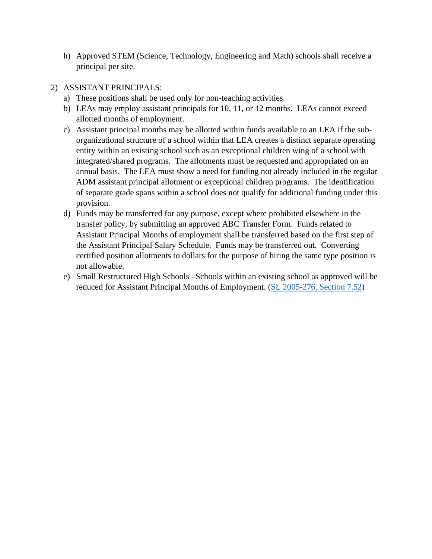h) Approved STEM (Science, Technology, Engineering and Math) schools shall receive a principal per site.

### 2) ASSISTANT PRINCIPALS:

- a) These positions shall be used only for non-teaching activities.
- b) LEAs may employ assistant principals for 10, 11, or 12 months. LEAs cannot exceed allotted months of employment.
- c) Assistant principal months may be allotted within funds available to an LEA if the suborganizational structure of a school within that LEA creates a distinct separate operating entity within an existing school such as an exceptional children wing of a school with integrated/shared programs. The allotments must be requested and appropriated on an annual basis. The LEA must show a need for funding not already included in the regular ADM assistant principal allotment or exceptional children programs. The identification of separate grade spans within a school does not qualify for additional funding under this provision.
- d) Funds may be transferred for any purpose, except where prohibited elsewhere in the transfer policy, by submitting an approved ABC Transfer Form. Funds related to Assistant Principal Months of employment shall be transferred based on the first step of the Assistant Principal Salary Schedule. Funds may be transferred out. Converting certified position allotments to dollars for the purpose of hiring the same type position is not allowable.
- e) Small Restructured High Schools –Schools within an existing school as approved will be reduced for Assistant Principal Months of Employment. [\(SL 2005-276, Section 7.52\)](https://ncleg.net/FiscalResearch/budget_legislation/budget_legislation_pdfs/2005_Appropriations_Act.pdf#page=78)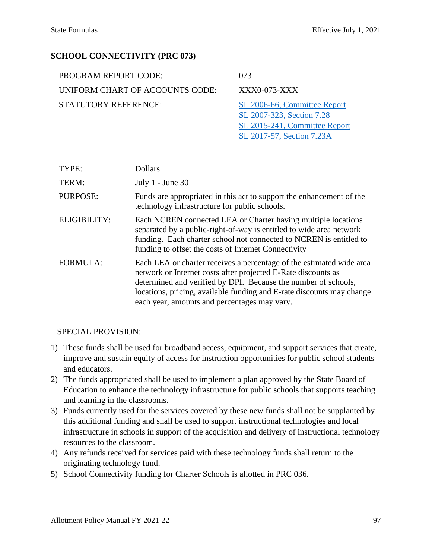[SL 2017-57, Section 7.23A](https://www.ncleg.net/Sessions/2017/Bills/Senate/PDF/S257v9.pdf#page=39)

## **SCHOOL CONNECTIVITY (PRC 073)**

| PROGRAM REPORT CODE:            | 073                                                        |
|---------------------------------|------------------------------------------------------------|
| UNIFORM CHART OF ACCOUNTS CODE: | XXX0-073-XXX                                               |
| STATUTORY REFERENCE:            | SL 2006-66, Committee Report                               |
|                                 | SL 2007-323, Section 7.28<br>SL 2015-241, Committee Report |

| TYPE:           | <b>Dollars</b>                                                                                                                                                                                                                                                                                                                   |
|-----------------|----------------------------------------------------------------------------------------------------------------------------------------------------------------------------------------------------------------------------------------------------------------------------------------------------------------------------------|
| TERM:           | July $1$ - June 30                                                                                                                                                                                                                                                                                                               |
| <b>PURPOSE:</b> | Funds are appropriated in this act to support the enhancement of the<br>technology infrastructure for public schools.                                                                                                                                                                                                            |
| ELIGIBILITY:    | Each NCREN connected LEA or Charter having multiple locations<br>separated by a public-right-of-way is entitled to wide area network<br>funding. Each charter school not connected to NCREN is entitled to<br>funding to offset the costs of Internet Connectivity                                                               |
| <b>FORMULA:</b> | Each LEA or charter receives a percentage of the estimated wide area<br>network or Internet costs after projected E-Rate discounts as<br>determined and verified by DPI. Because the number of schools,<br>locations, pricing, available funding and E-rate discounts may change<br>each year, amounts and percentages may vary. |

- 1) These funds shall be used for broadband access, equipment, and support services that create, improve and sustain equity of access for instruction opportunities for public school students and educators.
- 2) The funds appropriated shall be used to implement a plan approved by the State Board of Education to enhance the technology infrastructure for public schools that supports teaching and learning in the classrooms.
- 3) Funds currently used for the services covered by these new funds shall not be supplanted by this additional funding and shall be used to support instructional technologies and local infrastructure in schools in support of the acquisition and delivery of instructional technology resources to the classroom.
- 4) Any refunds received for services paid with these technology funds shall return to the originating technology fund.
- 5) School Connectivity funding for Charter Schools is allotted in PRC 036.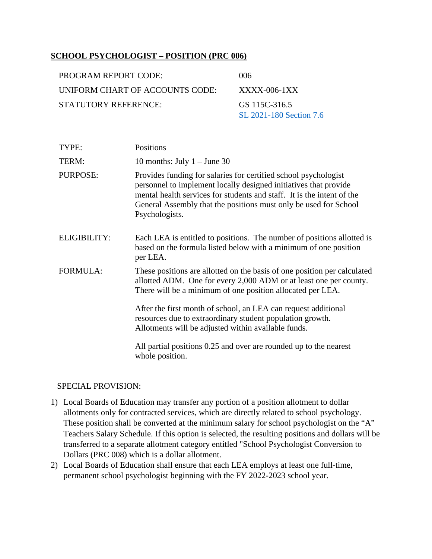### **SCHOOL PSYCHOLOGIST – POSITION (PRC 006)**

| <b>PROGRAM REPORT CODE:</b>     | (106)                                    |
|---------------------------------|------------------------------------------|
| UNIFORM CHART OF ACCOUNTS CODE: | $XXXX$ -006-1 $XX$                       |
| STATUTORY REFERENCE:            | GS 115C-316.5<br>SL 2021-180 Section 7.6 |
|                                 |                                          |

| TYPE:               | Positions                                                                                                                                                                                                                                                                                           |
|---------------------|-----------------------------------------------------------------------------------------------------------------------------------------------------------------------------------------------------------------------------------------------------------------------------------------------------|
| TERM:               | 10 months: July $1 -$ June 30                                                                                                                                                                                                                                                                       |
| <b>PURPOSE:</b>     | Provides funding for salaries for certified school psychologist<br>personnel to implement locally designed initiatives that provide<br>mental health services for students and staff. It is the intent of the<br>General Assembly that the positions must only be used for School<br>Psychologists. |
| <b>ELIGIBILITY:</b> | Each LEA is entitled to positions. The number of positions allotted is<br>based on the formula listed below with a minimum of one position<br>per LEA.                                                                                                                                              |
| <b>FORMULA:</b>     | These positions are allotted on the basis of one position per calculated<br>allotted ADM. One for every 2,000 ADM or at least one per county.<br>There will be a minimum of one position allocated per LEA.                                                                                         |
|                     | After the first month of school, an LEA can request additional<br>resources due to extraordinary student population growth.<br>Allotments will be adjusted within available funds.                                                                                                                  |
|                     | All partial positions 0.25 and over are rounded up to the nearest<br>whole position.                                                                                                                                                                                                                |

- 1) Local Boards of Education may transfer any portion of a position allotment to dollar allotments only for contracted services, which are directly related to school psychology. These position shall be converted at the minimum salary for school psychologist on the "A" Teachers Salary Schedule. If this option is selected, the resulting positions and dollars will be transferred to a separate allotment category entitled "School Psychologist Conversion to Dollars (PRC 008) which is a dollar allotment.
- 2) Local Boards of Education shall ensure that each LEA employs at least one full-time, permanent school psychologist beginning with the FY 2022-2023 school year.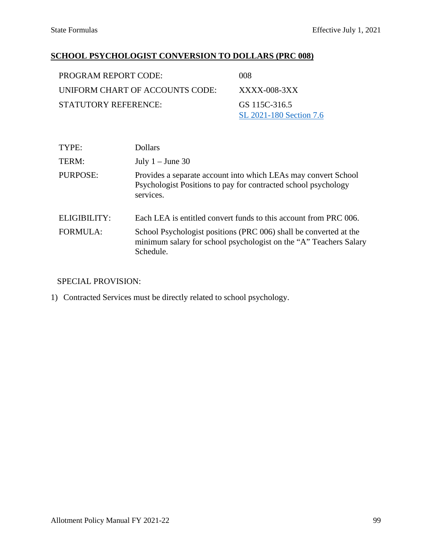## **SCHOOL PSYCHOLOGIST CONVERSION TO DOLLARS (PRC 008)**

| <b>PROGRAM REPORT CODE:</b>     | 008                                      |
|---------------------------------|------------------------------------------|
| UNIFORM CHART OF ACCOUNTS CODE: | XXXX-008-3XX                             |
| STATUTORY REFERENCE:            | GS 115C-316.5<br>SL 2021-180 Section 7.6 |

| TYPE:           | <b>Dollars</b>                                                                                                                                      |
|-----------------|-----------------------------------------------------------------------------------------------------------------------------------------------------|
| TERM:           | July $1 -$ June 30                                                                                                                                  |
| PURPOSE:        | Provides a separate account into which LEAs may convert School<br>Psychologist Positions to pay for contracted school psychology<br>services.       |
| ELIGIBILITY:    | Each LEA is entitled convert funds to this account from PRC 006.                                                                                    |
| <b>FORMULA:</b> | School Psychologist positions (PRC 006) shall be converted at the<br>minimum salary for school psychologist on the "A" Teachers Salary<br>Schedule. |

## SPECIAL PROVISION:

1) Contracted Services must be directly related to school psychology.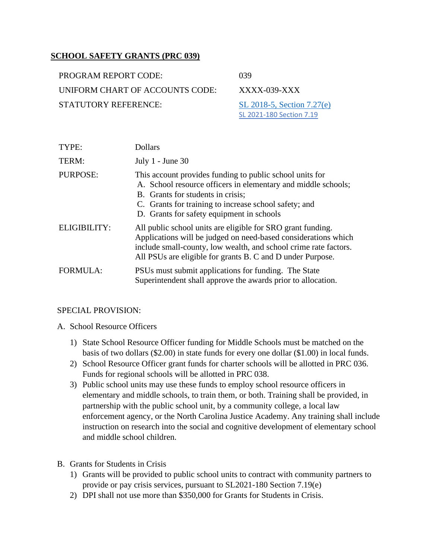### **SCHOOL SAFETY GRANTS (PRC 039)**

| <b>PROGRAM REPORT CODE:</b>     | -039 |
|---------------------------------|------|
| UNIFORM CHART OF ACCOUNTS CODE: | XX   |
| <b>STATUTORY REFERENCE:</b>     |      |

XXXX-039-XXX

SL 2018-5, Section  $7.27(e)$ [SL 2021-180 Section 7.19](https://webservices.ncleg.gov/ViewBillDocument/2021/53458/0/S105-PCCS25005-MLXR-3)

| TYPE:               | <b>Dollars</b>                                                                                                                                                                                                                                                       |
|---------------------|----------------------------------------------------------------------------------------------------------------------------------------------------------------------------------------------------------------------------------------------------------------------|
| TERM:               | July $1$ - June 30                                                                                                                                                                                                                                                   |
| <b>PURPOSE:</b>     | This account provides funding to public school units for<br>A. School resource officers in elementary and middle schools;<br>B. Grants for students in crisis;<br>C. Grants for training to increase school safety; and<br>D. Grants for safety equipment in schools |
| <b>ELIGIBILITY:</b> | All public school units are eligible for SRO grant funding.<br>Applications will be judged on need-based considerations which<br>include small-county, low wealth, and school crime rate factors.<br>All PSUs are eligible for grants B. C and D under Purpose.      |
| <b>FORMULA:</b>     | PSUs must submit applications for funding. The State<br>Superintendent shall approve the awards prior to allocation.                                                                                                                                                 |

- A. School Resource Officers
	- 1) State School Resource Officer funding for Middle Schools must be matched on the basis of two dollars (\$2.00) in state funds for every one dollar (\$1.00) in local funds.
	- 2) School Resource Officer grant funds for charter schools will be allotted in PRC 036. Funds for regional schools will be allotted in PRC 038.
	- 3) Public school units may use these funds to employ school resource officers in elementary and middle schools, to train them, or both. Training shall be provided, in partnership with the public school unit, by a community college, a local law enforcement agency, or the North Carolina Justice Academy. Any training shall include instruction on research into the social and cognitive development of elementary school and middle school children.
- B. Grants for Students in Crisis
	- 1) Grants will be provided to public school units to contract with community partners to provide or pay crisis services, pursuant to SL2021-180 Section 7.19(e)
	- 2) DPI shall not use more than \$350,000 for Grants for Students in Crisis.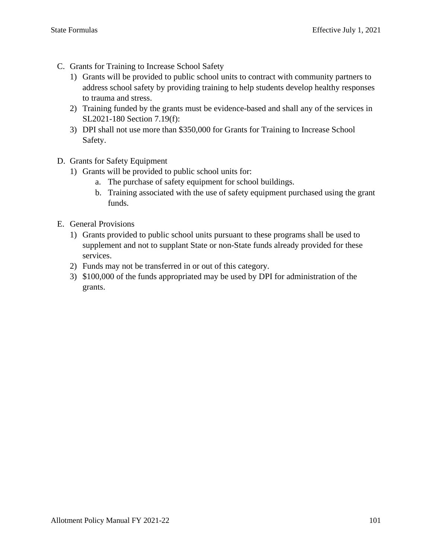- C. Grants for Training to Increase School Safety
	- 1) Grants will be provided to public school units to contract with community partners to address school safety by providing training to help students develop healthy responses to trauma and stress.
	- 2) Training funded by the grants must be evidence-based and shall any of the services in SL2021-180 Section 7.19(f):
	- 3) DPI shall not use more than \$350,000 for Grants for Training to Increase School Safety.
- D. Grants for Safety Equipment
	- 1) Grants will be provided to public school units for:
		- a. The purchase of safety equipment for school buildings.
		- b. Training associated with the use of safety equipment purchased using the grant funds.
- E. General Provisions
	- 1) Grants provided to public school units pursuant to these programs shall be used to supplement and not to supplant State or non-State funds already provided for these services.
	- 2) Funds may not be transferred in or out of this category.
	- 3) \$100,000 of the funds appropriated may be used by DPI for administration of the grants.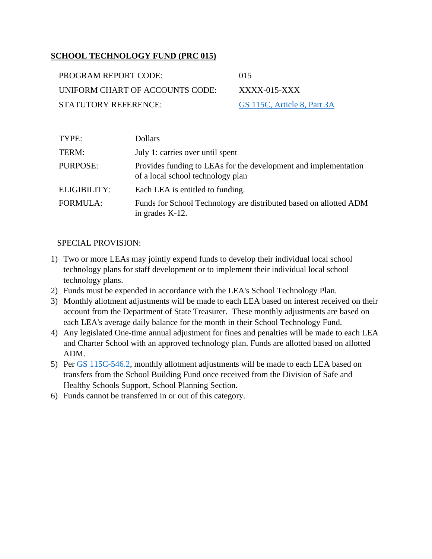### **SCHOOL TECHNOLOGY FUND (PRC 015)**

| PROGRAM REPORT CODE:            | (1)15                       |
|---------------------------------|-----------------------------|
| UNIFORM CHART OF ACCOUNTS CODE: | $XXXX$ -015- $XXX$          |
| STATUTORY REFERENCE:            | GS 115C, Article 8, Part 3A |

| TYPE:               | <b>Dollars</b>                                                                                       |
|---------------------|------------------------------------------------------------------------------------------------------|
| TERM:               | July 1: carries over until spent                                                                     |
| PURPOSE:            | Provides funding to LEAs for the development and implementation<br>of a local school technology plan |
| <b>ELIGIBILITY:</b> | Each LEA is entitled to funding.                                                                     |
| <b>FORMULA:</b>     | Funds for School Technology are distributed based on allotted ADM<br>in grades K-12.                 |

- 1) Two or more LEAs may jointly expend funds to develop their individual local school technology plans for staff development or to implement their individual local school technology plans.
- 2) Funds must be expended in accordance with the LEA's School Technology Plan.
- 3) Monthly allotment adjustments will be made to each LEA based on interest received on their account from the Department of State Treasurer. These monthly adjustments are based on each LEA's average daily balance for the month in their School Technology Fund.
- 4) Any legislated One-time annual adjustment for fines and penalties will be made to each LEA and Charter School with an approved technology plan. Funds are allotted based on allotted ADM.
- 5) Per [GS 115C-546.2,](https://www.ncleg.net/EnactedLegislation/Statutes/HTML/BySection/Chapter_115C/GS_115C-546.2.html) monthly allotment adjustments will be made to each LEA based on transfers from the School Building Fund once received from the Division of Safe and Healthy Schools Support, School Planning Section.
- 6) Funds cannot be transferred in or out of this category.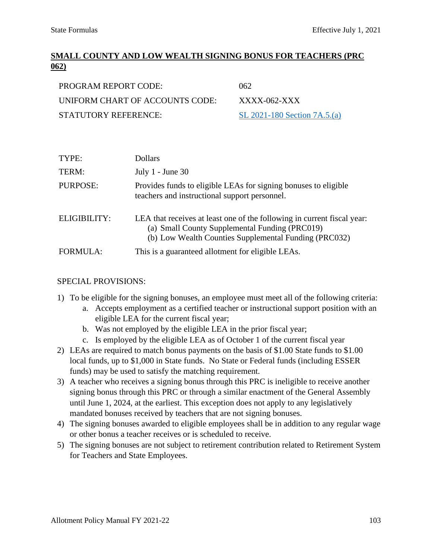# **SMALL COUNTY AND LOW WEALTH SIGNING BONUS FOR TEACHERS (PRC 062)**

| <b>PROGRAM REPORT CODE:</b>     | 062                           |
|---------------------------------|-------------------------------|
| UNIFORM CHART OF ACCOUNTS CODE: | $XXXX$ -062-XXX               |
| STATUTORY REFERENCE:            | SL 2021-180 Section $7A.5(a)$ |

| TYPE:           | <b>Dollars</b>                                                                                                                                                                     |
|-----------------|------------------------------------------------------------------------------------------------------------------------------------------------------------------------------------|
| TERM:           | July $1$ - June 30                                                                                                                                                                 |
| PURPOSE:        | Provides funds to eligible LEAs for signing bonuses to eligible<br>teachers and instructional support personnel.                                                                   |
| ELIGIBILITY:    | LEA that receives at least one of the following in current fiscal year:<br>(a) Small County Supplemental Funding (PRC019)<br>(b) Low Wealth Counties Supplemental Funding (PRC032) |
| <b>FORMULA:</b> | This is a guaranteed allotment for eligible LEAs.                                                                                                                                  |

- 1) To be eligible for the signing bonuses, an employee must meet all of the following criteria:
	- a. Accepts employment as a certified teacher or instructional support position with an eligible LEA for the current fiscal year;
	- b. Was not employed by the eligible LEA in the prior fiscal year;
	- c. Is employed by the eligible LEA as of October 1 of the current fiscal year
- 2) LEAs are required to match bonus payments on the basis of \$1.00 State funds to \$1.00 local funds, up to \$1,000 in State funds. No State or Federal funds (including ESSER funds) may be used to satisfy the matching requirement.
- 3) A teacher who receives a signing bonus through this PRC is ineligible to receive another signing bonus through this PRC or through a similar enactment of the General Assembly until June 1, 2024, at the earliest. This exception does not apply to any legislatively mandated bonuses received by teachers that are not signing bonuses.
- 4) The signing bonuses awarded to eligible employees shall be in addition to any regular wage or other bonus a teacher receives or is scheduled to receive.
- 5) The signing bonuses are not subject to retirement contribution related to Retirement System for Teachers and State Employees.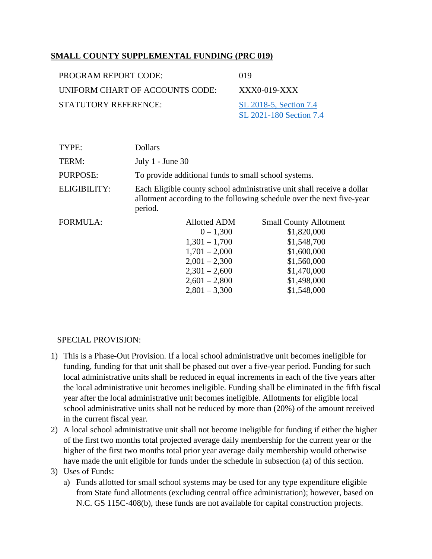### **SMALL COUNTY SUPPLEMENTAL FUNDING (PRC 019)**

| PROGRAM REPORT CODE:            | 019                     |
|---------------------------------|-------------------------|
| UNIFORM CHART OF ACCOUNTS CODE: | $XXX0-019-XXX$          |
| <b>STATUTORY REFERENCE:</b>     | SL 2018-5, Section 7.4  |
|                                 | SL 2021-180 Section 7.4 |

| TYPE:               | <b>Dollars</b>                                                                                                                                             |                                                                                                                                                      |                                                                                                                                        |
|---------------------|------------------------------------------------------------------------------------------------------------------------------------------------------------|------------------------------------------------------------------------------------------------------------------------------------------------------|----------------------------------------------------------------------------------------------------------------------------------------|
| TERM:               | July $1$ - June 30                                                                                                                                         |                                                                                                                                                      |                                                                                                                                        |
| PURPOSE:            | To provide additional funds to small school systems.                                                                                                       |                                                                                                                                                      |                                                                                                                                        |
| <b>ELIGIBILITY:</b> | Each Eligible county school administrative unit shall receive a dollar<br>allotment according to the following schedule over the next five-year<br>period. |                                                                                                                                                      |                                                                                                                                        |
| <b>FORMULA:</b>     |                                                                                                                                                            | <b>Allotted ADM</b><br>$0 - 1,300$<br>$1,301 - 1,700$<br>$1,701 - 2,000$<br>$2,001 - 2,300$<br>$2,301 - 2,600$<br>$2,601 - 2,800$<br>$2,801 - 3,300$ | <b>Small County Allotment</b><br>\$1,820,000<br>\$1,548,700<br>\$1,600,000<br>\$1,560,000<br>\$1,470,000<br>\$1,498,000<br>\$1,548,000 |

### SPECIAL PROVISION:

- 1) This is a Phase-Out Provision. If a local school administrative unit becomes ineligible for funding, funding for that unit shall be phased out over a five-year period. Funding for such local administrative units shall be reduced in equal increments in each of the five years after the local administrative unit becomes ineligible. Funding shall be eliminated in the fifth fiscal year after the local administrative unit becomes ineligible. Allotments for eligible local school administrative units shall not be reduced by more than (20%) of the amount received in the current fiscal year.
- 2) A local school administrative unit shall not become ineligible for funding if either the higher of the first two months total projected average daily membership for the current year or the higher of the first two months total prior year average daily membership would otherwise have made the unit eligible for funds under the schedule in subsection (a) of this section.

#### 3) Uses of Funds:

a) Funds allotted for small school systems may be used for any type expenditure eligible from State fund allotments (excluding central office administration); however, based on N.C. GS 115C-408(b), these funds are not available for capital construction projects.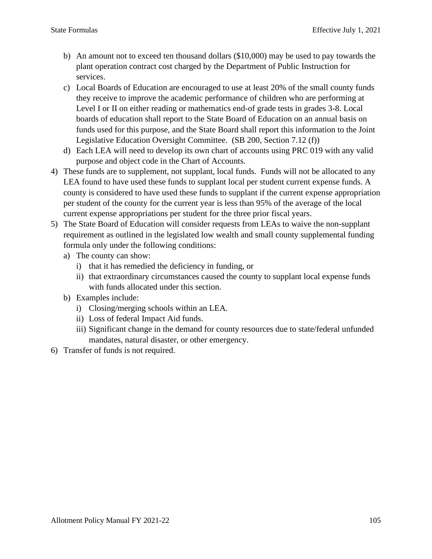- b) An amount not to exceed ten thousand dollars (\$10,000) may be used to pay towards the plant operation contract cost charged by the Department of Public Instruction for services.
- c) Local Boards of Education are encouraged to use at least 20% of the small county funds they receive to improve the academic performance of children who are performing at Level I or II on either reading or mathematics end-of grade tests in grades 3-8. Local boards of education shall report to the State Board of Education on an annual basis on funds used for this purpose, and the State Board shall report this information to the Joint Legislative Education Oversight Committee. (SB 200, Section 7.12 (f))
- d) Each LEA will need to develop its own chart of accounts using PRC 019 with any valid purpose and object code in the Chart of Accounts.
- 4) These funds are to supplement, not supplant, local funds. Funds will not be allocated to any LEA found to have used these funds to supplant local per student current expense funds. A county is considered to have used these funds to supplant if the current expense appropriation per student of the county for the current year is less than 95% of the average of the local current expense appropriations per student for the three prior fiscal years.
- 5) The State Board of Education will consider requests from LEAs to waive the non-supplant requirement as outlined in the legislated low wealth and small county supplemental funding formula only under the following conditions:
	- a) The county can show:
		- i) that it has remedied the deficiency in funding, or
		- ii) that extraordinary circumstances caused the county to supplant local expense funds with funds allocated under this section.
	- b) Examples include:
		- i) Closing/merging schools within an LEA.
		- ii) Loss of federal Impact Aid funds.
		- iii) Significant change in the demand for county resources due to state/federal unfunded mandates, natural disaster, or other emergency.
- 6) Transfer of funds is not required.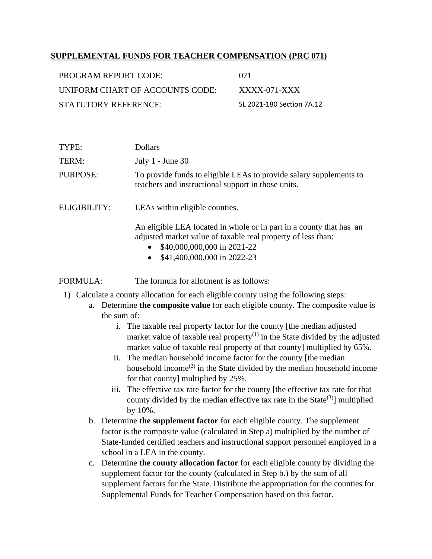### **SUPPLEMENTAL FUNDS FOR TEACHER COMPENSATION (PRC 071)**

| PROGRAM REPORT CODE:            | 071                       |
|---------------------------------|---------------------------|
| UNIFORM CHART OF ACCOUNTS CODE: | $XXXX$ -071-XXX           |
| STATUTORY REFERENCE:            | SL 2021-180 Section 7A.12 |

| TYPE:        | <b>Dollars</b>                                                                                                           |
|--------------|--------------------------------------------------------------------------------------------------------------------------|
| TERM:        | July $1$ - June $30$                                                                                                     |
| PURPOSE:     | To provide funds to eligible LEAs to provide salary supplements to<br>teachers and instructional support in those units. |
| ELIGIBILITY: | LEAs within eligible counties.                                                                                           |

An eligible LEA located in whole or in part in a county that has an adjusted market value of taxable real property of less than:

- \$40,000,000,000 in 2021-22
- \$41,400,000,000 in 2022-23

FORMULA: The formula for allotment is as follows:

- 1) Calculate a county allocation for each eligible county using the following steps:
	- a. Determine **the composite value** for each eligible county. The composite value is the sum of:
		- i. The taxable real property factor for the county [the median adjusted market value of taxable real property<sup>(1)</sup> in the State divided by the adjusted market value of taxable real property of that county] multiplied by 65%.
		- ii. The median household income factor for the county [the median household income<sup> $(2)$ </sup> in the State divided by the median household income for that county] multiplied by 25%.
		- iii. The effective tax rate factor for the county [the effective tax rate for that county divided by the median effective tax rate in the State<sup>(3)</sup>] multiplied by 10%.
	- b. Determine **the supplement factor** for each eligible county. The supplement factor is the composite value (calculated in Step a) multiplied by the number of State-funded certified teachers and instructional support personnel employed in a school in a LEA in the county.
	- c. Determine **the county allocation factor** for each eligible county by dividing the supplement factor for the county (calculated in Step b.) by the sum of all supplement factors for the State. Distribute the appropriation for the counties for Supplemental Funds for Teacher Compensation based on this factor.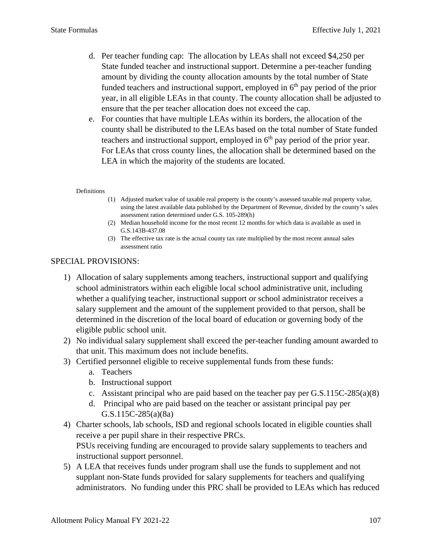- d. Per teacher funding cap: The allocation by LEAs shall not exceed \$4,250 per State funded teacher and instructional support. Determine a per-teacher funding amount by dividing the county allocation amounts by the total number of State funded teachers and instructional support, employed in  $6<sup>th</sup>$  pay period of the prior year, in all eligible LEAs in that county. The county allocation shall be adjusted to ensure that the per teacher allocation does not exceed the cap.
- e. For counties that have multiple LEAs within its borders, the allocation of the county shall be distributed to the LEAs based on the total number of State funded teachers and instructional support, employed in  $6<sup>th</sup>$  pay period of the prior year. For LEAs that cross county lines, the allocation shall be determined based on the LEA in which the majority of the students are located.

#### **Definitions**

- (1) Adjusted market value of taxable real property is the county's assessed taxable real property value, using the latest available data published by the Department of Revenue, divided by the county's sales assessment ration determined under G.S. 105-289(h)
- (2) Median household income for the most recent 12 months for which data is available as used in G.S.143B-437.08
- (3) The effective tax rate is the actual county tax rate multiplied by the most recent annual sales assessment ratio

- 1) Allocation of salary supplements among teachers, instructional support and qualifying school administrators within each eligible local school administrative unit, including whether a qualifying teacher, instructional support or school administrator receives a salary supplement and the amount of the supplement provided to that person, shall be determined in the discretion of the local board of education or governing body of the eligible public school unit.
- 2) No individual salary supplement shall exceed the per-teacher funding amount awarded to that unit. This maximum does not include benefits.
- 3) Certified personnel eligible to receive supplemental funds from these funds:
	- a. Teachers
	- b. Instructional support
	- c. Assistant principal who are paid based on the teacher pay per G.S.115C-285(a)(8)
	- d. Principal who are paid based on the teacher or assistant principal pay per G.S.115C-285(a)(8a)
- 4) Charter schools, lab schools, ISD and regional schools located in eligible counties shall receive a per pupil share in their respective PRCs. PSUs receiving funding are encouraged to provide salary supplements to teachers and instructional support personnel.
- 5) A LEA that receives funds under program shall use the funds to supplement and not supplant non-State funds provided for salary supplements for teachers and qualifying administrators. No funding under this PRC shall be provided to LEAs which has reduced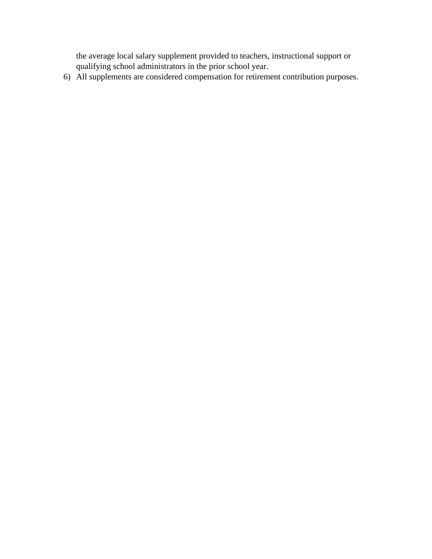the average local salary supplement provided to teachers, instructional support or qualifying school administrators in the prior school year.

6) All supplements are considered compensation for retirement contribution purposes.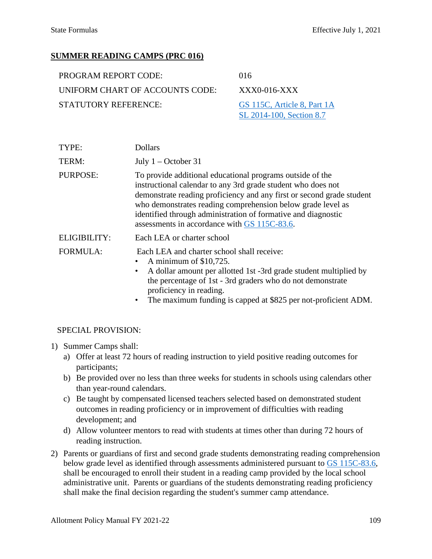# **SUMMER READING CAMPS (PRC 016)**

| <b>PROGRAM REPORT CODE:</b>     | 016                         |
|---------------------------------|-----------------------------|
| UNIFORM CHART OF ACCOUNTS CODE: | $XXX0-016-XXX$              |
| STATUTORY REFERENCE:            | GS 115C, Article 8, Part 1A |
|                                 | SL 2014-100, Section 8.7    |

| TYPE:               | <b>Dollars</b>                                                                                                                                                                                                                                                                                                                                                                     |
|---------------------|------------------------------------------------------------------------------------------------------------------------------------------------------------------------------------------------------------------------------------------------------------------------------------------------------------------------------------------------------------------------------------|
| TERM:               | July $1 -$ October 31                                                                                                                                                                                                                                                                                                                                                              |
| PURPOSE:            | To provide additional educational programs outside of the<br>instructional calendar to any 3rd grade student who does not<br>demonstrate reading proficiency and any first or second grade student<br>who demonstrates reading comprehension below grade level as<br>identified through administration of formative and diagnostic<br>assessments in accordance with GS 115C-83.6. |
| <b>ELIGIBILITY:</b> | Each LEA or charter school                                                                                                                                                                                                                                                                                                                                                         |
| <b>FORMULA:</b>     | Each LEA and charter school shall receive:<br>A minimum of \$10,725.<br>A dollar amount per allotted 1st -3rd grade student multiplied by<br>٠<br>the percentage of 1st - 3rd graders who do not demonstrate<br>proficiency in reading.<br>The maximum funding is capped at \$825 per not-proficient ADM.<br>$\bullet$                                                             |

- 1) Summer Camps shall:
	- a) Offer at least 72 hours of reading instruction to yield positive reading outcomes for participants;
	- b) Be provided over no less than three weeks for students in schools using calendars other than year-round calendars.
	- c) Be taught by compensated licensed teachers selected based on demonstrated student outcomes in reading proficiency or in improvement of difficulties with reading development; and
	- d) Allow volunteer mentors to read with students at times other than during 72 hours of reading instruction.
- 2) Parents or guardians of first and second grade students demonstrating reading comprehension below grade level as identified through assessments administered pursuant to [GS 115C-83.6,](https://www.ncleg.gov/EnactedLegislation/Statutes/PDF/BySection/Chapter_115C/GS_115C-83.6.pdf) shall be encouraged to enroll their student in a reading camp provided by the local school administrative unit. Parents or guardians of the students demonstrating reading proficiency shall make the final decision regarding the student's summer camp attendance.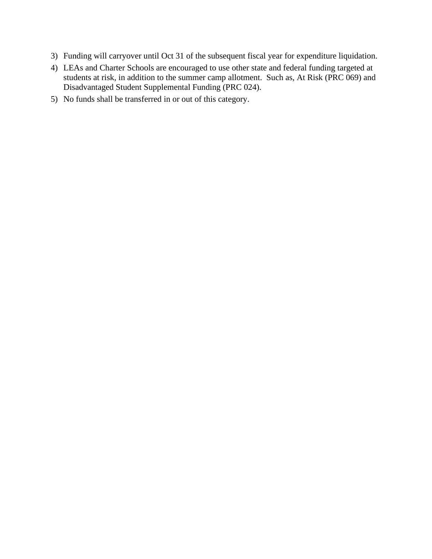- 3) Funding will carryover until Oct 31 of the subsequent fiscal year for expenditure liquidation.
- 4) LEAs and Charter Schools are encouraged to use other state and federal funding targeted at students at risk, in addition to the summer camp allotment. Such as, At Risk (PRC 069) and Disadvantaged Student Supplemental Funding (PRC 024).
- 5) No funds shall be transferred in or out of this category.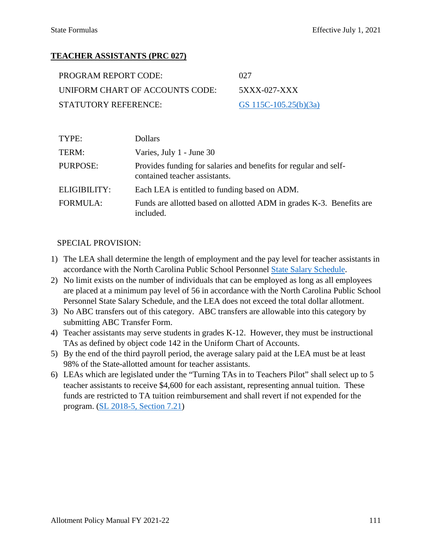# **TEACHER ASSISTANTS (PRC 027)**

| PROGRAM REPORT CODE:            | 027                   |
|---------------------------------|-----------------------|
| UNIFORM CHART OF ACCOUNTS CODE: | 5XXX-027-XXX          |
| STATUTORY REFERENCE:            | GS 115C-105.25(b)(3a) |

| TYPE:           | <b>Dollars</b>                                                                                    |
|-----------------|---------------------------------------------------------------------------------------------------|
| TERM:           | Varies, July 1 - June 30                                                                          |
| PURPOSE:        | Provides funding for salaries and benefits for regular and self-<br>contained teacher assistants. |
| ELIGIBILITY:    | Each LEA is entitled to funding based on ADM.                                                     |
| <b>FORMULA:</b> | Funds are allotted based on allotted ADM in grades K-3. Benefits are<br>included.                 |

- 1) The LEA shall determine the length of employment and the pay level for teacher assistants in accordance with the North Carolina Public School Personnel [State Salary Schedule.](https://www.dpi.nc.gov/districts-schools/district-operations/financial-and-business-services/compensation-public-school-employees)
- 2) No limit exists on the number of individuals that can be employed as long as all employees are placed at a minimum pay level of 56 in accordance with the North Carolina Public School Personnel State Salary Schedule, and the LEA does not exceed the total dollar allotment.
- 3) No ABC transfers out of this category. ABC transfers are allowable into this category by submitting ABC Transfer Form.
- 4) Teacher assistants may serve students in grades K-12. However, they must be instructional TAs as defined by object code 142 in the Uniform Chart of Accounts.
- 5) By the end of the third payroll period, the average salary paid at the LEA must be at least 98% of the State-allotted amount for teacher assistants.
- 6) LEAs which are legislated under the "Turning TAs in to Teachers Pilot" shall select up to 5 teacher assistants to receive \$4,600 for each assistant, representing annual tuition. These funds are restricted to TA tuition reimbursement and shall revert if not expended for the program. [\(SL 2018-5, Section 7.21\)](https://www.ncleg.gov/Sessions/2017/Bills/Senate/PDF/S99v6.pdf#page=28)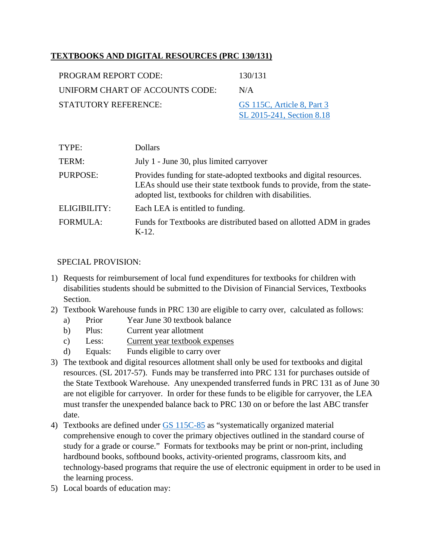# **TEXTBOOKS AND DIGITAL RESOURCES (PRC 130/131)**

| PROGRAM REPORT CODE:            | 130/131                                                 |
|---------------------------------|---------------------------------------------------------|
| UNIFORM CHART OF ACCOUNTS CODE: | N/A                                                     |
| <b>STATUTORY REFERENCE:</b>     | GS 115C, Article 8, Part 3<br>SL 2015-241, Section 8.18 |
|                                 |                                                         |

| TYPE:           | <b>Dollars</b>                                                                                                                                                                                           |
|-----------------|----------------------------------------------------------------------------------------------------------------------------------------------------------------------------------------------------------|
| TERM:           | July 1 - June 30, plus limited carryover                                                                                                                                                                 |
| <b>PURPOSE:</b> | Provides funding for state-adopted textbooks and digital resources.<br>LEAs should use their state textbook funds to provide, from the state-<br>adopted list, textbooks for children with disabilities. |
| ELIGIBILITY:    | Each LEA is entitled to funding.                                                                                                                                                                         |
| <b>FORMULA:</b> | Funds for Textbooks are distributed based on allotted ADM in grades<br>$K-12.$                                                                                                                           |

- 1) Requests for reimbursement of local fund expenditures for textbooks for children with disabilities students should be submitted to the Division of Financial Services, Textbooks Section.
- 2) Textbook Warehouse funds in PRC 130 are eligible to carry over, calculated as follows:
	- a) Prior Year June 30 textbook balance
	- b) Plus: Current year allotment
	- c) Less: Current year textbook expenses
	- d) Equals: Funds eligible to carry over
- 3) The textbook and digital resources allotment shall only be used for textbooks and digital resources. (SL 2017-57). Funds may be transferred into PRC 131 for purchases outside of the State Textbook Warehouse. Any unexpended transferred funds in PRC 131 as of June 30 are not eligible for carryover. In order for these funds to be eligible for carryover, the LEA must transfer the unexpended balance back to PRC 130 on or before the last ABC transfer date.
- 4) Textbooks are defined under [GS 115C-85](https://www.ncleg.net/enactedlegislation/statutes/html/bysection/chapter_115c/gs_115c-85.html) as "systematically organized material comprehensive enough to cover the primary objectives outlined in the standard course of study for a grade or course." Formats for textbooks may be print or non-print, including hardbound books, softbound books, activity-oriented programs, classroom kits, and technology-based programs that require the use of electronic equipment in order to be used in the learning process.
- 5) Local boards of education may: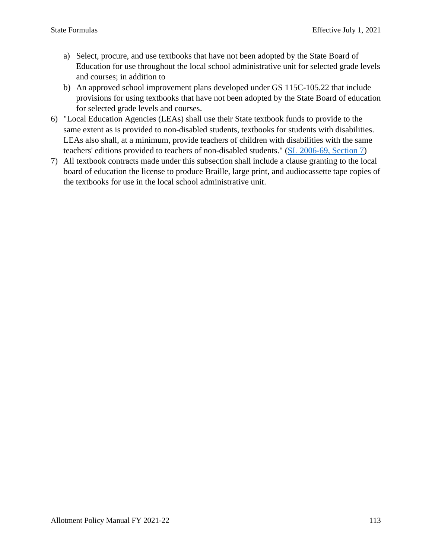- a) Select, procure, and use textbooks that have not been adopted by the State Board of Education for use throughout the local school administrative unit for selected grade levels and courses; in addition to
- b) An approved school improvement plans developed under GS 115C-105.22 that include provisions for using textbooks that have not been adopted by the State Board of education for selected grade levels and courses.
- 6) "Local Education Agencies (LEAs) shall use their State textbook funds to provide to the same extent as is provided to non-disabled students, textbooks for students with disabilities. LEAs also shall, at a minimum, provide teachers of children with disabilities with the same teachers' editions provided to teachers of non-disabled students." [\(SL 2006-69, Section 7\)](https://www.ncleg.gov/Sessions/2005/Bills/House/PDF/H1908v5.pdf#page=22)
- 7) All textbook contracts made under this subsection shall include a clause granting to the local board of education the license to produce Braille, large print, and audiocassette tape copies of the textbooks for use in the local school administrative unit.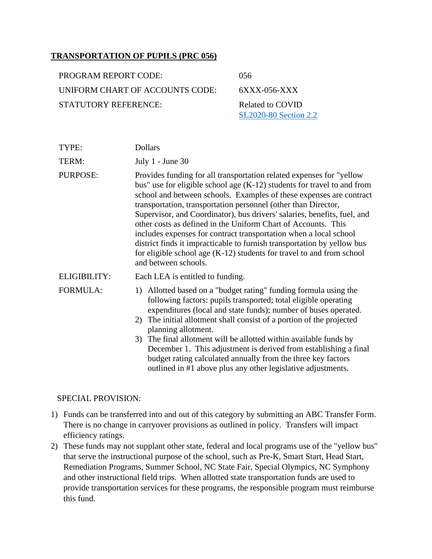#### **TRANSPORTATION OF PUPILS (PRC 056)**

| PROGRAM REPORT CODE:            | 056     |
|---------------------------------|---------|
| UNIFORM CHART OF ACCOUNTS CODE: | 6XXX    |
| STATUTORY REFERENCE:            | Related |

 $-056$ -XXX d to COVID [SL2020-80 Section 2.2](https://www.ncleg.gov/Sessions/2019/Bills/House/PDF/H1023v7.pdf)

| TYPE:           | Dollars                  |
|-----------------|--------------------------|
| TERM:           | July $1$ - June 30       |
| <b>PURPOSE:</b> | Provides funding for all |

I transportation related expenses for "yellow bus" use for eligible school age (K-12) students for travel to and from school and between schools. Examples of these expenses are contract transportation, transportation personnel (other than Director, Supervisor, and Coordinator), bus drivers' salaries, benefits, fuel, and other costs as defined in the Uniform Chart of Accounts. This includes expenses for contract transportation when a local school district finds it impracticable to furnish transportation by yellow bus for eligible school age (K-12) students for travel to and from school and between schools.

ELIGIBILITY: Each LEA is entitled to funding.

- FORMULA: 1) Allotted based on a "budget rating" funding formula using the following factors: pupils transported; total eligible operating expenditures (local and state funds); number of buses operated.
	- 2) The initial allotment shall consist of a portion of the projected planning allotment.
	- 3) The final allotment will be allotted within available funds by December 1. This adjustment is derived from establishing a final budget rating calculated annually from the three key factors outlined in #1 above plus any other legislative adjustments.

- 1) Funds can be transferred into and out of this category by submitting an ABC Transfer Form. There is no change in carryover provisions as outlined in policy. Transfers will impact efficiency ratings.
- 2) These funds may not supplant other state, federal and local programs use of the "yellow bus" that serve the instructional purpose of the school, such as Pre-K, Smart Start, Head Start, Remediation Programs, Summer School, NC State Fair, Special Olympics, NC Symphony and other instructional field trips. When allotted state transportation funds are used to provide transportation services for these programs, the responsible program must reimburse this fund.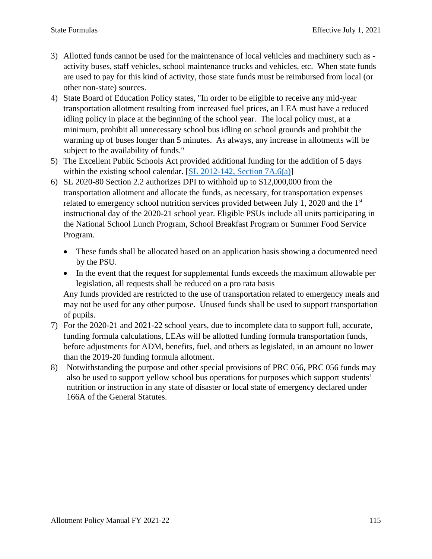- 3) Allotted funds cannot be used for the maintenance of local vehicles and machinery such as activity buses, staff vehicles, school maintenance trucks and vehicles, etc. When state funds are used to pay for this kind of activity, those state funds must be reimbursed from local (or other non-state) sources.
- 4) State Board of Education Policy states, "In order to be eligible to receive any mid-year transportation allotment resulting from increased fuel prices, an LEA must have a reduced idling policy in place at the beginning of the school year. The local policy must, at a minimum, prohibit all unnecessary school bus idling on school grounds and prohibit the warming up of buses longer than 5 minutes. As always, any increase in allotments will be subject to the availability of funds."
- 5) The Excellent Public Schools Act provided additional funding for the addition of 5 days within the existing school calendar. [\[SL 2012-142, Section 7A.6\(a\)\]](https://www.ncleg.gov/Sessions/2011/Bills/House/PDF/H950v7.pdf#page=47)
- 6) SL 2020-80 Section 2.2 authorizes DPI to withhold up to \$12,000,000 from the transportation allotment and allocate the funds, as necessary, for transportation expenses related to emergency school nutrition services provided between July 1, 2020 and the  $1<sup>st</sup>$ instructional day of the 2020-21 school year. Eligible PSUs include all units participating in the National School Lunch Program, School Breakfast Program or Summer Food Service Program.
	- These funds shall be allocated based on an application basis showing a documented need by the PSU.
	- In the event that the request for supplemental funds exceeds the maximum allowable per legislation, all requests shall be reduced on a pro rata basis

Any funds provided are restricted to the use of transportation related to emergency meals and may not be used for any other purpose. Unused funds shall be used to support transportation of pupils.

- 7) For the 2020-21 and 2021-22 school years, due to incomplete data to support full, accurate, funding formula calculations, LEAs will be allotted funding formula transportation funds, before adjustments for ADM, benefits, fuel, and others as legislated, in an amount no lower than the 2019-20 funding formula allotment.
- 8) Notwithstanding the purpose and other special provisions of PRC 056, PRC 056 funds may also be used to support yellow school bus operations for purposes which support students' nutrition or instruction in any state of disaster or local state of emergency declared under 166A of the General Statutes.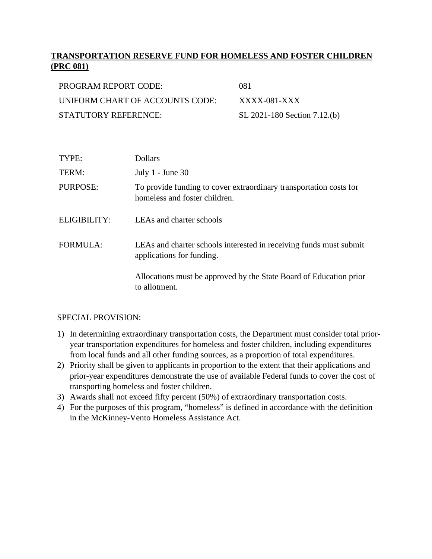# **TRANSPORTATION RESERVE FUND FOR HOMELESS AND FOSTER CHILDREN (PRC 081)**

| PROGRAM REPORT CODE:            | 081                          |
|---------------------------------|------------------------------|
| UNIFORM CHART OF ACCOUNTS CODE: | $XXXX$ -081-XXX              |
| STATUTORY REFERENCE:            | SL 2021-180 Section 7.12.(b) |

| TYPE:           | <b>Dollars</b>                                                                                      |
|-----------------|-----------------------------------------------------------------------------------------------------|
| TERM:           | July $1$ - June 30                                                                                  |
| <b>PURPOSE:</b> | To provide funding to cover extraordinary transportation costs for<br>homeless and foster children. |
| ELIGIBILITY:    | LEAs and charter schools                                                                            |
| <b>FORMULA:</b> | LEAs and charter schools interested in receiving funds must submit<br>applications for funding.     |
|                 | Allocations must be approved by the State Board of Education prior<br>to allotment.                 |

- 1) In determining extraordinary transportation costs, the Department must consider total prioryear transportation expenditures for homeless and foster children, including expenditures from local funds and all other funding sources, as a proportion of total expenditures.
- 2) Priority shall be given to applicants in proportion to the extent that their applications and prior-year expenditures demonstrate the use of available Federal funds to cover the cost of transporting homeless and foster children.
- 3) Awards shall not exceed fifty percent (50%) of extraordinary transportation costs.
- 4) For the purposes of this program, "homeless" is defined in accordance with the definition in the McKinney-Vento Homeless Assistance Act.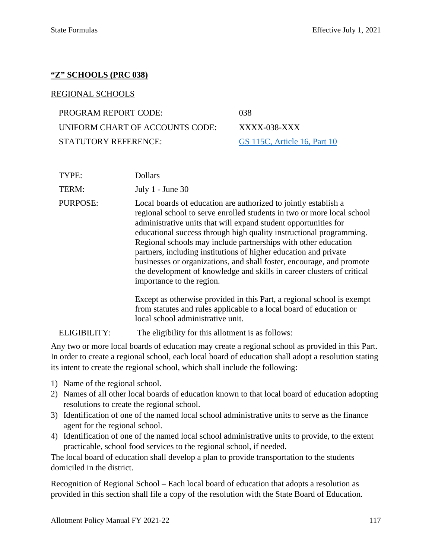#### **"Z" SCHOOLS (PRC 038)**

#### REGIONAL SCHOOLS

PROGRAM REPORT CODE: 038 UNIFORM CHART OF ACCOUNTS CODE: XXXX-038-XXX STATUTORY REFERENCE: [GS 115C, Article 16, Part 10](https://www.ncleg.gov/EnactedLegislation/Statutes/PDF/ByArticle/Chapter_115C/Article_16.pdf#page=10)

| TYPE:           | Dollars                                                                                                                                                                                                                                                                                                                                                                                                                                                                                                                                                                                                   |
|-----------------|-----------------------------------------------------------------------------------------------------------------------------------------------------------------------------------------------------------------------------------------------------------------------------------------------------------------------------------------------------------------------------------------------------------------------------------------------------------------------------------------------------------------------------------------------------------------------------------------------------------|
| TERM:           | July $1$ - June 30                                                                                                                                                                                                                                                                                                                                                                                                                                                                                                                                                                                        |
| <b>PURPOSE:</b> | Local boards of education are authorized to jointly establish a<br>regional school to serve enrolled students in two or more local school<br>administrative units that will expand student opportunities for<br>educational success through high quality instructional programming.<br>Regional schools may include partnerships with other education<br>partners, including institutions of higher education and private<br>businesses or organizations, and shall foster, encourage, and promote<br>the development of knowledge and skills in career clusters of critical<br>importance to the region. |
|                 | Except as otherwise provided in this Part, a regional school is exempt<br>from statutes and rules applicable to a local board of education or<br>local school administrative unit.                                                                                                                                                                                                                                                                                                                                                                                                                        |
| ELIGIBILITY:    | The eligibility for this allotment is as follows:                                                                                                                                                                                                                                                                                                                                                                                                                                                                                                                                                         |

Any two or more local boards of education may create a regional school as provided in this Part. In order to create a regional school, each local board of education shall adopt a resolution stating its intent to create the regional school, which shall include the following:

- 1) Name of the regional school.
- 2) Names of all other local boards of education known to that local board of education adopting resolutions to create the regional school.
- 3) Identification of one of the named local school administrative units to serve as the finance agent for the regional school.
- 4) Identification of one of the named local school administrative units to provide, to the extent practicable, school food services to the regional school, if needed.

The local board of education shall develop a plan to provide transportation to the students domiciled in the district.

Recognition of Regional School – Each local board of education that adopts a resolution as provided in this section shall file a copy of the resolution with the State Board of Education.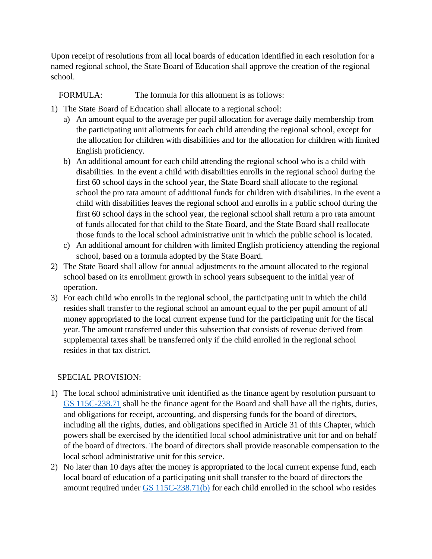Upon receipt of resolutions from all local boards of education identified in each resolution for a named regional school, the State Board of Education shall approve the creation of the regional school.

FORMULA: The formula for this allotment is as follows:

- 1) The State Board of Education shall allocate to a regional school:
	- a) An amount equal to the average per pupil allocation for average daily membership from the participating unit allotments for each child attending the regional school, except for the allocation for children with disabilities and for the allocation for children with limited English proficiency.
	- b) An additional amount for each child attending the regional school who is a child with disabilities. In the event a child with disabilities enrolls in the regional school during the first 60 school days in the school year, the State Board shall allocate to the regional school the pro rata amount of additional funds for children with disabilities. In the event a child with disabilities leaves the regional school and enrolls in a public school during the first 60 school days in the school year, the regional school shall return a pro rata amount of funds allocated for that child to the State Board, and the State Board shall reallocate those funds to the local school administrative unit in which the public school is located.
	- c) An additional amount for children with limited English proficiency attending the regional school, based on a formula adopted by the State Board.
- 2) The State Board shall allow for annual adjustments to the amount allocated to the regional school based on its enrollment growth in school years subsequent to the initial year of operation.
- 3) For each child who enrolls in the regional school, the participating unit in which the child resides shall transfer to the regional school an amount equal to the per pupil amount of all money appropriated to the local current expense fund for the participating unit for the fiscal year. The amount transferred under this subsection that consists of revenue derived from supplemental taxes shall be transferred only if the child enrolled in the regional school resides in that tax district.

- 1) The local school administrative unit identified as the finance agent by resolution pursuant to [GS 115C-238.71](https://www.ncleg.net/enactedlegislation/statutes/html/bysection/chapter_115c/gs_115c-238.71.html) shall be the finance agent for the Board and shall have all the rights, duties, and obligations for receipt, accounting, and dispersing funds for the board of directors, including all the rights, duties, and obligations specified in Article 31 of this Chapter, which powers shall be exercised by the identified local school administrative unit for and on behalf of the board of directors. The board of directors shall provide reasonable compensation to the local school administrative unit for this service.
- 2) No later than 10 days after the money is appropriated to the local current expense fund, each local board of education of a participating unit shall transfer to the board of directors the amount required under [GS 115C-238.71\(b\)](https://www.ncleg.net/enactedlegislation/statutes/html/bysection/chapter_115c/gs_115c-238.71.html) for each child enrolled in the school who resides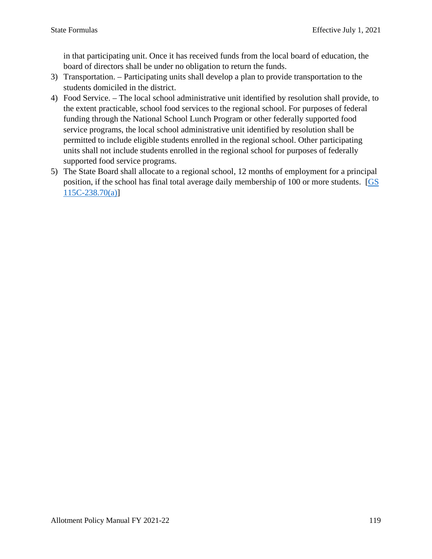in that participating unit. Once it has received funds from the local board of education, the board of directors shall be under no obligation to return the funds.

- 3) Transportation. Participating units shall develop a plan to provide transportation to the students domiciled in the district.
- 4) Food Service. The local school administrative unit identified by resolution shall provide, to the extent practicable, school food services to the regional school. For purposes of federal funding through the National School Lunch Program or other federally supported food service programs, the local school administrative unit identified by resolution shall be permitted to include eligible students enrolled in the regional school. Other participating units shall not include students enrolled in the regional school for purposes of federally supported food service programs.
- 5) The State Board shall allocate to a regional school, 12 months of employment for a principal position, if the school has final total average daily membership of 100 or more students. [\[GS](https://www.ncleg.net/enactedlegislation/statutes/html/bysection/chapter_115c/gs_115c-238.70.html)  [115C-238.70\(a\)\]](https://www.ncleg.net/enactedlegislation/statutes/html/bysection/chapter_115c/gs_115c-238.70.html)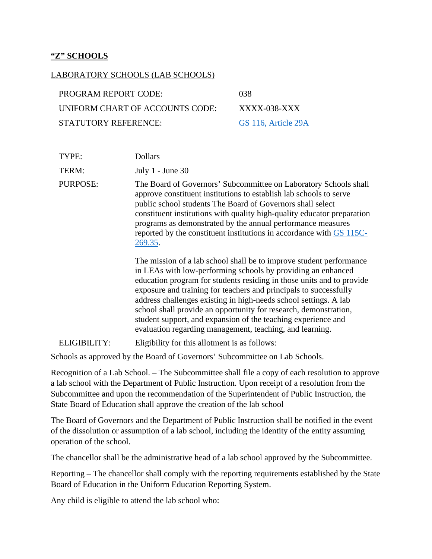#### **"Z" SCHOOLS**

| LABORATORY SCHOOLS (LAB SCHOOLS) |                     |
|----------------------------------|---------------------|
| <b>PROGRAM REPORT CODE:</b>      | 038                 |
| UNIFORM CHART OF ACCOUNTS CODE:  | XXXX-038-XXX        |
| STATUTORY REFERENCE:             | GS 116, Article 29A |
|                                  |                     |

TYPE: Dollars TERM: July 1 - June 30 PURPOSE: The Board of Governors' Subcommittee on Laboratory Schools shall approve constituent institutions to establish lab schools to serve public school students The Board of Governors shall select constituent institutions with quality high-quality educator preparation programs as demonstrated by the annual performance measures reported by the constituent institutions in accordance with [GS 115C-](https://www.ncleg.gov/EnactedLegislation/Statutes/PDF/BySection/Chapter_115C/GS_115C-269.35.pdf)[269.35.](https://www.ncleg.gov/EnactedLegislation/Statutes/PDF/BySection/Chapter_115C/GS_115C-269.35.pdf) The mission of a lab school shall be to improve student performance in LEAs with low-performing schools by providing an enhanced education program for students residing in those units and to provide exposure and training for teachers and principals to successfully address challenges existing in high-needs school settings. A lab school shall provide an opportunity for research, demonstration, student support, and expansion of the teaching experience and evaluation regarding management, teaching, and learning. ELIGIBILITY: Eligibility for this allotment is as follows:

Schools as approved by the Board of Governors' Subcommittee on Lab Schools.

Recognition of a Lab School. – The Subcommittee shall file a copy of each resolution to approve a lab school with the Department of Public Instruction. Upon receipt of a resolution from the Subcommittee and upon the recommendation of the Superintendent of Public Instruction, the State Board of Education shall approve the creation of the lab school

The Board of Governors and the Department of Public Instruction shall be notified in the event of the dissolution or assumption of a lab school, including the identity of the entity assuming operation of the school.

The chancellor shall be the administrative head of a lab school approved by the Subcommittee.

Reporting – The chancellor shall comply with the reporting requirements established by the State Board of Education in the Uniform Education Reporting System.

Any child is eligible to attend the lab school who: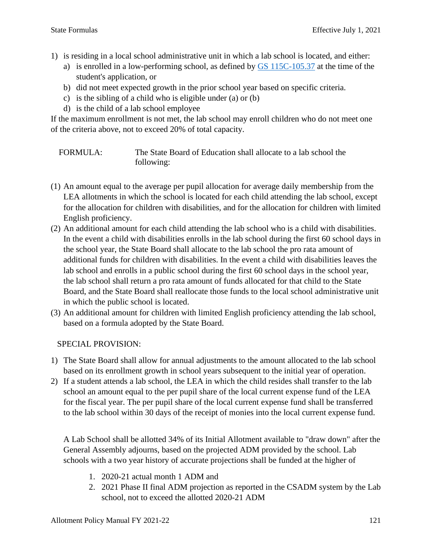- 1) is residing in a local school administrative unit in which a lab school is located, and either:
	- a) is enrolled in a low-performing school, as defined by [GS 115C-105.37](https://www.ncleg.gov/EnactedLegislation/Statutes/HTML/BySection/Chapter_115C/GS_115C-105.37.html) at the time of the student's application, or
	- b) did not meet expected growth in the prior school year based on specific criteria.
	- c) is the sibling of a child who is eligible under (a) or (b)
	- d) is the child of a lab school employee

If the maximum enrollment is not met, the lab school may enroll children who do not meet one of the criteria above, not to exceed 20% of total capacity.

FORMULA: The State Board of Education shall allocate to a lab school the following:

- (1) An amount equal to the average per pupil allocation for average daily membership from the LEA allotments in which the school is located for each child attending the lab school, except for the allocation for children with disabilities, and for the allocation for children with limited English proficiency.
- (2) An additional amount for each child attending the lab school who is a child with disabilities. In the event a child with disabilities enrolls in the lab school during the first 60 school days in the school year, the State Board shall allocate to the lab school the pro rata amount of additional funds for children with disabilities. In the event a child with disabilities leaves the lab school and enrolls in a public school during the first 60 school days in the school year, the lab school shall return a pro rata amount of funds allocated for that child to the State Board, and the State Board shall reallocate those funds to the local school administrative unit in which the public school is located.
- (3) An additional amount for children with limited English proficiency attending the lab school, based on a formula adopted by the State Board.

SPECIAL PROVISION:

- 1) The State Board shall allow for annual adjustments to the amount allocated to the lab school based on its enrollment growth in school years subsequent to the initial year of operation.
- 2) If a student attends a lab school, the LEA in which the child resides shall transfer to the lab school an amount equal to the per pupil share of the local current expense fund of the LEA for the fiscal year. The per pupil share of the local current expense fund shall be transferred to the lab school within 30 days of the receipt of monies into the local current expense fund.

A Lab School shall be allotted 34% of its Initial Allotment available to "draw down" after the General Assembly adjourns, based on the projected ADM provided by the school. Lab schools with a two year history of accurate projections shall be funded at the higher of

- 1. 2020-21 actual month 1 ADM and
- 2. 2021 Phase II final ADM projection as reported in the CSADM system by the Lab school, not to exceed the allotted 2020-21 ADM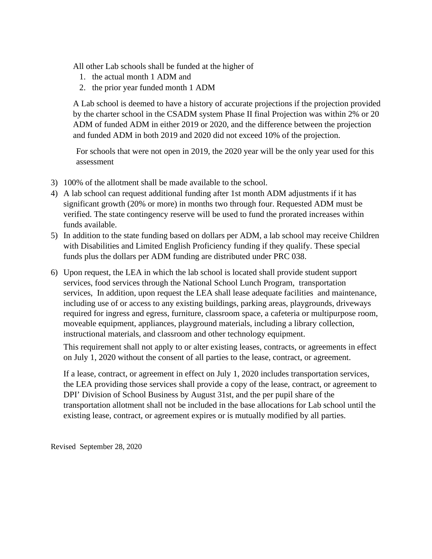All other Lab schools shall be funded at the higher of

- 1. the actual month 1 ADM and
- 2. the prior year funded month 1 ADM

A Lab school is deemed to have a history of accurate projections if the projection provided by the charter school in the CSADM system Phase II final Projection was within 2% or 20 ADM of funded ADM in either 2019 or 2020, and the difference between the projection and funded ADM in both 2019 and 2020 did not exceed 10% of the projection.

For schools that were not open in 2019, the 2020 year will be the only year used for this assessment

- 3) 100% of the allotment shall be made available to the school.
- 4) A lab school can request additional funding after 1st month ADM adjustments if it has significant growth (20% or more) in months two through four. Requested ADM must be verified. The state contingency reserve will be used to fund the prorated increases within funds available.
- 5) In addition to the state funding based on dollars per ADM, a lab school may receive Children with Disabilities and Limited English Proficiency funding if they qualify. These special funds plus the dollars per ADM funding are distributed under PRC 038.
- 6) Upon request, the LEA in which the lab school is located shall provide student support services, food services through the National School Lunch Program, transportation services, In addition, upon request the LEA shall lease adequate facilities and maintenance, including use of or access to any existing buildings, parking areas, playgrounds, driveways required for ingress and egress, furniture, classroom space, a cafeteria or multipurpose room, moveable equipment, appliances, playground materials, including a library collection, instructional materials, and classroom and other technology equipment.

This requirement shall not apply to or alter existing leases, contracts, or agreements in effect on July 1, 2020 without the consent of all parties to the lease, contract, or agreement.

If a lease, contract, or agreement in effect on July 1, 2020 includes transportation services, the LEA providing those services shall provide a copy of the lease, contract, or agreement to DPI' Division of School Business by August 31st, and the per pupil share of the transportation allotment shall not be included in the base allocations for Lab school until the existing lease, contract, or agreement expires or is mutually modified by all parties.

Revised September 28, 2020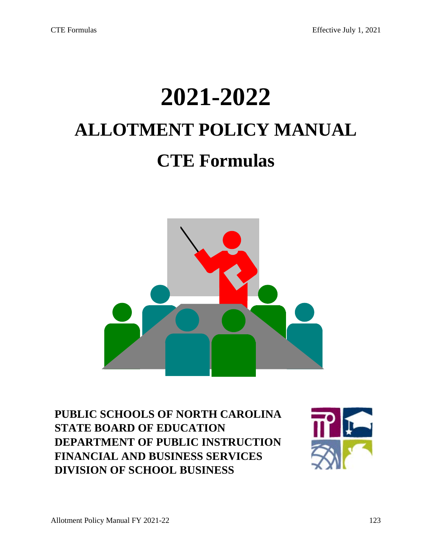# **2021-2022 ALLOTMENT POLICY MANUAL CTE Formulas**



**PUBLIC SCHOOLS OF NORTH CAROLINA STATE BOARD OF EDUCATION DEPARTMENT OF PUBLIC INSTRUCTION FINANCIAL AND BUSINESS SERVICES DIVISION OF SCHOOL BUSINESS**

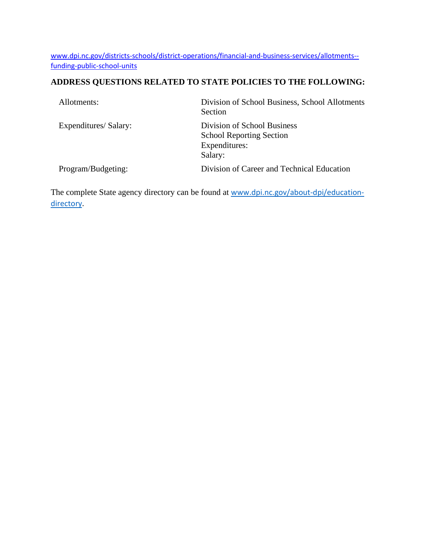[www.dpi.nc.gov/districts-schools/district-operations/financial-and-business-services/allotments-](https://www.dpi.nc.gov/districts-schools/district-operations/financial-and-business-services/allotments-%E2%80%94-funding-public-school-units) [funding-public-school-units](https://www.dpi.nc.gov/districts-schools/district-operations/financial-and-business-services/allotments-%E2%80%94-funding-public-school-units)

# **ADDRESS QUESTIONS RELATED TO STATE POLICIES TO THE FOLLOWING:**

| Allotments:           | Division of School Business, School Allotments<br>Section                                  |
|-----------------------|--------------------------------------------------------------------------------------------|
| Expenditures/ Salary: | Division of School Business<br><b>School Reporting Section</b><br>Expenditures:<br>Salary: |
| Program/Budgeting:    | Division of Career and Technical Education                                                 |

The complete State agency directory can be found at [www.dpi.nc.gov/about-dpi/education](https://www.dpi.nc.gov/about-dpi/education-directory)[directory.](https://www.dpi.nc.gov/about-dpi/education-directory)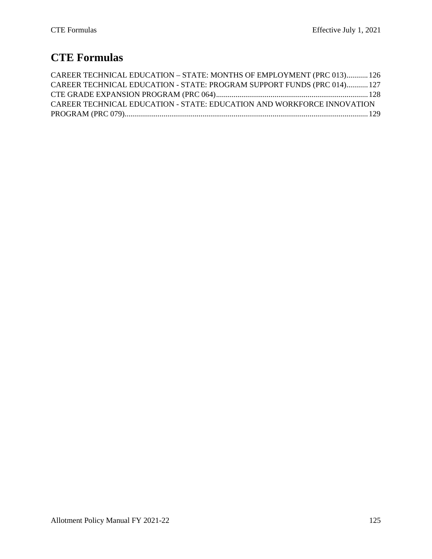# **CTE Formulas**

| CAREER TECHNICAL EDUCATION - STATE: MONTHS OF EMPLOYMENT (PRC 013)126   |  |
|-------------------------------------------------------------------------|--|
| CAREER TECHNICAL EDUCATION - STATE: PROGRAM SUPPORT FUNDS (PRC 014) 127 |  |
|                                                                         |  |
| CAREER TECHNICAL EDUCATION - STATE: EDUCATION AND WORKFORCE INNOVATION  |  |
|                                                                         |  |
|                                                                         |  |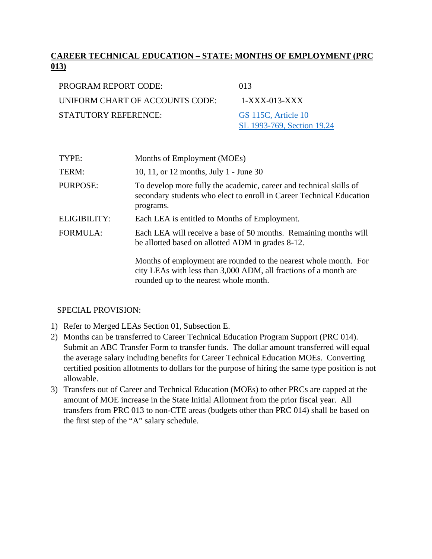# **CAREER TECHNICAL EDUCATION – STATE: MONTHS OF EMPLOYMENT (PRC 013)**

| PROGRAM REPORT CODE:            | 013                        |
|---------------------------------|----------------------------|
| UNIFORM CHART OF ACCOUNTS CODE: | $1-XXX-013-XXX$            |
| STATUTORY REFERENCE:            | GS 115C, Article 10        |
|                                 | SL 1993-769, Section 19.24 |

| TYPE:           | Months of Employment (MOEs)                                                                                                                                                    |
|-----------------|--------------------------------------------------------------------------------------------------------------------------------------------------------------------------------|
| TERM:           | 10, 11, or 12 months, July 1 - June 30                                                                                                                                         |
| PURPOSE:        | To develop more fully the academic, career and technical skills of<br>secondary students who elect to enroll in Career Technical Education<br>programs.                        |
| ELIGIBILITY:    | Each LEA is entitled to Months of Employment.                                                                                                                                  |
| <b>FORMULA:</b> | Each LEA will receive a base of 50 months. Remaining months will<br>be allotted based on allotted ADM in grades 8-12.                                                          |
|                 | Months of employment are rounded to the nearest whole month. For<br>city LEAs with less than 3,000 ADM, all fractions of a month are<br>rounded up to the nearest whole month. |

- 1) Refer to Merged LEAs Section 01, Subsection E.
- 2) Months can be transferred to Career Technical Education Program Support (PRC 014). Submit an ABC Transfer Form to transfer funds. The dollar amount transferred will equal the average salary including benefits for Career Technical Education MOEs. Converting certified position allotments to dollars for the purpose of hiring the same type position is not allowable.
- 3) Transfers out of Career and Technical Education (MOEs) to other PRCs are capped at the amount of MOE increase in the State Initial Allotment from the prior fiscal year. All transfers from PRC 013 to non-CTE areas (budgets other than PRC 014) shall be based on the first step of the "A" salary schedule.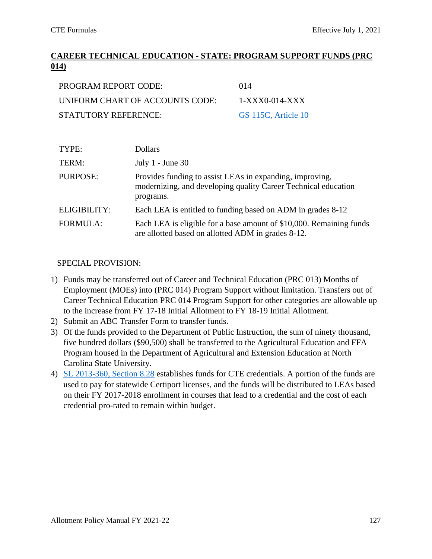# **CAREER TECHNICAL EDUCATION - STATE: PROGRAM SUPPORT FUNDS (PRC 014)**

| PROGRAM REPORT CODE:            | 014                 |
|---------------------------------|---------------------|
| UNIFORM CHART OF ACCOUNTS CODE: | 1-XXX0-014-XXX      |
| STATUTORY REFERENCE:            | GS 115C, Article 10 |

| TYPE:           | Dollars                                                                                                                                 |
|-----------------|-----------------------------------------------------------------------------------------------------------------------------------------|
| TERM:           | July $1$ - June 30                                                                                                                      |
| PURPOSE:        | Provides funding to assist LEAs in expanding, improving,<br>modernizing, and developing quality Career Technical education<br>programs. |
| ELIGIBILITY:    | Each LEA is entitled to funding based on ADM in grades 8-12                                                                             |
| <b>FORMULA:</b> | Each LEA is eligible for a base amount of \$10,000. Remaining funds<br>are allotted based on allotted ADM in grades 8-12.               |

- 1) Funds may be transferred out of Career and Technical Education (PRC 013) Months of Employment (MOEs) into (PRC 014) Program Support without limitation. Transfers out of Career Technical Education PRC 014 Program Support for other categories are allowable up to the increase from FY 17-18 Initial Allotment to FY 18-19 Initial Allotment.
- 2) Submit an ABC Transfer Form to transfer funds.
- 3) Of the funds provided to the Department of Public Instruction, the sum of ninety thousand, five hundred dollars (\$90,500) shall be transferred to the Agricultural Education and FFA Program housed in the Department of Agricultural and Extension Education at North Carolina State University.
- 4) [SL 2013-360, Section 8.28](https://www.ncleg.net/EnactedLegislation/SessionLaws/PDF/2013-2014/SL2013-360.pdf#page=62) establishes funds for CTE credentials. A portion of the funds are used to pay for statewide Certiport licenses, and the funds will be distributed to LEAs based on their FY 2017-2018 enrollment in courses that lead to a credential and the cost of each credential pro-rated to remain within budget.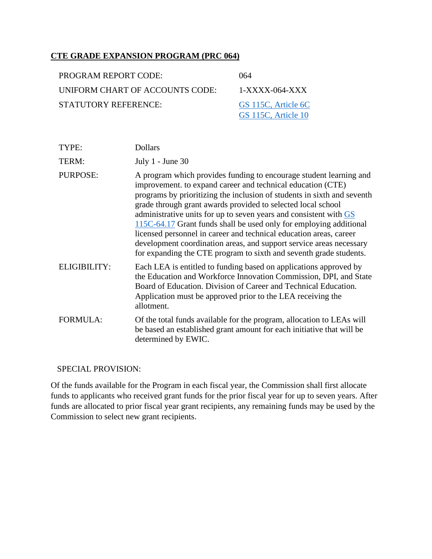# **CTE GRADE EXPANSION PROGRAM (PRC 064)**

| PROGRAM REPORT CODE:            | (64)                |
|---------------------------------|---------------------|
| UNIFORM CHART OF ACCOUNTS CODE: | $1-XXXX-064-XXX$    |
| <b>STATUTORY REFERENCE:</b>     | GS 115C, Article 6C |
|                                 | GS 115C, Article 10 |

| TYPE:               | <b>Dollars</b>                                                                                                                                                                                                                                                                                                                                                                                                                                                                                                                                                                                                                             |
|---------------------|--------------------------------------------------------------------------------------------------------------------------------------------------------------------------------------------------------------------------------------------------------------------------------------------------------------------------------------------------------------------------------------------------------------------------------------------------------------------------------------------------------------------------------------------------------------------------------------------------------------------------------------------|
| TERM:               | July $1$ - June 30                                                                                                                                                                                                                                                                                                                                                                                                                                                                                                                                                                                                                         |
| <b>PURPOSE:</b>     | A program which provides funding to encourage student learning and<br>improvement. to expand career and technical education (CTE)<br>programs by prioritizing the inclusion of students in sixth and seventh<br>grade through grant awards provided to selected local school<br>administrative units for up to seven years and consistent with GS<br>115C-64.17 Grant funds shall be used only for employing additional<br>licensed personnel in career and technical education areas, career<br>development coordination areas, and support service areas necessary<br>for expanding the CTE program to sixth and seventh grade students. |
| <b>ELIGIBILITY:</b> | Each LEA is entitled to funding based on applications approved by<br>the Education and Workforce Innovation Commission, DPI, and State<br>Board of Education. Division of Career and Technical Education.<br>Application must be approved prior to the LEA receiving the<br>allotment.                                                                                                                                                                                                                                                                                                                                                     |
| <b>FORMULA:</b>     | Of the total funds available for the program, allocation to LEAs will<br>be based an established grant amount for each initiative that will be<br>determined by EWIC.                                                                                                                                                                                                                                                                                                                                                                                                                                                                      |

#### SPECIAL PROVISION:

Of the funds available for the Program in each fiscal year, the Commission shall first allocate funds to applicants who received grant funds for the prior fiscal year for up to seven years. After funds are allocated to prior fiscal year grant recipients, any remaining funds may be used by the Commission to select new grant recipients.